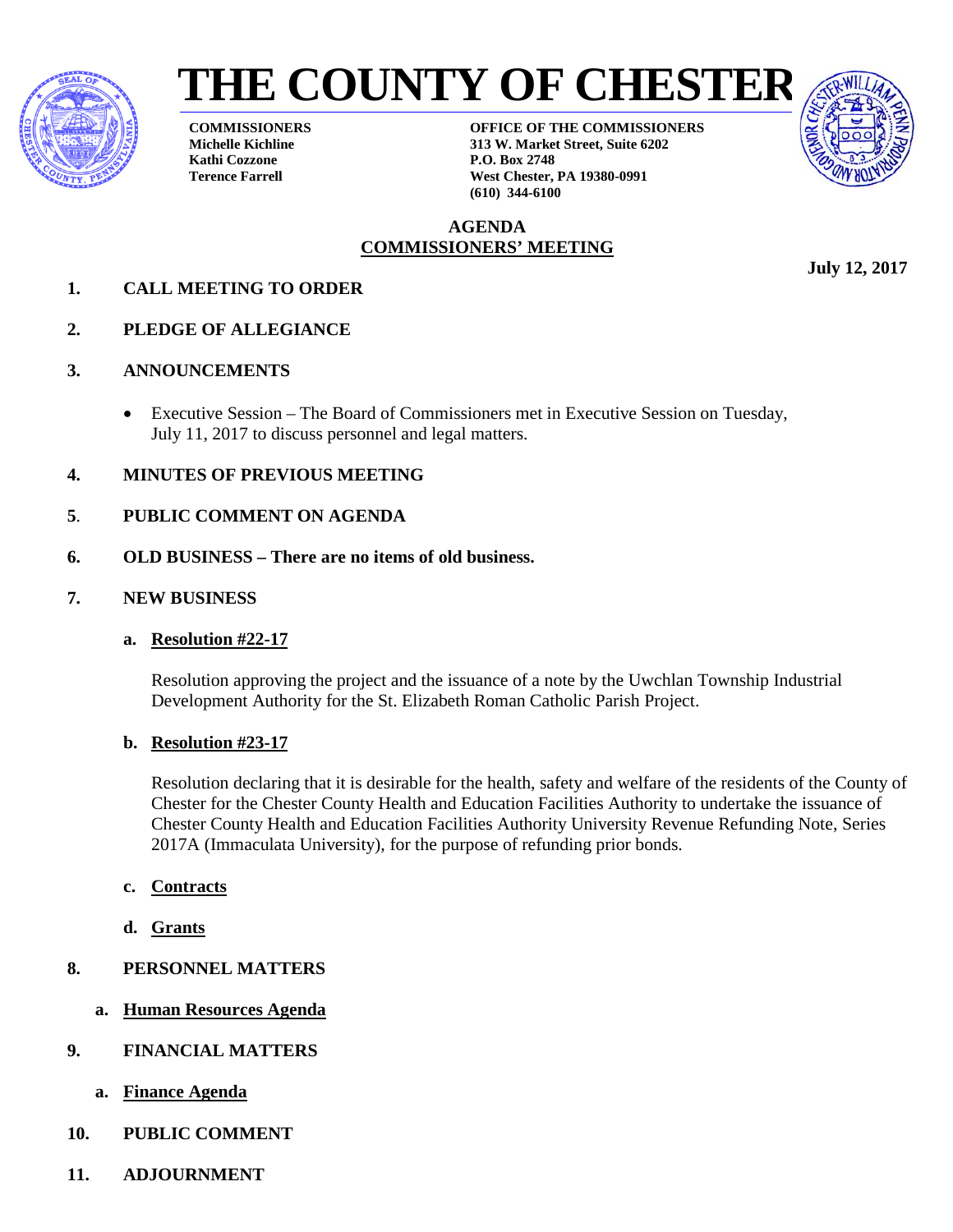



**COMMISSIONERS Michelle Kichline Kathi Cozzone Terence Farrell**

**OFFICE OF THE COMMISSIONERS 313 W. Market Street, Suite 6202 P.O. Box 2748 West Chester, PA 19380-0991 (610) 344-6100**

### **AGENDA COMMISSIONERS' MEETING**

- **1. CALL MEETING TO ORDER**
- **2. PLEDGE OF ALLEGIANCE**
- **3. ANNOUNCEMENTS**
	- Executive Session The Board of Commissioners met in Executive Session on Tuesday, July 11, 2017 to discuss personnel and legal matters.
- **4. MINUTES OF PREVIOUS MEETING**
- **5**. **PUBLIC COMMENT ON AGENDA**
- **6. OLD BUSINESS There are no items of old business.**
- **7. NEW BUSINESS**
	- **a. Resolution #22-17**

Resolution approving the project and the issuance of a note by the Uwchlan Township Industrial Development Authority for the St. Elizabeth Roman Catholic Parish Project.

### **b. Resolution #23-17**

Resolution declaring that it is desirable for the health, safety and welfare of the residents of the County of Chester for the Chester County Health and Education Facilities Authority to undertake the issuance of Chester County Health and Education Facilities Authority University Revenue Refunding Note, Series 2017A (Immaculata University), for the purpose of refunding prior bonds.

- **c. Contracts**
- **d. Grants**
- **8. PERSONNEL MATTERS**
	- **a. Human Resources Agenda**
- **9. FINANCIAL MATTERS**
	- **a. Finance Agenda**
- **10. PUBLIC COMMENT**
- **11. ADJOURNMENT**

**July 12, 2017**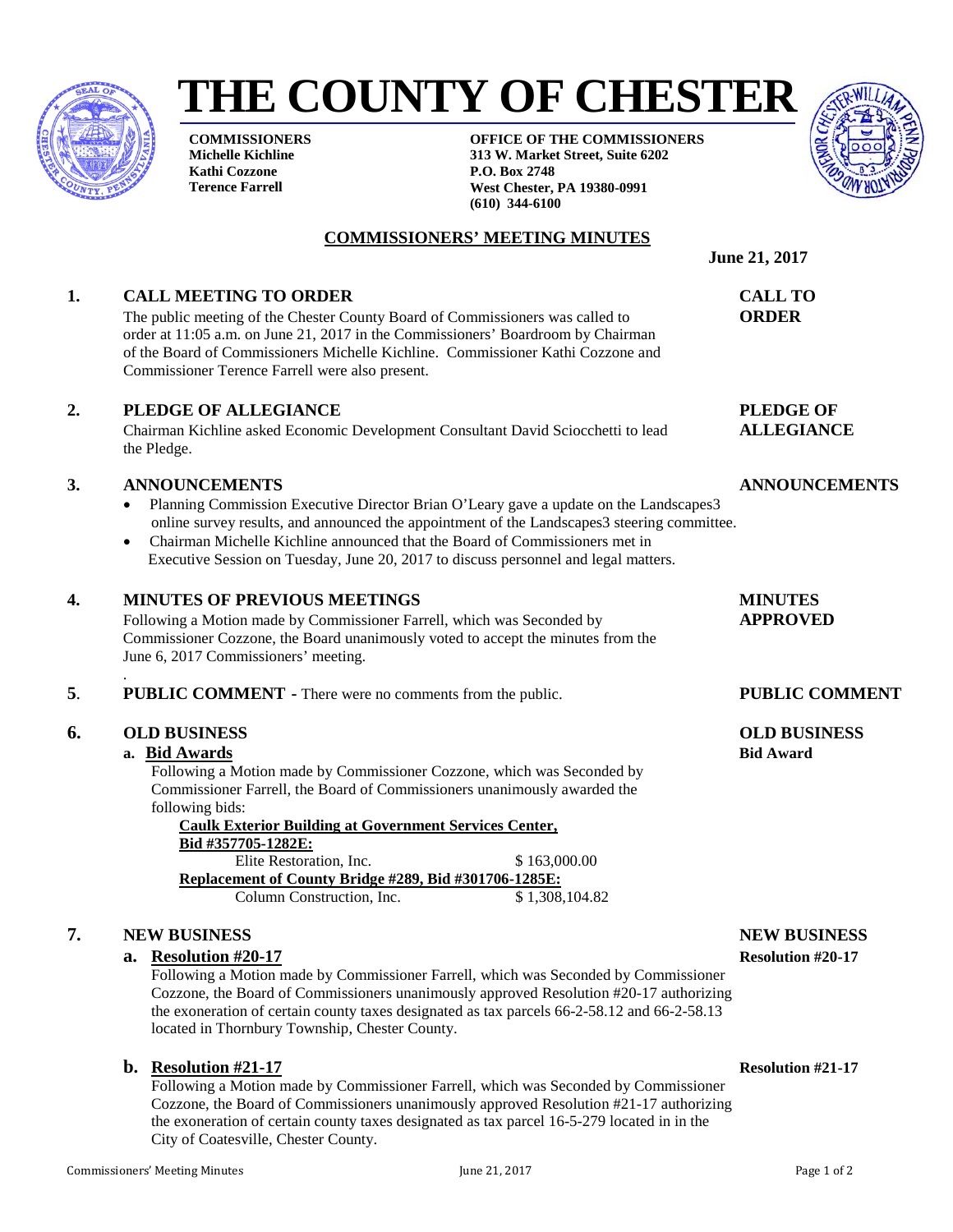**COMMISSIONERS Michelle Kichline Kathi Cozzone Terence Farrell**

**OFFICE OF THE COMMISSIONERS 313 W. Market Street, Suite 6202 P.O. Box 2748 West Chester, PA 19380-0991 (610) 344-6100**

### **COMMISSIONERS' MEETING MINUTES**

**THE COUNTY OF CHESTER** 

#### **1. CALL MEETING TO ORDER CALL TO**

The public meeting of the Chester County Board of Commissioners was called to **ORDER** order at 11:05 a.m. on June 21, 2017 in the Commissioners' Boardroom by Chairman of the Board of Commissioners Michelle Kichline. Commissioner Kathi Cozzone and Commissioner Terence Farrell were also present.

#### **2. PLEDGE OF ALLEGIANCE PLEDGE OF**

Chairman Kichline asked Economic Development Consultant David Sciocchetti to lead **ALLEGIANCE** the Pledge.

#### **3. ANNOUNCEMENTS ANNOUNCEMENTS**

- Planning Commission Executive Director Brian O'Leary gave a update on the Landscapes3 online survey results, and announced the appointment of the Landscapes3 steering committee.
- Chairman Michelle Kichline announced that the Board of Commissioners met in Executive Session on Tuesday, June 20, 2017 to discuss personnel and legal matters.

#### **4. MINUTES OF PREVIOUS MEETINGS MINUTES**

Following a Motion made by Commissioner Farrell, which was Seconded by **APPROVED** Commissioner Cozzone, the Board unanimously voted to accept the minutes from the June 6, 2017 Commissioners' meeting.

**5**. **PUBLIC COMMENT** - There were no comments from the public. **PUBLIC COMMENT** 

#### **6. OLD BUSINESS OLD BUSINESS**

.

#### **a. Bid Awards Bid Award**

Following a Motion made by Commissioner Cozzone, which was Seconded by Commissioner Farrell, the Board of Commissioners unanimously awarded the following bids:

**Caulk Exterior Building at Government Services Center, Bid #357705-1282E:** Elite Restoration, Inc.  $$163,000.00$ **Replacement of County Bridge #289, Bid #301706-1285E:**<br>Column Construction, Inc. \$1,308,104.82

Column Construction, Inc.

#### **7. NEW BUSINESS NEW BUSINESS**

#### **a. Resolution #20-17 Resolution #20-17**

Following a Motion made by Commissioner Farrell, which was Seconded by Commissioner Cozzone, the Board of Commissioners unanimously approved Resolution #20-17 authorizing the exoneration of certain county taxes designated as tax parcels 66-2-58.12 and 66-2-58.13 located in Thornbury Township, Chester County.

#### **b. Resolution #21-17 Resolution #21-17**

Following a Motion made by Commissioner Farrell, which was Seconded by Commissioner Cozzone, the Board of Commissioners unanimously approved Resolution #21-17 authorizing the exoneration of certain county taxes designated as tax parcel 16-5-279 located in in the City of Coatesville, Chester County.

**June 21, 2017** 



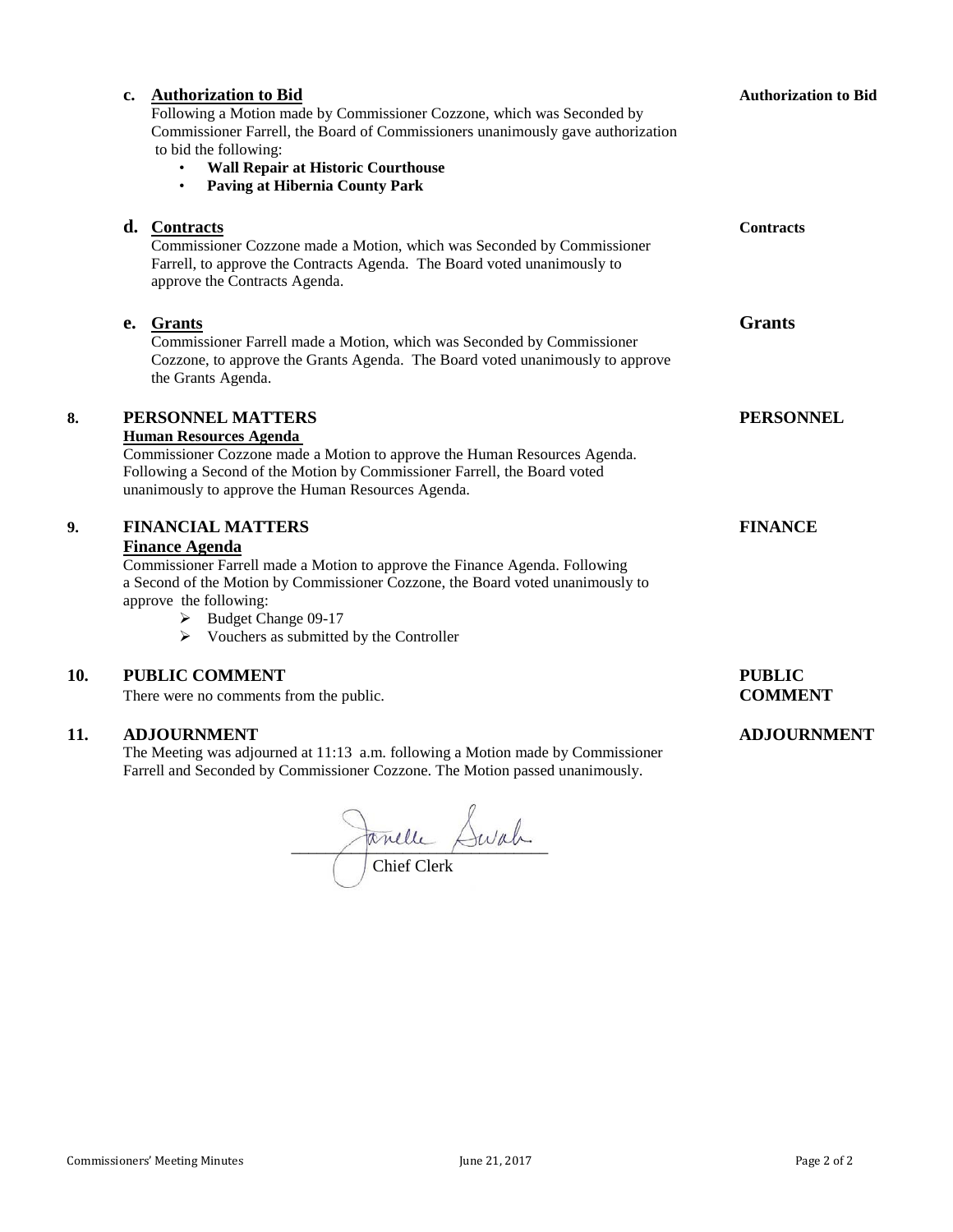|     | <b>Authorization to Bid</b><br>$c_{\bullet}$<br>Following a Motion made by Commissioner Cozzone, which was Seconded by<br>Commissioner Farrell, the Board of Commissioners unanimously gave authorization<br>to bid the following:<br><b>Wall Repair at Historic Courthouse</b><br>$\bullet$<br><b>Paving at Hibernia County Park</b><br>$\bullet$ | <b>Authorization to Bid</b>     |
|-----|----------------------------------------------------------------------------------------------------------------------------------------------------------------------------------------------------------------------------------------------------------------------------------------------------------------------------------------------------|---------------------------------|
|     | d. Contracts<br>Commissioner Cozzone made a Motion, which was Seconded by Commissioner<br>Farrell, to approve the Contracts Agenda. The Board voted unanimously to<br>approve the Contracts Agenda.                                                                                                                                                | <b>Contracts</b>                |
|     | <b>Grants</b><br>e.<br>Commissioner Farrell made a Motion, which was Seconded by Commissioner<br>Cozzone, to approve the Grants Agenda. The Board voted unanimously to approve<br>the Grants Agenda.                                                                                                                                               | <b>Grants</b>                   |
| 8.  | PERSONNEL MATTERS<br><b>Human Resources Agenda</b><br>Commissioner Cozzone made a Motion to approve the Human Resources Agenda.<br>Following a Second of the Motion by Commissioner Farrell, the Board voted<br>unanimously to approve the Human Resources Agenda.                                                                                 | <b>PERSONNEL</b>                |
| 9.  | <b>FINANCIAL MATTERS</b><br><b>Finance Agenda</b><br>Commissioner Farrell made a Motion to approve the Finance Agenda. Following<br>a Second of the Motion by Commissioner Cozzone, the Board voted unanimously to<br>approve the following:<br>$\triangleright$ Budget Change 09-17<br>$\triangleright$ Vouchers as submitted by the Controller   | <b>FINANCE</b>                  |
| 10. | <b>PUBLIC COMMENT</b><br>There were no comments from the public.                                                                                                                                                                                                                                                                                   | <b>PUBLIC</b><br><b>COMMENT</b> |
| 11. | <b>ADJOURNMENT</b>                                                                                                                                                                                                                                                                                                                                 | <b>ADJOURNMENT</b>              |

The Meeting was adjourned at 11:13 a.m. following a Motion made by Commissioner Farrell and Seconded by Commissioner Cozzone. The Motion passed unanimously.

 $\sim$   $\sim$   $\sim$ Chief Clerk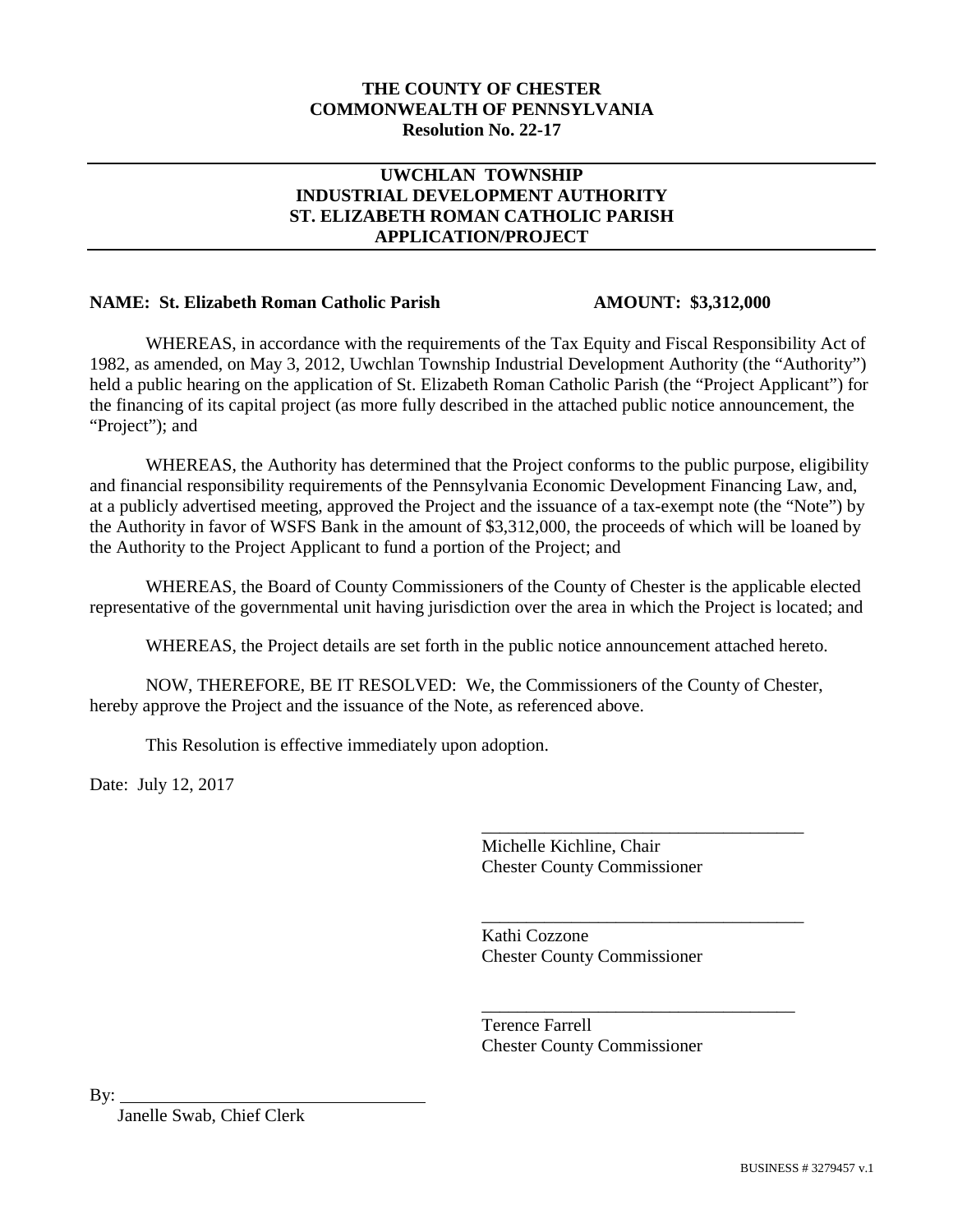#### **THE COUNTY OF CHESTER COMMONWEALTH OF PENNSYLVANIA Resolution No. 22-17**

## **UWCHLAN TOWNSHIP INDUSTRIAL DEVELOPMENT AUTHORITY ST. ELIZABETH ROMAN CATHOLIC PARISH APPLICATION/PROJECT**

#### **NAME: St. Elizabeth Roman Catholic Parish AMOUNT: \$3,312,000**

WHEREAS, in accordance with the requirements of the Tax Equity and Fiscal Responsibility Act of 1982, as amended, on May 3, 2012, Uwchlan Township Industrial Development Authority (the "Authority") held a public hearing on the application of St. Elizabeth Roman Catholic Parish (the "Project Applicant") for the financing of its capital project (as more fully described in the attached public notice announcement, the "Project"); and

WHEREAS, the Authority has determined that the Project conforms to the public purpose, eligibility and financial responsibility requirements of the Pennsylvania Economic Development Financing Law, and, at a publicly advertised meeting, approved the Project and the issuance of a tax-exempt note (the "Note") by the Authority in favor of WSFS Bank in the amount of \$3,312,000, the proceeds of which will be loaned by the Authority to the Project Applicant to fund a portion of the Project; and

WHEREAS, the Board of County Commissioners of the County of Chester is the applicable elected representative of the governmental unit having jurisdiction over the area in which the Project is located; and

WHEREAS, the Project details are set forth in the public notice announcement attached hereto.

NOW, THEREFORE, BE IT RESOLVED: We, the Commissioners of the County of Chester, hereby approve the Project and the issuance of the Note, as referenced above.

This Resolution is effective immediately upon adoption.

Date: July 12, 2017

Michelle Kichline, Chair Chester County Commissioner

\_\_\_\_\_\_\_\_\_\_\_\_\_\_\_\_\_\_\_\_\_\_\_\_\_\_\_\_\_\_\_\_\_\_\_\_

\_\_\_\_\_\_\_\_\_\_\_\_\_\_\_\_\_\_\_\_\_\_\_\_\_\_\_\_\_\_\_\_\_\_\_\_

\_\_\_\_\_\_\_\_\_\_\_\_\_\_\_\_\_\_\_\_\_\_\_\_\_\_\_\_\_\_\_\_\_\_\_

Kathi Cozzone Chester County Commissioner

Terence Farrell Chester County Commissioner

By:

Janelle Swab, Chief Clerk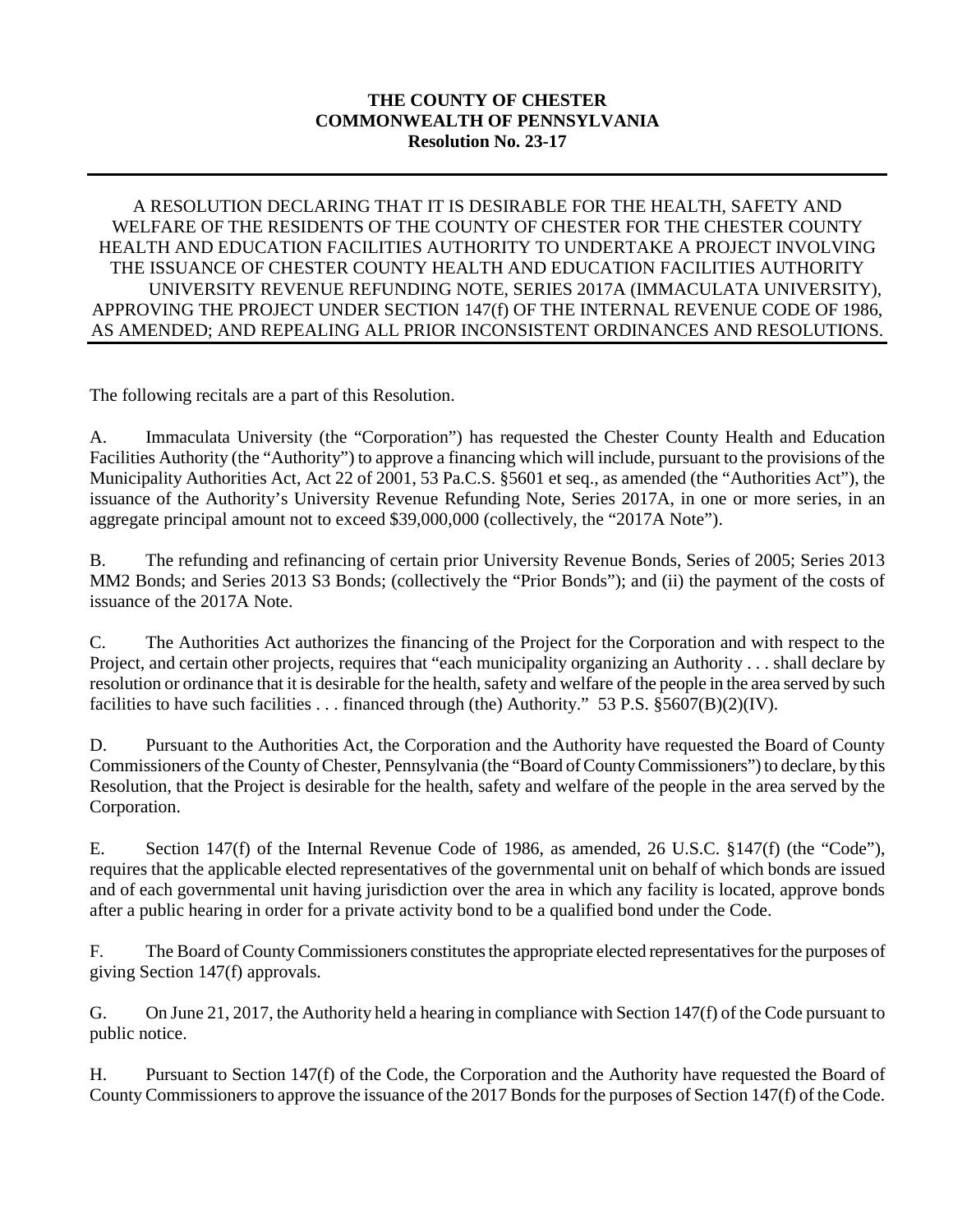## **THE COUNTY OF CHESTER COMMONWEALTH OF PENNSYLVANIA Resolution No. 23-17**

## A RESOLUTION DECLARING THAT IT IS DESIRABLE FOR THE HEALTH, SAFETY AND WELFARE OF THE RESIDENTS OF THE COUNTY OF CHESTER FOR THE CHESTER COUNTY HEALTH AND EDUCATION FACILITIES AUTHORITY TO UNDERTAKE A PROJECT INVOLVING THE ISSUANCE OF CHESTER COUNTY HEALTH AND EDUCATION FACILITIES AUTHORITY UNIVERSITY REVENUE REFUNDING NOTE, SERIES 2017A (IMMACULATA UNIVERSITY), APPROVING THE PROJECT UNDER SECTION 147(f) OF THE INTERNAL REVENUE CODE OF 1986, AS AMENDED; AND REPEALING ALL PRIOR INCONSISTENT ORDINANCES AND RESOLUTIONS.

The following recitals are a part of this Resolution.

A. Immaculata University (the "Corporation") has requested the Chester County Health and Education Facilities Authority (the "Authority") to approve a financing which will include, pursuant to the provisions of the Municipality Authorities Act, Act 22 of 2001, 53 Pa.C.S. §5601 et seq., as amended (the "Authorities Act"), the issuance of the Authority's University Revenue Refunding Note, Series 2017A, in one or more series, in an aggregate principal amount not to exceed \$39,000,000 (collectively, the "2017A Note").

B. The refunding and refinancing of certain prior University Revenue Bonds, Series of 2005; Series 2013 MM2 Bonds; and Series 2013 S3 Bonds; (collectively the "Prior Bonds"); and (ii) the payment of the costs of issuance of the 2017A Note.

C. The Authorities Act authorizes the financing of the Project for the Corporation and with respect to the Project, and certain other projects, requires that "each municipality organizing an Authority . . . shall declare by resolution or ordinance that it is desirable for the health, safety and welfare of the people in the area served by such facilities to have such facilities . . . financed through (the) Authority." 53 P.S. §5607(B)(2)(IV).

D. Pursuant to the Authorities Act, the Corporation and the Authority have requested the Board of County Commissioners of the County of Chester, Pennsylvania (the "Board of County Commissioners") to declare, by this Resolution, that the Project is desirable for the health, safety and welfare of the people in the area served by the Corporation.

E. Section 147(f) of the Internal Revenue Code of 1986, as amended, 26 U.S.C. §147(f) (the "Code"), requires that the applicable elected representatives of the governmental unit on behalf of which bonds are issued and of each governmental unit having jurisdiction over the area in which any facility is located, approve bonds after a public hearing in order for a private activity bond to be a qualified bond under the Code.

F. The Board of County Commissioners constitutes the appropriate elected representatives for the purposes of giving Section 147(f) approvals.

G. On June 21, 2017, the Authority held a hearing in compliance with Section 147(f) of the Code pursuant to public notice.

H. Pursuant to Section 147(f) of the Code, the Corporation and the Authority have requested the Board of County Commissioners to approve the issuance of the 2017 Bonds for the purposes of Section 147(f) of the Code.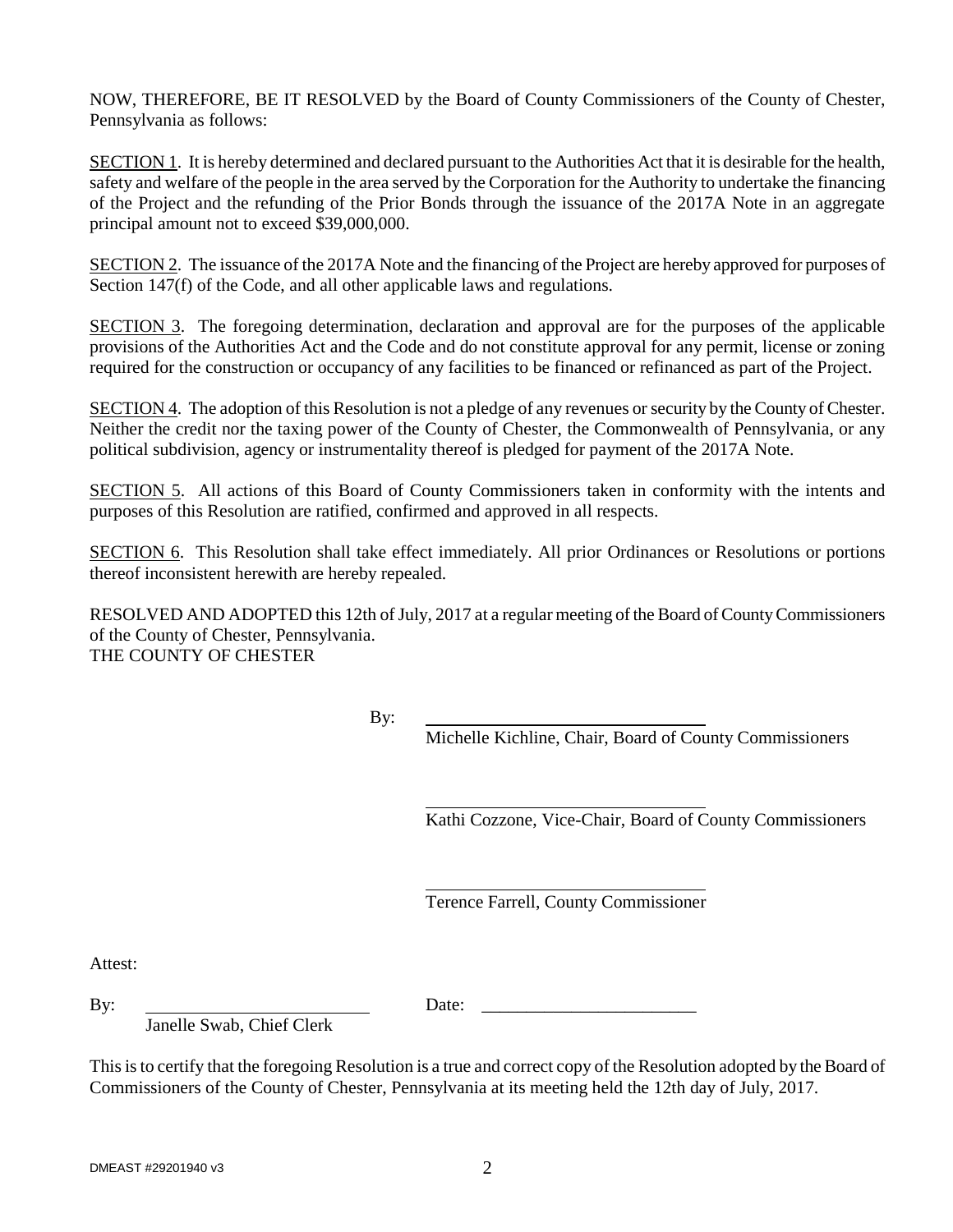NOW, THEREFORE, BE IT RESOLVED by the Board of County Commissioners of the County of Chester, Pennsylvania as follows:

SECTION 1. It is hereby determined and declared pursuant to the Authorities Act that it is desirable for the health, safety and welfare of the people in the area served by the Corporation for the Authority to undertake the financing of the Project and the refunding of the Prior Bonds through the issuance of the 2017A Note in an aggregate principal amount not to exceed \$39,000,000.

SECTION 2. The issuance of the 2017A Note and the financing of the Project are hereby approved for purposes of Section 147(f) of the Code, and all other applicable laws and regulations.

SECTION 3. The foregoing determination, declaration and approval are for the purposes of the applicable provisions of the Authorities Act and the Code and do not constitute approval for any permit, license or zoning required for the construction or occupancy of any facilities to be financed or refinanced as part of the Project.

SECTION 4. The adoption of this Resolution is not a pledge of any revenues or security by the County of Chester. Neither the credit nor the taxing power of the County of Chester, the Commonwealth of Pennsylvania, or any political subdivision, agency or instrumentality thereof is pledged for payment of the 2017A Note.

SECTION 5. All actions of this Board of County Commissioners taken in conformity with the intents and purposes of this Resolution are ratified, confirmed and approved in all respects.

SECTION 6. This Resolution shall take effect immediately. All prior Ordinances or Resolutions or portions thereof inconsistent herewith are hereby repealed.

RESOLVED AND ADOPTED this 12th of July, 2017 at a regular meeting of the Board of County Commissioners of the County of Chester, Pennsylvania. THE COUNTY OF CHESTER

By:

Michelle Kichline, Chair, Board of County Commissioners

Kathi Cozzone, Vice-Chair, Board of County Commissioners

Terence Farrell, County Commissioner

Attest:

 $\mathbf{B}$ y:  $\mathbf{D}$ ate:  $\mathbf{D}$ 

Janelle Swab, Chief Clerk

This is to certify that the foregoing Resolution is a true and correct copy of the Resolution adopted by the Board of Commissioners of the County of Chester, Pennsylvania at its meeting held the 12th day of July, 2017.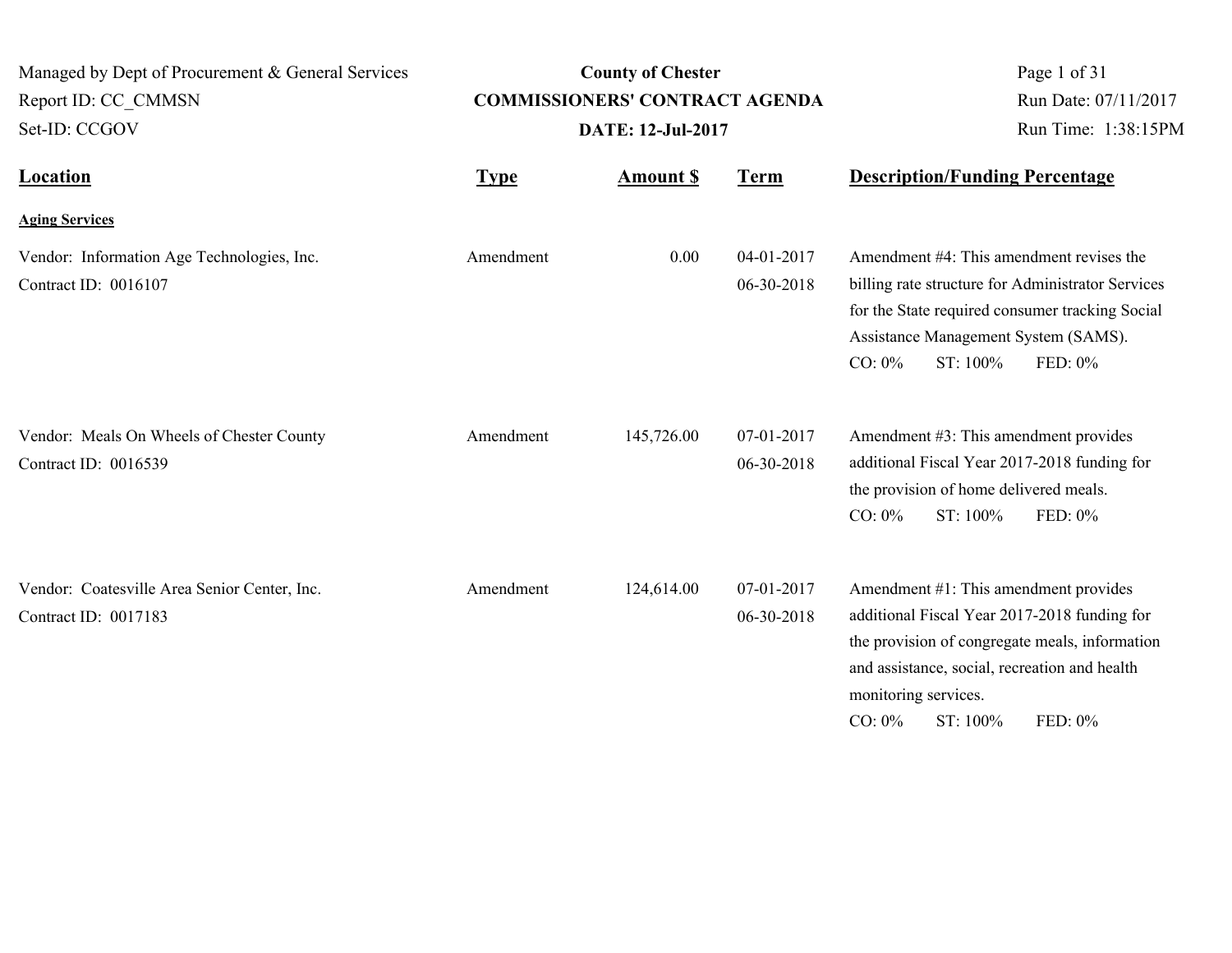| Managed by Dept of Procurement & General Services                    |           | <b>County of Chester</b>                                          |                          | Page 1 of 31                                                                                                                                                                                                                                         |
|----------------------------------------------------------------------|-----------|-------------------------------------------------------------------|--------------------------|------------------------------------------------------------------------------------------------------------------------------------------------------------------------------------------------------------------------------------------------------|
| Report ID: CC CMMSN<br>Set-ID: CCGOV                                 |           | <b>COMMISSIONERS' CONTRACT AGENDA</b><br><b>DATE: 12-Jul-2017</b> |                          | Run Date: 07/11/2017<br>Run Time: 1:38:15PM                                                                                                                                                                                                          |
| <b>Location</b><br><b>Type</b>                                       |           | <b>Amount S</b>                                                   |                          | <b>Description/Funding Percentage</b>                                                                                                                                                                                                                |
| <b>Aging Services</b>                                                |           |                                                                   |                          |                                                                                                                                                                                                                                                      |
| Vendor: Information Age Technologies, Inc.<br>Contract ID: 0016107   | Amendment | 0.00                                                              | 04-01-2017<br>06-30-2018 | Amendment #4: This amendment revises the<br>billing rate structure for Administrator Services<br>for the State required consumer tracking Social<br>Assistance Management System (SAMS).<br>ST: 100%<br>$CO: 0\%$<br>FED: 0%                         |
| Vendor: Meals On Wheels of Chester County<br>Contract ID: 0016539    | Amendment | 145,726.00                                                        | 07-01-2017<br>06-30-2018 | Amendment #3: This amendment provides<br>additional Fiscal Year 2017-2018 funding for<br>the provision of home delivered meals.<br>ST: 100%<br>FED: 0%<br>$CO: 0\%$                                                                                  |
| Vendor: Coatesville Area Senior Center, Inc.<br>Contract ID: 0017183 | Amendment | 124,614.00                                                        | 07-01-2017<br>06-30-2018 | Amendment #1: This amendment provides<br>additional Fiscal Year 2017-2018 funding for<br>the provision of congregate meals, information<br>and assistance, social, recreation and health<br>monitoring services.<br>$CO: 0\%$<br>ST: 100%<br>FED: 0% |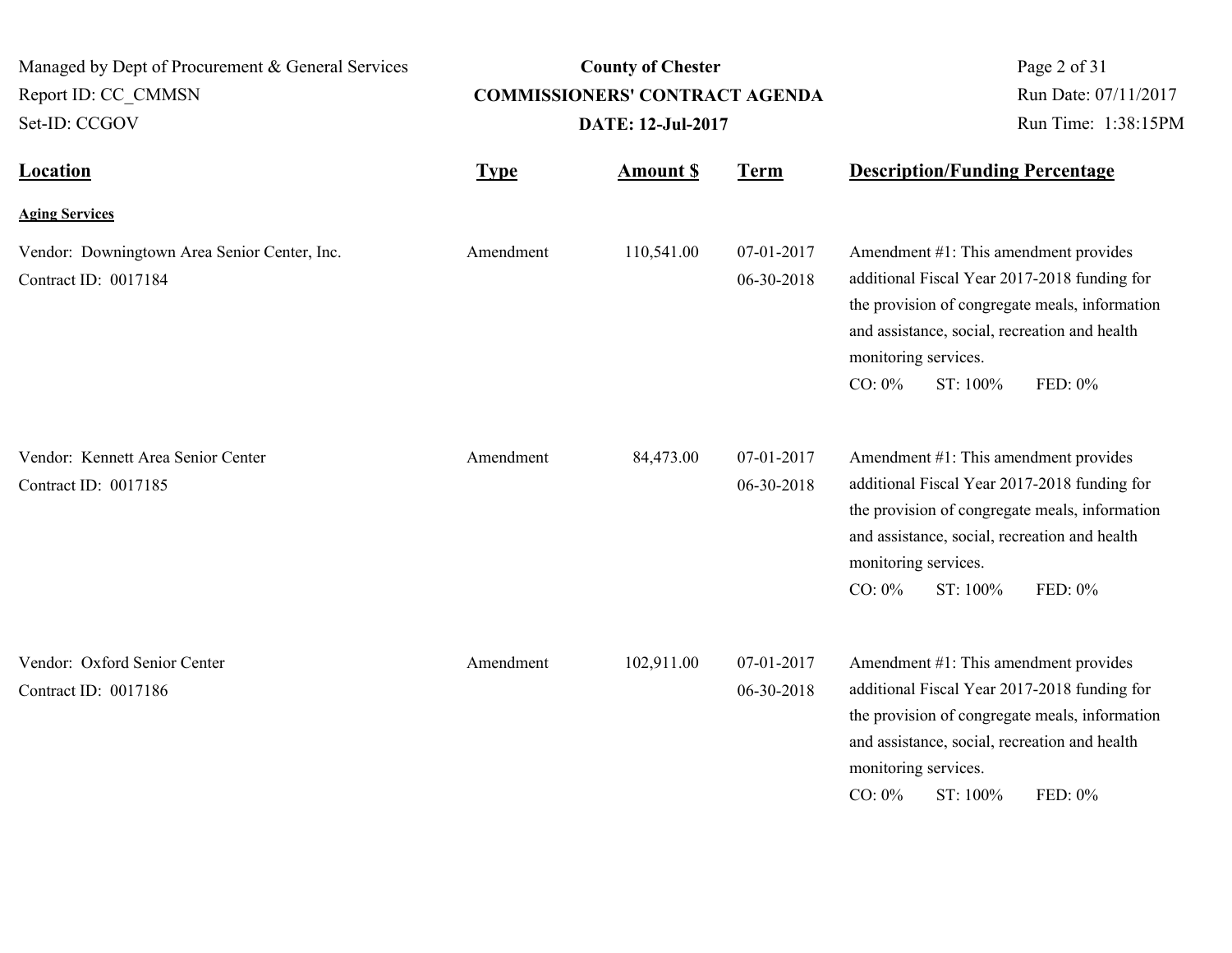| Managed by Dept of Procurement & General Services<br>Report ID: CC CMMSN<br>Set-ID: CCGOV |             | <b>County of Chester</b><br><b>COMMISSIONERS' CONTRACT AGENDA</b><br><b>DATE: 12-Jul-2017</b> | Page 2 of 31<br>Run Date: 07/11/2017<br>Run Time: 1:38:15PM |                                                                                                                                                                                                                                                      |
|-------------------------------------------------------------------------------------------|-------------|-----------------------------------------------------------------------------------------------|-------------------------------------------------------------|------------------------------------------------------------------------------------------------------------------------------------------------------------------------------------------------------------------------------------------------------|
| <b>Location</b>                                                                           | <b>Type</b> | <b>Amount \$</b>                                                                              | <b>Term</b>                                                 | <b>Description/Funding Percentage</b>                                                                                                                                                                                                                |
| <b>Aging Services</b>                                                                     |             |                                                                                               |                                                             |                                                                                                                                                                                                                                                      |
| Vendor: Downingtown Area Senior Center, Inc.<br>Contract ID: 0017184                      | Amendment   | 110,541.00                                                                                    | 07-01-2017<br>06-30-2018                                    | Amendment #1: This amendment provides<br>additional Fiscal Year 2017-2018 funding for<br>the provision of congregate meals, information<br>and assistance, social, recreation and health<br>monitoring services.<br>$CO: 0\%$<br>ST: 100%<br>FED: 0% |
| Vendor: Kennett Area Senior Center<br>Contract ID: 0017185                                | Amendment   | 84,473.00                                                                                     | 07-01-2017<br>06-30-2018                                    | Amendment #1: This amendment provides<br>additional Fiscal Year 2017-2018 funding for<br>the provision of congregate meals, information<br>and assistance, social, recreation and health<br>monitoring services.<br>$CO: 0\%$<br>ST: 100%<br>FED: 0% |
| Vendor: Oxford Senior Center<br>Contract ID: 0017186                                      | Amendment   | 102,911.00                                                                                    | 07-01-2017<br>06-30-2018                                    | Amendment #1: This amendment provides<br>additional Fiscal Year 2017-2018 funding for<br>the provision of congregate meals, information<br>and assistance, social, recreation and health<br>monitoring services.<br>CO: $0\%$<br>ST: 100%<br>FED: 0% |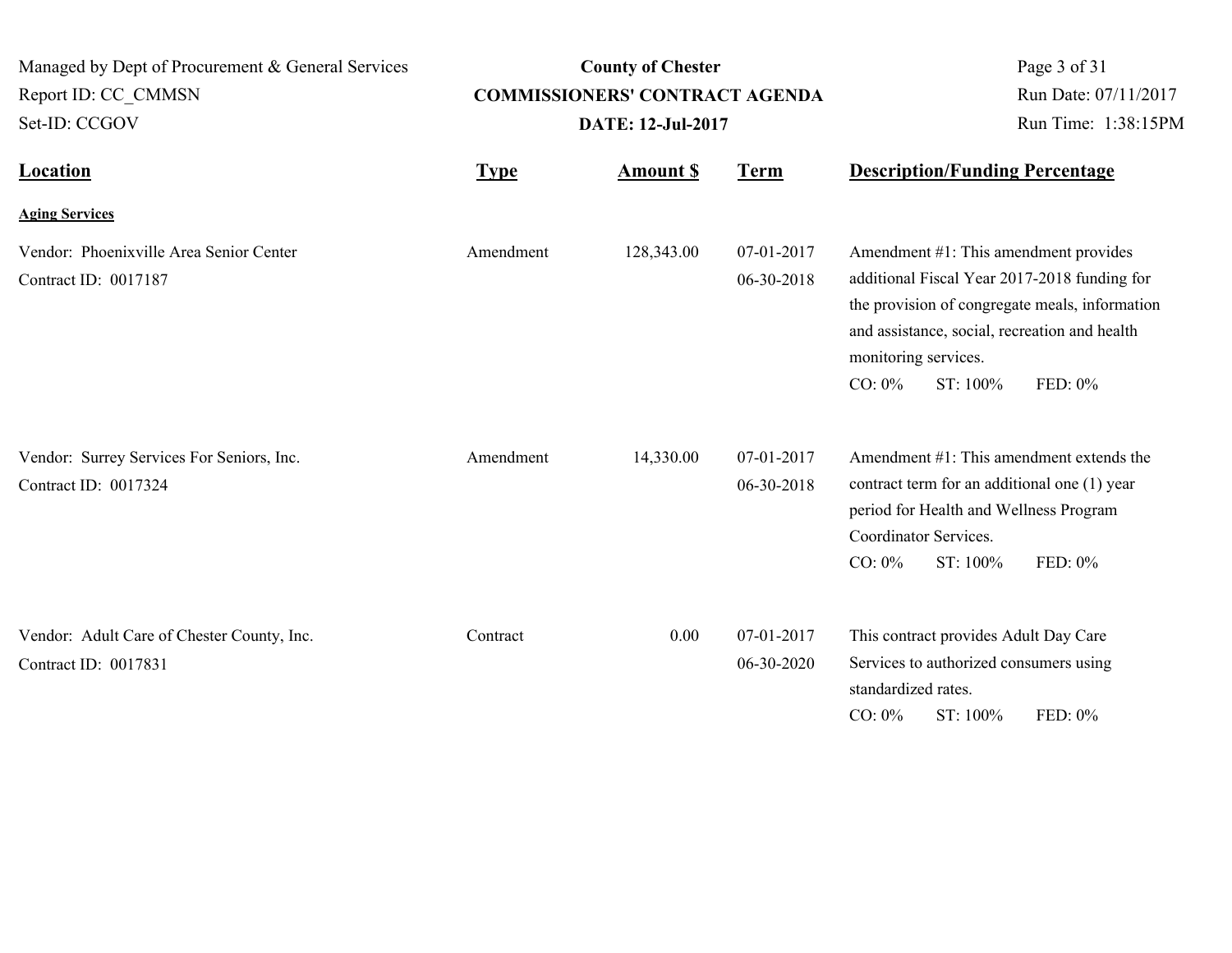| Managed by Dept of Procurement & General Services<br>Report ID: CC_CMMSN<br>Set-ID: CCGOV |             | <b>County of Chester</b><br><b>COMMISSIONERS' CONTRACT AGENDA</b><br><b>DATE: 12-Jul-2017</b> | Page 3 of 31<br>Run Date: 07/11/2017<br>Run Time: 1:38:15PM |                                                                                                                                                                                                                                                      |
|-------------------------------------------------------------------------------------------|-------------|-----------------------------------------------------------------------------------------------|-------------------------------------------------------------|------------------------------------------------------------------------------------------------------------------------------------------------------------------------------------------------------------------------------------------------------|
| <b>Location</b>                                                                           | <b>Type</b> | <b>Amount \$</b>                                                                              | <b>Term</b>                                                 | <b>Description/Funding Percentage</b>                                                                                                                                                                                                                |
| <b>Aging Services</b>                                                                     |             |                                                                                               |                                                             |                                                                                                                                                                                                                                                      |
| Vendor: Phoenixville Area Senior Center<br>Contract ID: 0017187                           | Amendment   | 128,343.00                                                                                    | 07-01-2017<br>06-30-2018                                    | Amendment #1: This amendment provides<br>additional Fiscal Year 2017-2018 funding for<br>the provision of congregate meals, information<br>and assistance, social, recreation and health<br>monitoring services.<br>CO: $0\%$<br>ST: 100%<br>FED: 0% |
| Vendor: Surrey Services For Seniors, Inc.<br>Contract ID: 0017324                         | Amendment   | 14,330.00                                                                                     | 07-01-2017<br>06-30-2018                                    | Amendment #1: This amendment extends the<br>contract term for an additional one (1) year<br>period for Health and Wellness Program<br>Coordinator Services.<br>$CO: 0\%$<br>ST: 100%<br>FED: 0%                                                      |
| Vendor: Adult Care of Chester County, Inc.<br>Contract ID: 0017831                        | Contract    | 0.00                                                                                          | 07-01-2017<br>06-30-2020                                    | This contract provides Adult Day Care<br>Services to authorized consumers using<br>standardized rates.<br>$CO: 0\%$<br>ST: 100%<br>FED: 0%                                                                                                           |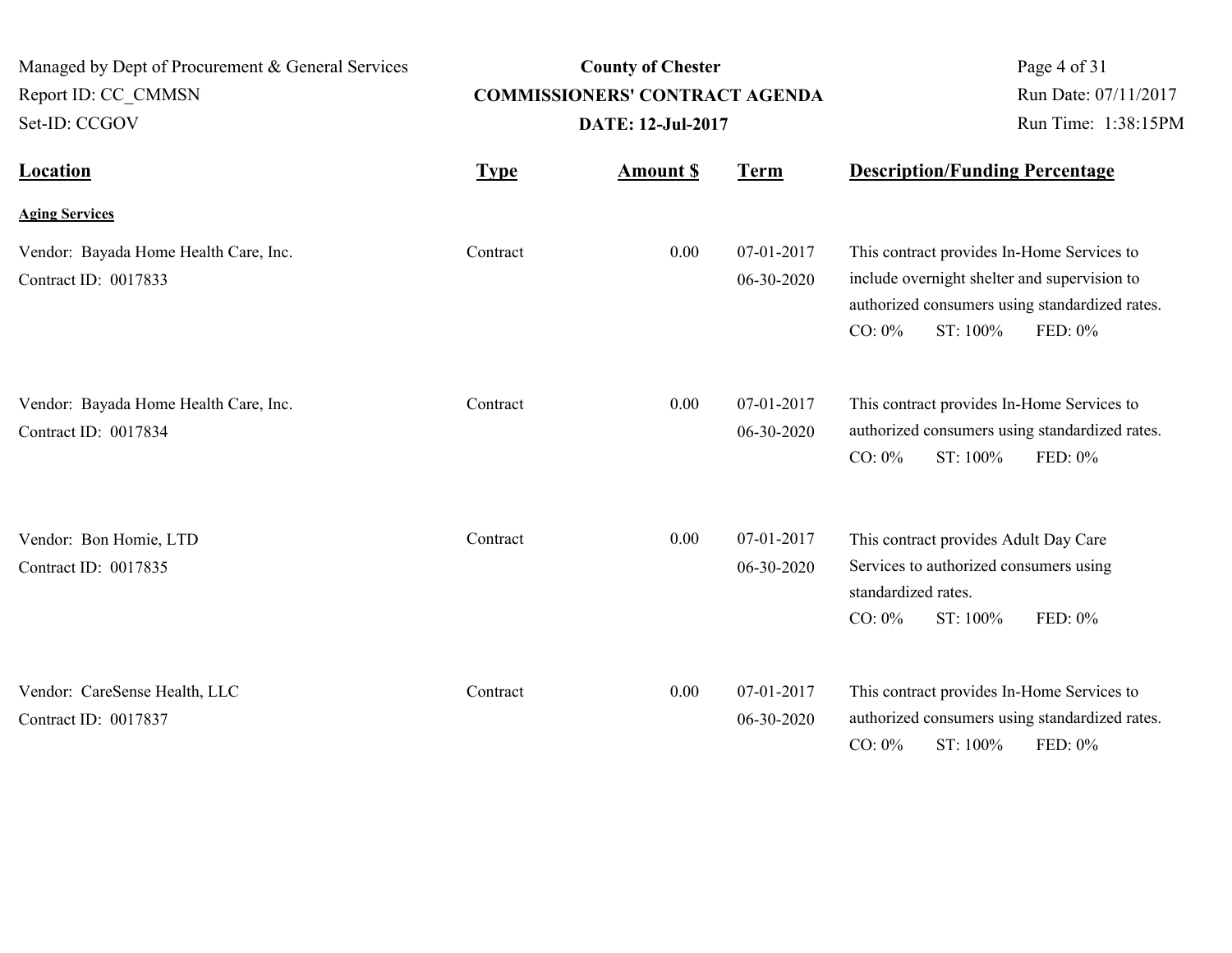| Managed by Dept of Procurement & General Services<br>Report ID: CC CMMSN<br>Set-ID: CCGOV |             | <b>County of Chester</b><br><b>COMMISSIONERS' CONTRACT AGENDA</b><br>DATE: 12-Jul-2017 |                          | Page 4 of 31<br>Run Date: 07/11/2017<br>Run Time: 1:38:15PM                                                                     |                                                           |
|-------------------------------------------------------------------------------------------|-------------|----------------------------------------------------------------------------------------|--------------------------|---------------------------------------------------------------------------------------------------------------------------------|-----------------------------------------------------------|
| <b>Location</b>                                                                           | <b>Type</b> | <b>Amount \$</b>                                                                       | <b>Term</b>              | <b>Description/Funding Percentage</b>                                                                                           |                                                           |
| <b>Aging Services</b>                                                                     |             |                                                                                        |                          |                                                                                                                                 |                                                           |
| Vendor: Bayada Home Health Care, Inc.<br>Contract ID: 0017833                             | Contract    | 0.00                                                                                   | 07-01-2017<br>06-30-2020 | This contract provides In-Home Services to<br>include overnight shelter and supervision to<br>ST: 100%<br>$CO: 0\%$             | authorized consumers using standardized rates.<br>FED: 0% |
| Vendor: Bayada Home Health Care, Inc.<br>Contract ID: 0017834                             | Contract    | 0.00                                                                                   | 07-01-2017<br>06-30-2020 | This contract provides In-Home Services to<br>$CO: 0\%$<br>ST: 100%                                                             | authorized consumers using standardized rates.<br>FED: 0% |
| Vendor: Bon Homie, LTD<br>Contract ID: 0017835                                            | Contract    | 0.00                                                                                   | 07-01-2017<br>06-30-2020 | This contract provides Adult Day Care<br>Services to authorized consumers using<br>standardized rates.<br>$CO: 0\%$<br>ST: 100% | FED: 0%                                                   |
| Vendor: CareSense Health, LLC<br>Contract ID: 0017837                                     | Contract    | 0.00                                                                                   | 07-01-2017<br>06-30-2020 | This contract provides In-Home Services to<br>$CO: 0\%$<br>ST: 100%                                                             | authorized consumers using standardized rates.<br>FED: 0% |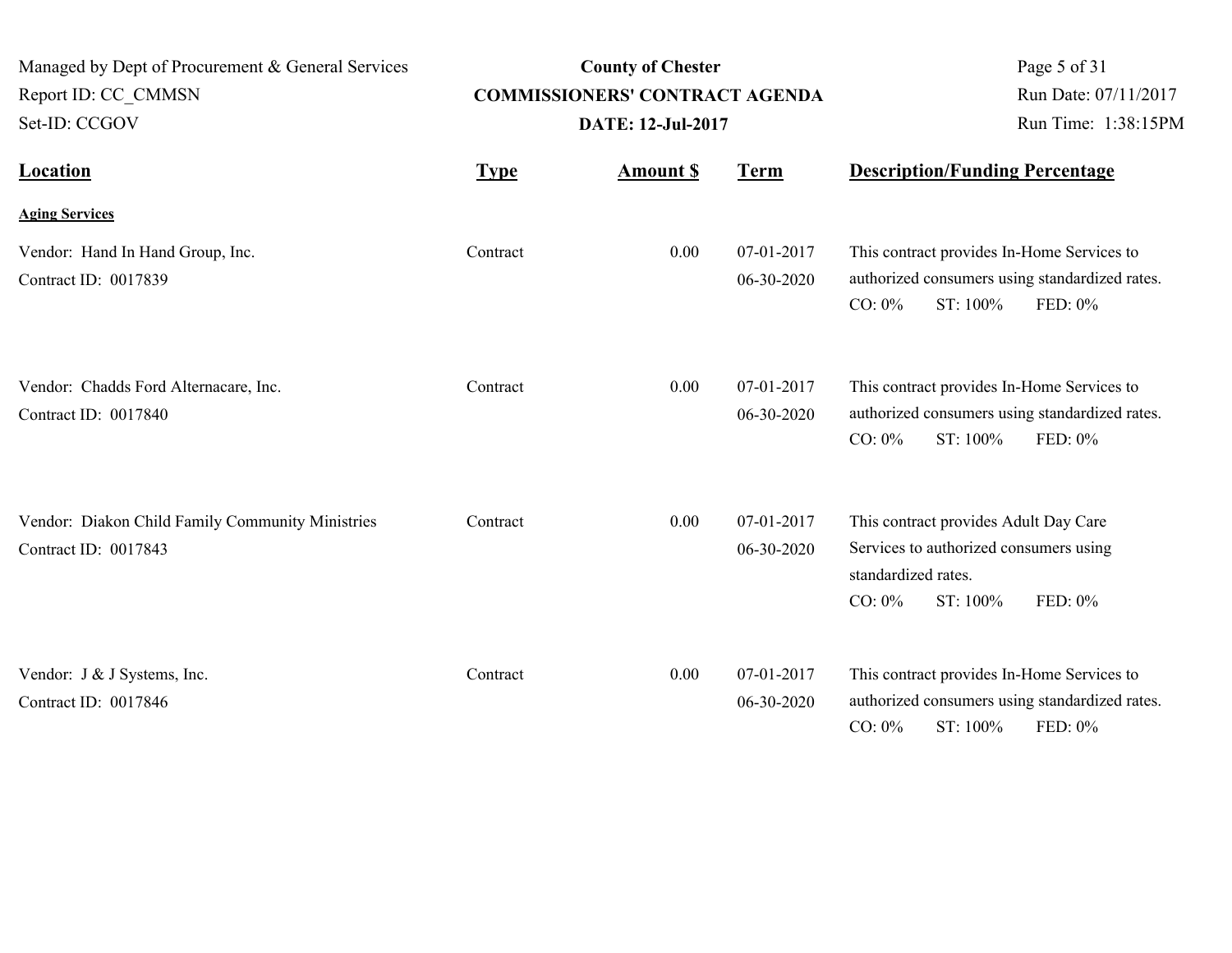| Managed by Dept of Procurement & General Services<br>Report ID: CC CMMSN<br>Set-ID: CCGOV | <b>County of Chester</b><br><b>COMMISSIONERS' CONTRACT AGENDA</b><br><b>DATE: 12-Jul-2017</b> |                  |                          | Page 5 of 31<br>Run Date: 07/11/2017<br>Run Time: 1:38:15PM                                                                                |
|-------------------------------------------------------------------------------------------|-----------------------------------------------------------------------------------------------|------------------|--------------------------|--------------------------------------------------------------------------------------------------------------------------------------------|
| Location                                                                                  | <b>Type</b>                                                                                   | <b>Amount \$</b> | <b>Term</b>              | <b>Description/Funding Percentage</b>                                                                                                      |
| <b>Aging Services</b>                                                                     |                                                                                               |                  |                          |                                                                                                                                            |
| Vendor: Hand In Hand Group, Inc.<br>Contract ID: 0017839                                  | Contract                                                                                      | 0.00             | 07-01-2017<br>06-30-2020 | This contract provides In-Home Services to<br>authorized consumers using standardized rates.<br>ST: 100%<br>$CO: 0\%$<br>FED: $0\%$        |
| Vendor: Chadds Ford Alternacare, Inc.<br>Contract ID: 0017840                             | Contract                                                                                      | 0.00             | 07-01-2017<br>06-30-2020 | This contract provides In-Home Services to<br>authorized consumers using standardized rates.<br>$CO: 0\%$<br>ST: 100%<br>FED: 0%           |
| Vendor: Diakon Child Family Community Ministries<br>Contract ID: 0017843                  | Contract                                                                                      | 0.00             | 07-01-2017<br>06-30-2020 | This contract provides Adult Day Care<br>Services to authorized consumers using<br>standardized rates.<br>ST: 100%<br>FED: 0%<br>$CO: 0\%$ |
| Vendor: J & J Systems, Inc.<br>Contract ID: 0017846                                       | Contract                                                                                      | 0.00             | 07-01-2017<br>06-30-2020 | This contract provides In-Home Services to<br>authorized consumers using standardized rates.<br>$CO: 0\%$<br>ST: 100%<br>FED: 0%           |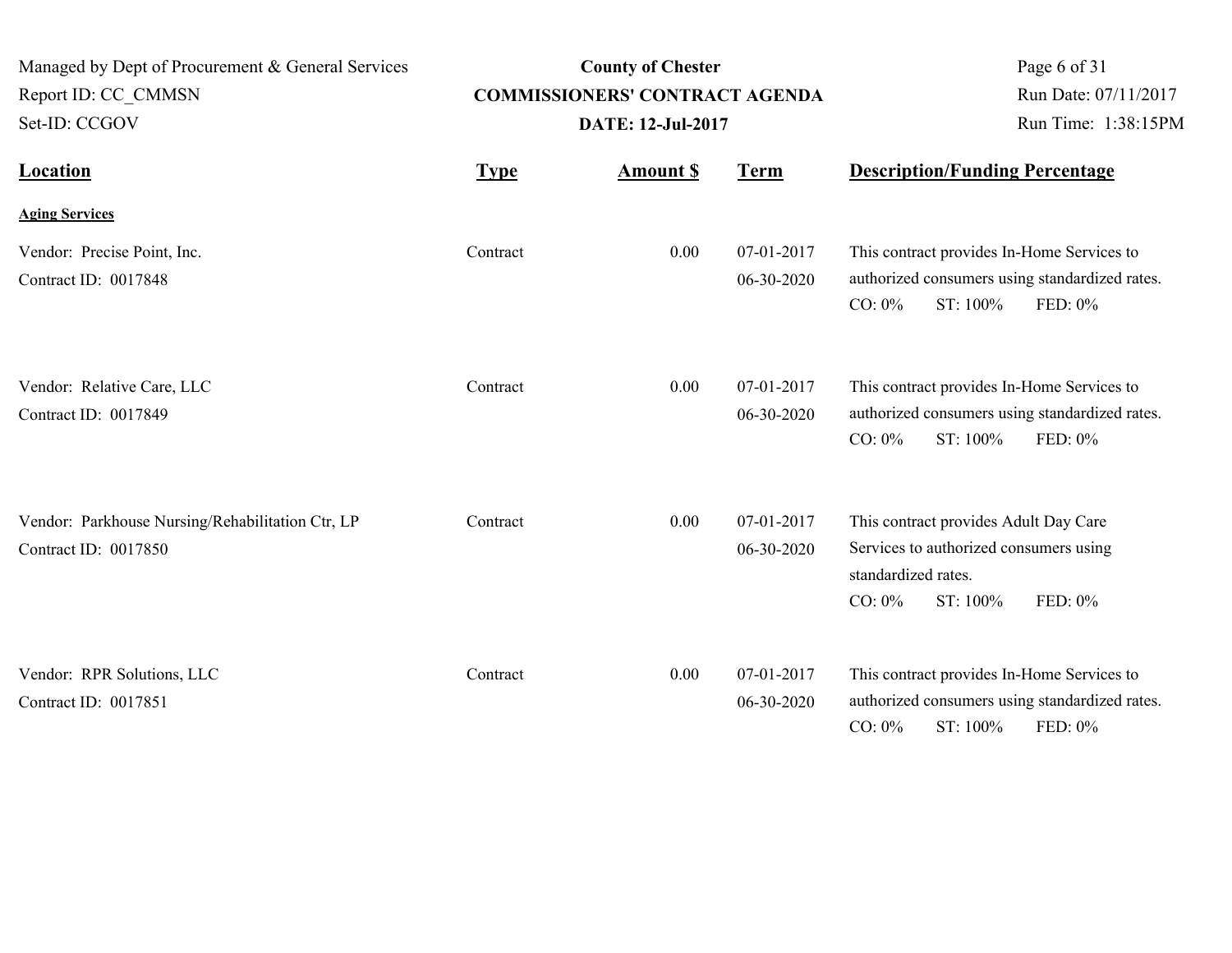| Managed by Dept of Procurement & General Services<br>Report ID: CC CMMSN<br>Set-ID: CCGOV | <b>County of Chester</b><br><b>COMMISSIONERS' CONTRACT AGENDA</b><br>DATE: 12-Jul-2017 |                  |                          | Page 6 of 31<br>Run Date: 07/11/2017<br>Run Time: 1:38:15PM                                                                                |
|-------------------------------------------------------------------------------------------|----------------------------------------------------------------------------------------|------------------|--------------------------|--------------------------------------------------------------------------------------------------------------------------------------------|
| <b>Location</b>                                                                           | <b>Type</b>                                                                            | <b>Amount \$</b> | <b>Term</b>              | <b>Description/Funding Percentage</b>                                                                                                      |
| <b>Aging Services</b>                                                                     |                                                                                        |                  |                          |                                                                                                                                            |
| Vendor: Precise Point, Inc.<br>Contract ID: 0017848                                       | Contract                                                                               | 0.00             | 07-01-2017<br>06-30-2020 | This contract provides In-Home Services to<br>authorized consumers using standardized rates.<br>ST: 100%<br>$CO: 0\%$<br>FED: 0%           |
| Vendor: Relative Care, LLC<br>Contract ID: 0017849                                        | Contract                                                                               | 0.00             | 07-01-2017<br>06-30-2020 | This contract provides In-Home Services to<br>authorized consumers using standardized rates.<br>$CO: 0\%$<br>ST: 100%<br>FED: 0%           |
| Vendor: Parkhouse Nursing/Rehabilitation Ctr, LP<br>Contract ID: 0017850                  | Contract                                                                               | 0.00             | 07-01-2017<br>06-30-2020 | This contract provides Adult Day Care<br>Services to authorized consumers using<br>standardized rates.<br>ST: 100%<br>FED: 0%<br>$CO: 0\%$ |
| Vendor: RPR Solutions, LLC<br>Contract ID: 0017851                                        | Contract                                                                               | 0.00             | 07-01-2017<br>06-30-2020 | This contract provides In-Home Services to<br>authorized consumers using standardized rates.<br>$CO: 0\%$<br>ST: 100%<br>FED: 0%           |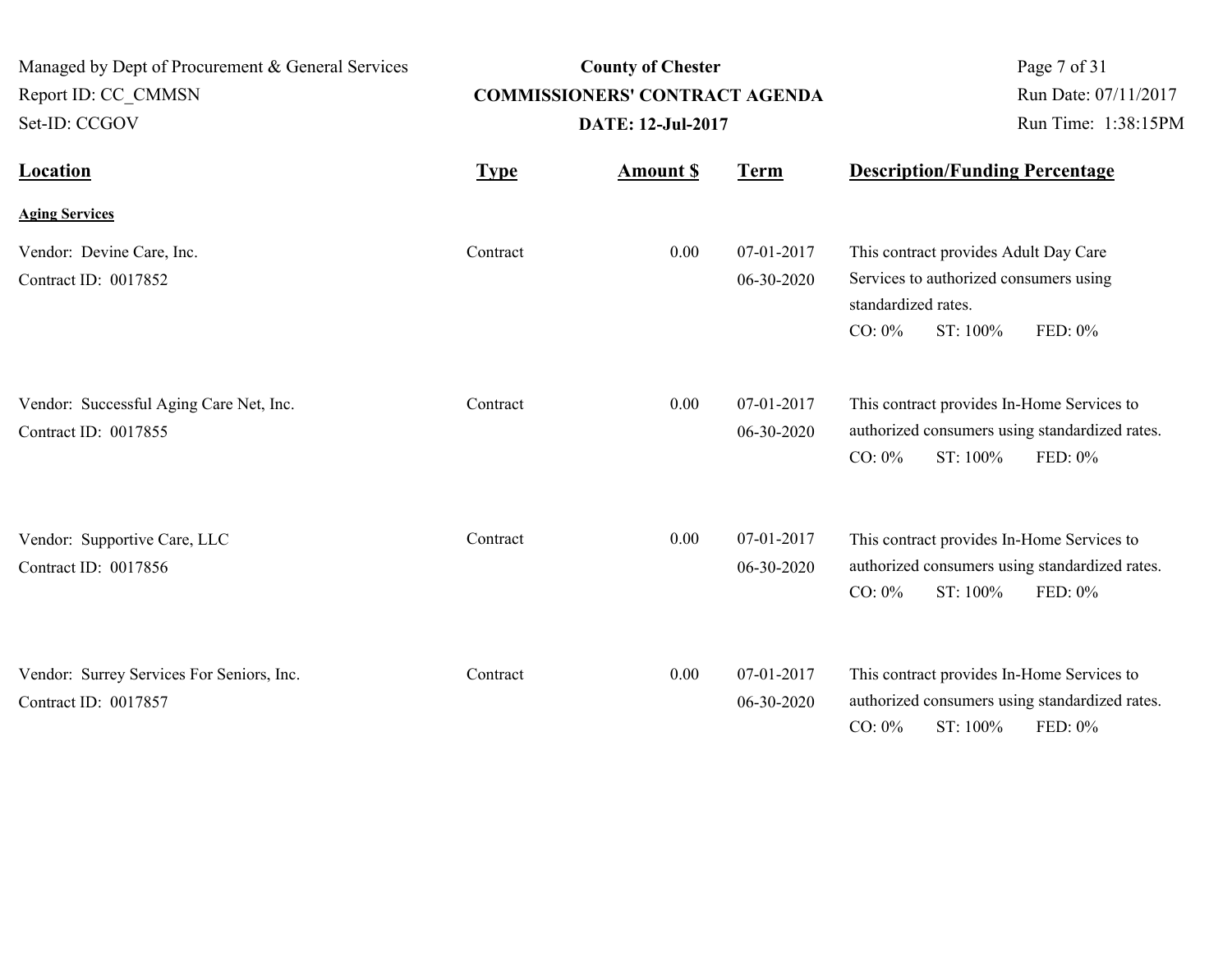| Managed by Dept of Procurement & General Services<br>Report ID: CC CMMSN<br>Set-ID: CCGOV | <b>County of Chester</b><br><b>COMMISSIONERS' CONTRACT AGENDA</b><br><b>DATE: 12-Jul-2017</b> |                  |                          | Page 7 of 31<br>Run Date: 07/11/2017<br>Run Time: 1:38:15PM                                                                                |
|-------------------------------------------------------------------------------------------|-----------------------------------------------------------------------------------------------|------------------|--------------------------|--------------------------------------------------------------------------------------------------------------------------------------------|
| <b>Location</b>                                                                           | <b>Type</b>                                                                                   | <b>Amount \$</b> | <b>Term</b>              | <b>Description/Funding Percentage</b>                                                                                                      |
| <b>Aging Services</b>                                                                     |                                                                                               |                  |                          |                                                                                                                                            |
| Vendor: Devine Care, Inc.<br>Contract ID: 0017852                                         | Contract                                                                                      | 0.00             | 07-01-2017<br>06-30-2020 | This contract provides Adult Day Care<br>Services to authorized consumers using<br>standardized rates.<br>$CO: 0\%$<br>ST: 100%<br>FED: 0% |
| Vendor: Successful Aging Care Net, Inc.<br>Contract ID: 0017855                           | Contract                                                                                      | 0.00             | 07-01-2017<br>06-30-2020 | This contract provides In-Home Services to<br>authorized consumers using standardized rates.<br>ST: 100%<br>$CO: 0\%$<br>FED: 0%           |
| Vendor: Supportive Care, LLC<br>Contract ID: 0017856                                      | Contract                                                                                      | 0.00             | 07-01-2017<br>06-30-2020 | This contract provides In-Home Services to<br>authorized consumers using standardized rates.<br>$CO: 0\%$<br>ST: 100%<br>FED: 0%           |
| Vendor: Surrey Services For Seniors, Inc.<br>Contract ID: 0017857                         | Contract                                                                                      | 0.00             | 07-01-2017<br>06-30-2020 | This contract provides In-Home Services to<br>authorized consumers using standardized rates.<br>$CO: 0\%$<br>ST: 100%<br>FED: 0%           |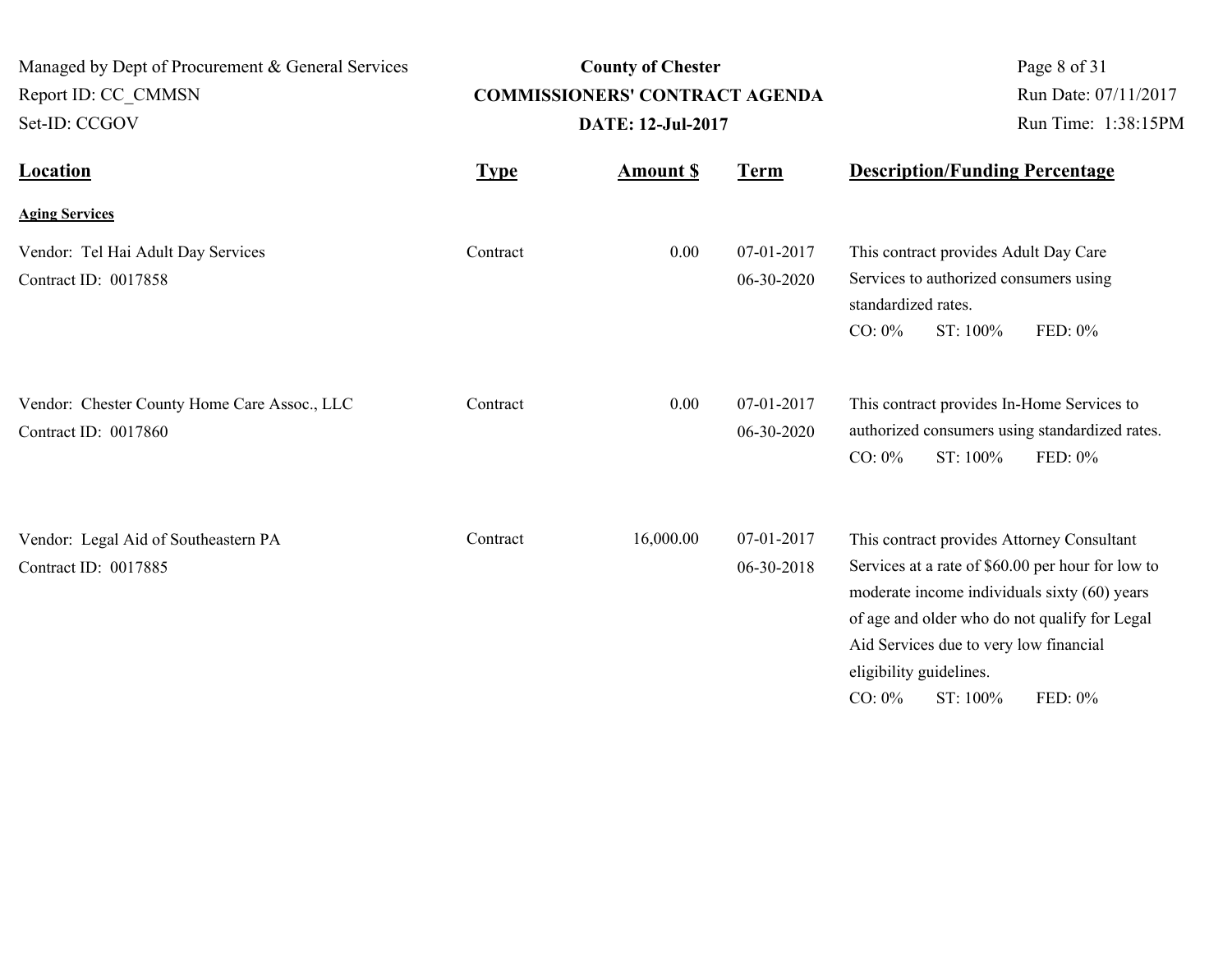| Managed by Dept of Procurement & General Services<br>Report ID: CC CMMSN<br>Set-ID: CCGOV |             | <b>County of Chester</b><br><b>COMMISSIONERS' CONTRACT AGENDA</b><br><b>DATE: 12-Jul-2017</b> | Page 8 of 31<br>Run Date: 07/11/2017<br>Run Time: 1:38:15PM |                                                                                                                                                                                                                                                                                                           |
|-------------------------------------------------------------------------------------------|-------------|-----------------------------------------------------------------------------------------------|-------------------------------------------------------------|-----------------------------------------------------------------------------------------------------------------------------------------------------------------------------------------------------------------------------------------------------------------------------------------------------------|
| <b>Location</b>                                                                           | <b>Type</b> | <b>Amount \$</b>                                                                              | <b>Term</b>                                                 | <b>Description/Funding Percentage</b>                                                                                                                                                                                                                                                                     |
| <b>Aging Services</b>                                                                     |             |                                                                                               |                                                             |                                                                                                                                                                                                                                                                                                           |
| Vendor: Tel Hai Adult Day Services<br>Contract ID: 0017858                                | Contract    | 0.00                                                                                          | 07-01-2017<br>06-30-2020                                    | This contract provides Adult Day Care<br>Services to authorized consumers using<br>standardized rates.<br>$CO: 0\%$<br>ST: 100%<br>FED: 0%                                                                                                                                                                |
| Vendor: Chester County Home Care Assoc., LLC<br>Contract ID: 0017860                      | Contract    | 0.00                                                                                          | 07-01-2017<br>06-30-2020                                    | This contract provides In-Home Services to<br>authorized consumers using standardized rates.<br>$CO: 0\%$<br>ST: 100%<br>FED: 0%                                                                                                                                                                          |
| Vendor: Legal Aid of Southeastern PA<br>Contract ID: 0017885                              | Contract    | 16,000.00                                                                                     | 07-01-2017<br>06-30-2018                                    | This contract provides Attorney Consultant<br>Services at a rate of \$60.00 per hour for low to<br>moderate income individuals sixty (60) years<br>of age and older who do not qualify for Legal<br>Aid Services due to very low financial<br>eligibility guidelines.<br>$CO: 0\%$<br>ST: 100%<br>FED: 0% |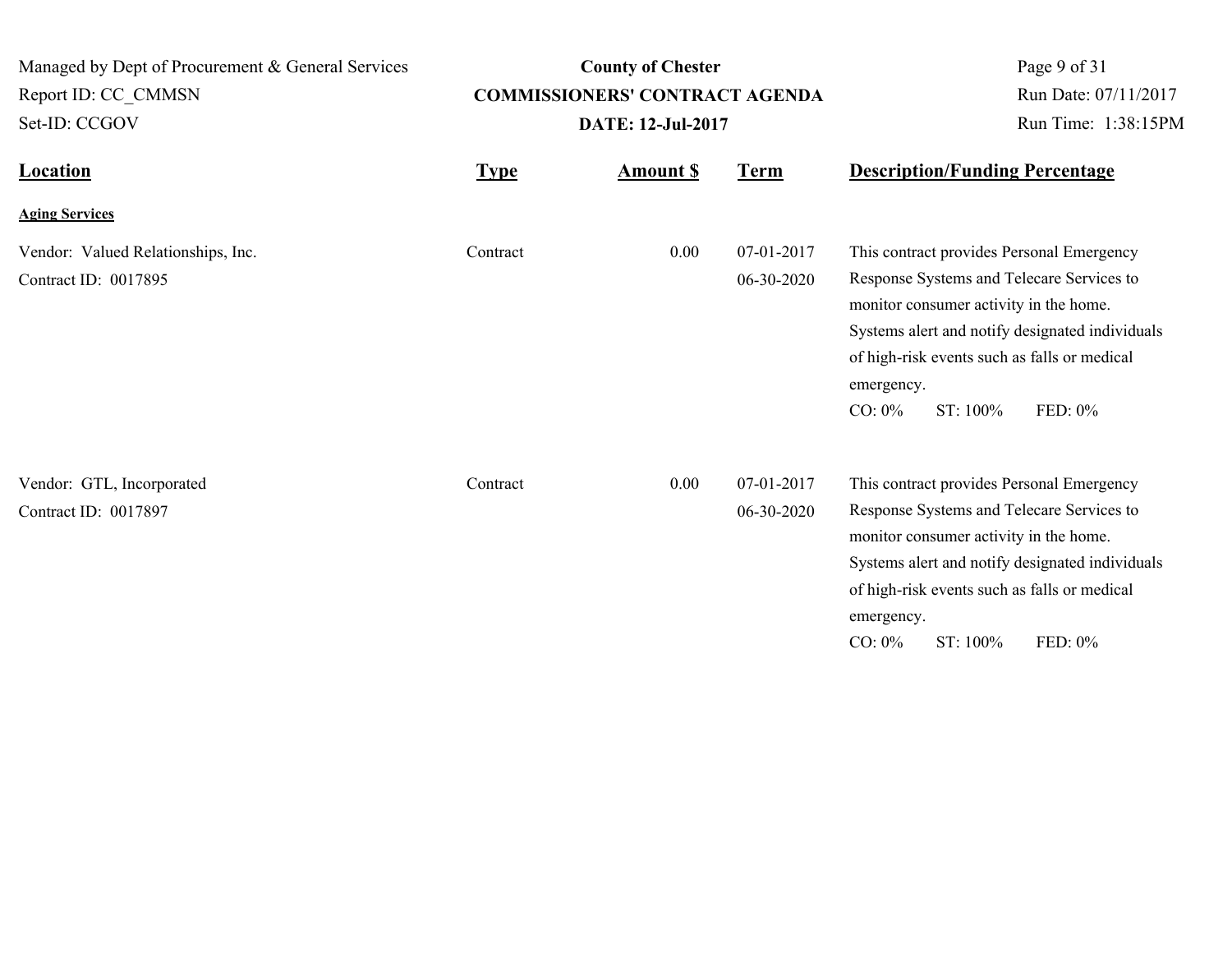| Managed by Dept of Procurement & General Services<br>Report ID: CC_CMMSN<br>Set-ID: CCGOV | <b>County of Chester</b><br><b>COMMISSIONERS' CONTRACT AGENDA</b><br><b>DATE: 12-Jul-2017</b> |                 |                          | Page 9 of 31<br>Run Date: 07/11/2017<br>Run Time: 1:38:15PM                                                                                                                                                                                                                           |  |  |
|-------------------------------------------------------------------------------------------|-----------------------------------------------------------------------------------------------|-----------------|--------------------------|---------------------------------------------------------------------------------------------------------------------------------------------------------------------------------------------------------------------------------------------------------------------------------------|--|--|
| <b>Location</b>                                                                           | <b>Type</b>                                                                                   | <b>Amount S</b> | <u>Term</u>              | <b>Description/Funding Percentage</b>                                                                                                                                                                                                                                                 |  |  |
| <b>Aging Services</b>                                                                     |                                                                                               |                 |                          |                                                                                                                                                                                                                                                                                       |  |  |
| Vendor: Valued Relationships, Inc.<br>Contract ID: 0017895                                | Contract                                                                                      | 0.00            | 07-01-2017<br>06-30-2020 | This contract provides Personal Emergency<br>Response Systems and Telecare Services to<br>monitor consumer activity in the home.<br>Systems alert and notify designated individuals<br>of high-risk events such as falls or medical<br>emergency.<br>$CO: 0\%$<br>ST: 100%<br>FED: 0% |  |  |
| Vendor: GTL, Incorporated<br>Contract ID: 0017897                                         | Contract                                                                                      | 0.00            | 07-01-2017<br>06-30-2020 | This contract provides Personal Emergency<br>Response Systems and Telecare Services to<br>monitor consumer activity in the home.<br>Systems alert and notify designated individuals<br>of high-risk events such as falls or medical<br>emergency.<br>$CO: 0\%$<br>ST: 100%<br>FED: 0% |  |  |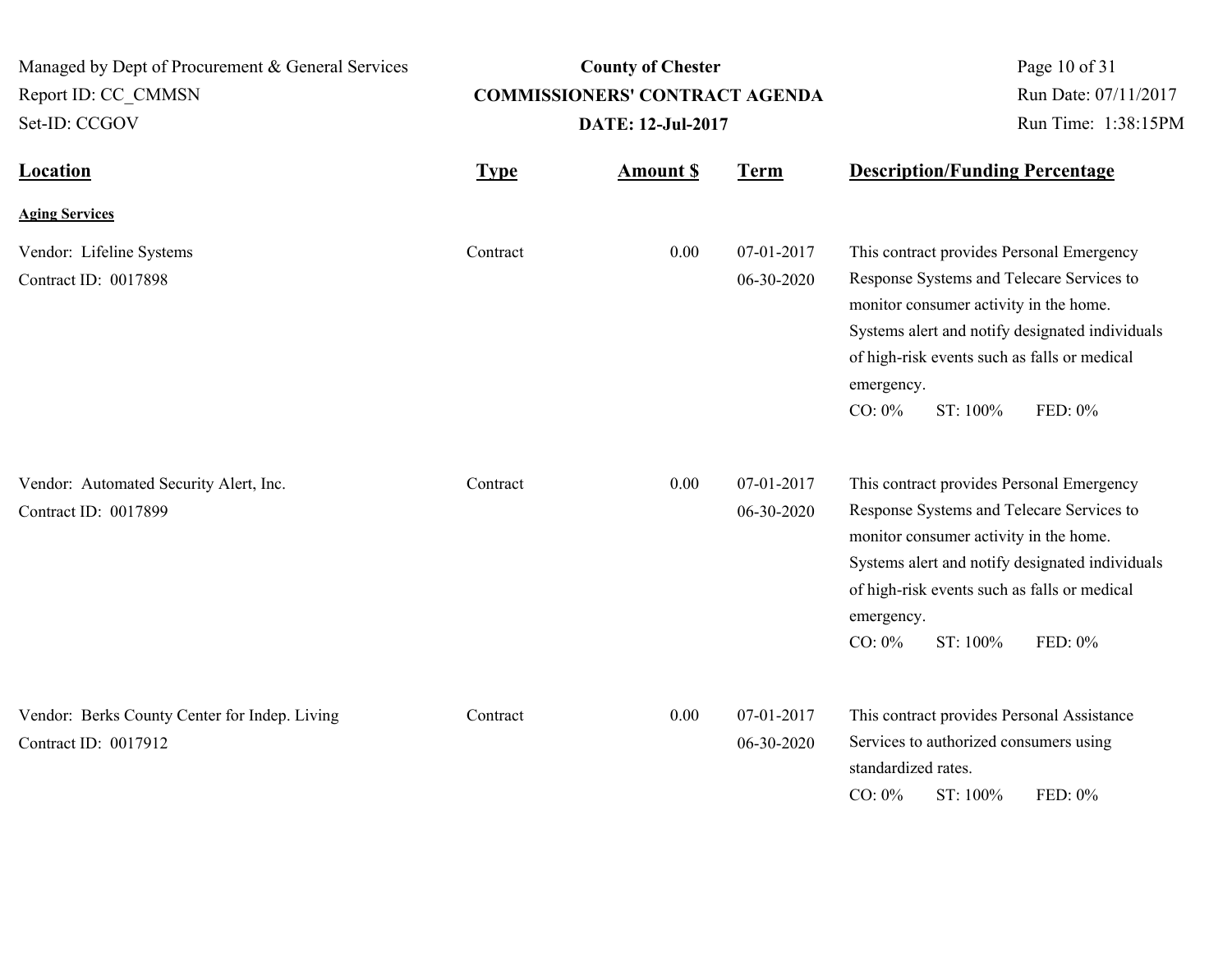| Managed by Dept of Procurement & General Services<br>Report ID: CC CMMSN<br>Set-ID: CCGOV | <b>County of Chester</b><br><b>COMMISSIONERS' CONTRACT AGENDA</b><br>DATE: 12-Jul-2017 |                  |                          | Page 10 of 31<br>Run Date: 07/11/2017<br>Run Time: 1:38:15PM                                                                                                                                                                                                                          |  |
|-------------------------------------------------------------------------------------------|----------------------------------------------------------------------------------------|------------------|--------------------------|---------------------------------------------------------------------------------------------------------------------------------------------------------------------------------------------------------------------------------------------------------------------------------------|--|
| <b>Location</b>                                                                           | <b>Type</b>                                                                            | <b>Amount \$</b> | <b>Term</b>              | <b>Description/Funding Percentage</b>                                                                                                                                                                                                                                                 |  |
| <b>Aging Services</b>                                                                     |                                                                                        |                  |                          |                                                                                                                                                                                                                                                                                       |  |
| Vendor: Lifeline Systems<br>Contract ID: 0017898                                          | Contract                                                                               | 0.00             | 07-01-2017<br>06-30-2020 | This contract provides Personal Emergency<br>Response Systems and Telecare Services to<br>monitor consumer activity in the home.<br>Systems alert and notify designated individuals<br>of high-risk events such as falls or medical<br>emergency.<br>$CO: 0\%$<br>ST: 100%<br>FED: 0% |  |
| Vendor: Automated Security Alert, Inc.<br>Contract ID: 0017899                            | Contract                                                                               | 0.00             | 07-01-2017<br>06-30-2020 | This contract provides Personal Emergency<br>Response Systems and Telecare Services to<br>monitor consumer activity in the home.<br>Systems alert and notify designated individuals<br>of high-risk events such as falls or medical<br>emergency.<br>ST: 100%<br>$CO: 0\%$<br>FED: 0% |  |
| Vendor: Berks County Center for Indep. Living<br>Contract ID: 0017912                     | Contract                                                                               | 0.00             | 07-01-2017<br>06-30-2020 | This contract provides Personal Assistance<br>Services to authorized consumers using<br>standardized rates.<br>$CO: 0\%$<br>ST: 100%<br>FED: 0%                                                                                                                                       |  |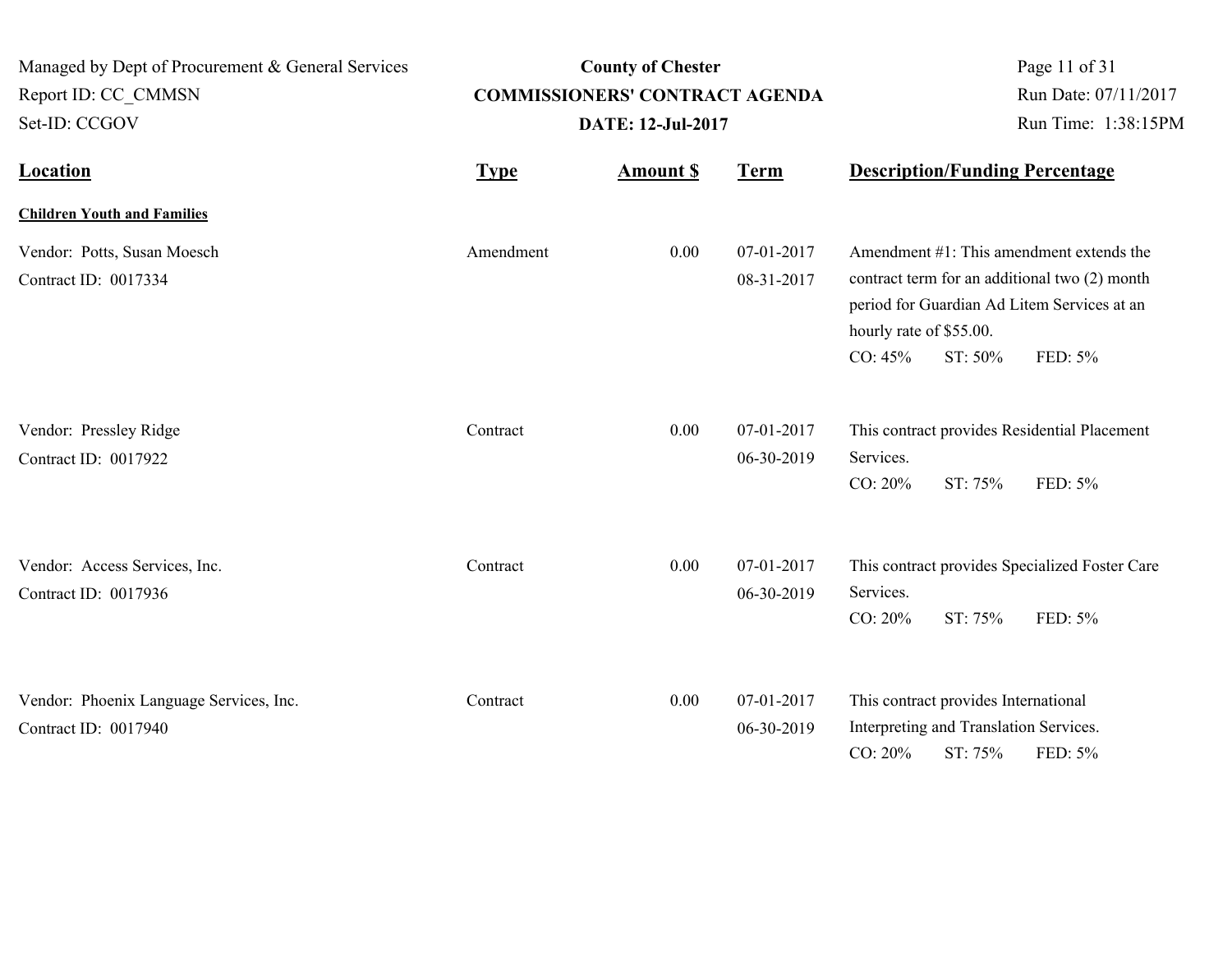| Managed by Dept of Procurement & General Services<br>Report ID: CC CMMSN<br>Set-ID: CCGOV | <b>County of Chester</b><br><b>COMMISSIONERS' CONTRACT AGENDA</b><br><b>DATE: 12-Jul-2017</b> |                  |                                                                | Page 11 of 31<br>Run Date: 07/11/2017<br>Run Time: 1:38:15PM |                                                                                           |                                                                                                                                                     |
|-------------------------------------------------------------------------------------------|-----------------------------------------------------------------------------------------------|------------------|----------------------------------------------------------------|--------------------------------------------------------------|-------------------------------------------------------------------------------------------|-----------------------------------------------------------------------------------------------------------------------------------------------------|
| <b>Location</b>                                                                           | <b>Type</b>                                                                                   | <b>Amount \$</b> | <b>Term</b>                                                    | <b>Description/Funding Percentage</b>                        |                                                                                           |                                                                                                                                                     |
| <b>Children Youth and Families</b>                                                        |                                                                                               |                  |                                                                |                                                              |                                                                                           |                                                                                                                                                     |
| Vendor: Potts, Susan Moesch<br>Contract ID: 0017334                                       | Amendment                                                                                     | 0.00             | 07-01-2017<br>08-31-2017<br>hourly rate of \$55.00.<br>CO: 45% |                                                              | ST: 50%                                                                                   | Amendment #1: This amendment extends the<br>contract term for an additional two (2) month<br>period for Guardian Ad Litem Services at an<br>FED: 5% |
| Vendor: Pressley Ridge<br>Contract ID: 0017922                                            | Contract                                                                                      | 0.00             | 07-01-2017<br>06-30-2019                                       | Services.<br>CO: 20%                                         | ST: 75%                                                                                   | This contract provides Residential Placement<br>FED: 5%                                                                                             |
| Vendor: Access Services, Inc.<br>Contract ID: 0017936                                     | Contract                                                                                      | 0.00             | 07-01-2017<br>06-30-2019                                       | Services.<br>CO: 20%                                         | ST: 75%                                                                                   | This contract provides Specialized Foster Care<br>FED: 5%                                                                                           |
| Vendor: Phoenix Language Services, Inc.<br>Contract ID: 0017940                           | Contract                                                                                      | 0.00             | 07-01-2017<br>06-30-2019                                       | CO: 20%                                                      | This contract provides International<br>Interpreting and Translation Services.<br>ST: 75% | FED: 5%                                                                                                                                             |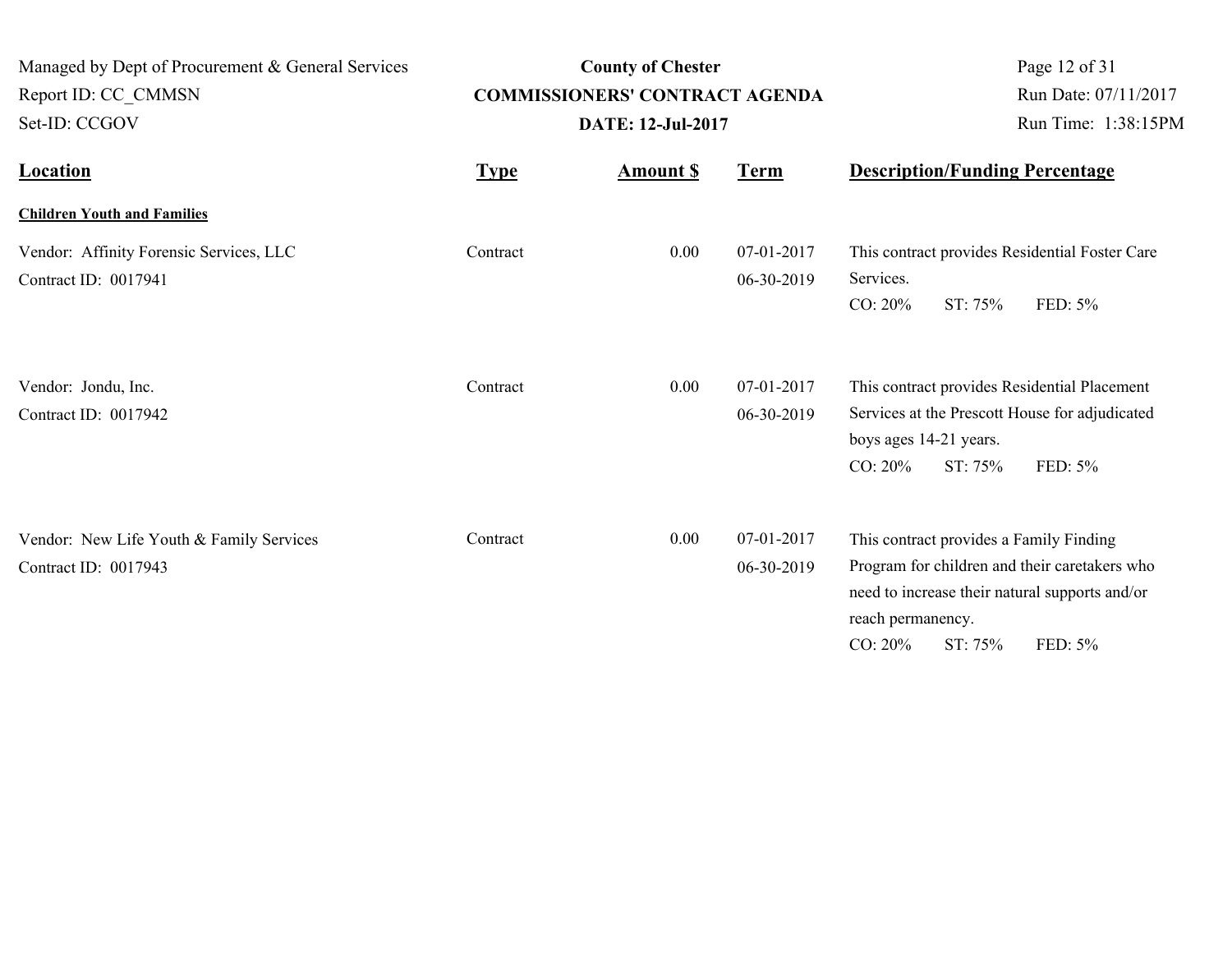| Managed by Dept of Procurement & General Services<br>Report ID: CC CMMSN |             | <b>County of Chester</b><br><b>COMMISSIONERS' CONTRACT AGENDA</b> | Page 12 of 31<br>Run Date: 07/11/2017 |                                                                                                                                                                                                     |
|--------------------------------------------------------------------------|-------------|-------------------------------------------------------------------|---------------------------------------|-----------------------------------------------------------------------------------------------------------------------------------------------------------------------------------------------------|
| Set-ID: CCGOV                                                            |             | <b>DATE: 12-Jul-2017</b>                                          |                                       | Run Time: 1:38:15PM                                                                                                                                                                                 |
| <b>Location</b>                                                          | <b>Type</b> | <b>Amount S</b>                                                   | <b>Term</b>                           | <b>Description/Funding Percentage</b>                                                                                                                                                               |
| <b>Children Youth and Families</b>                                       |             |                                                                   |                                       |                                                                                                                                                                                                     |
| Vendor: Affinity Forensic Services, LLC<br>Contract ID: 0017941          | Contract    | 0.00                                                              | 07-01-2017<br>06-30-2019              | This contract provides Residential Foster Care<br>Services.<br>CO: 20%<br>ST: 75%<br>FED: 5%                                                                                                        |
| Vendor: Jondu, Inc.<br>Contract ID: 0017942                              | Contract    | 0.00                                                              | 07-01-2017<br>06-30-2019              | This contract provides Residential Placement<br>Services at the Prescott House for adjudicated<br>boys ages 14-21 years.<br>CO: 20%<br>ST: 75%<br>FED: 5%                                           |
| Vendor: New Life Youth & Family Services<br>Contract ID: 0017943         | Contract    | 0.00                                                              | 07-01-2017<br>06-30-2019              | This contract provides a Family Finding<br>Program for children and their caretakers who<br>need to increase their natural supports and/or<br>reach permanency.<br>FED: 5%<br>$CO: 20\%$<br>ST: 75% |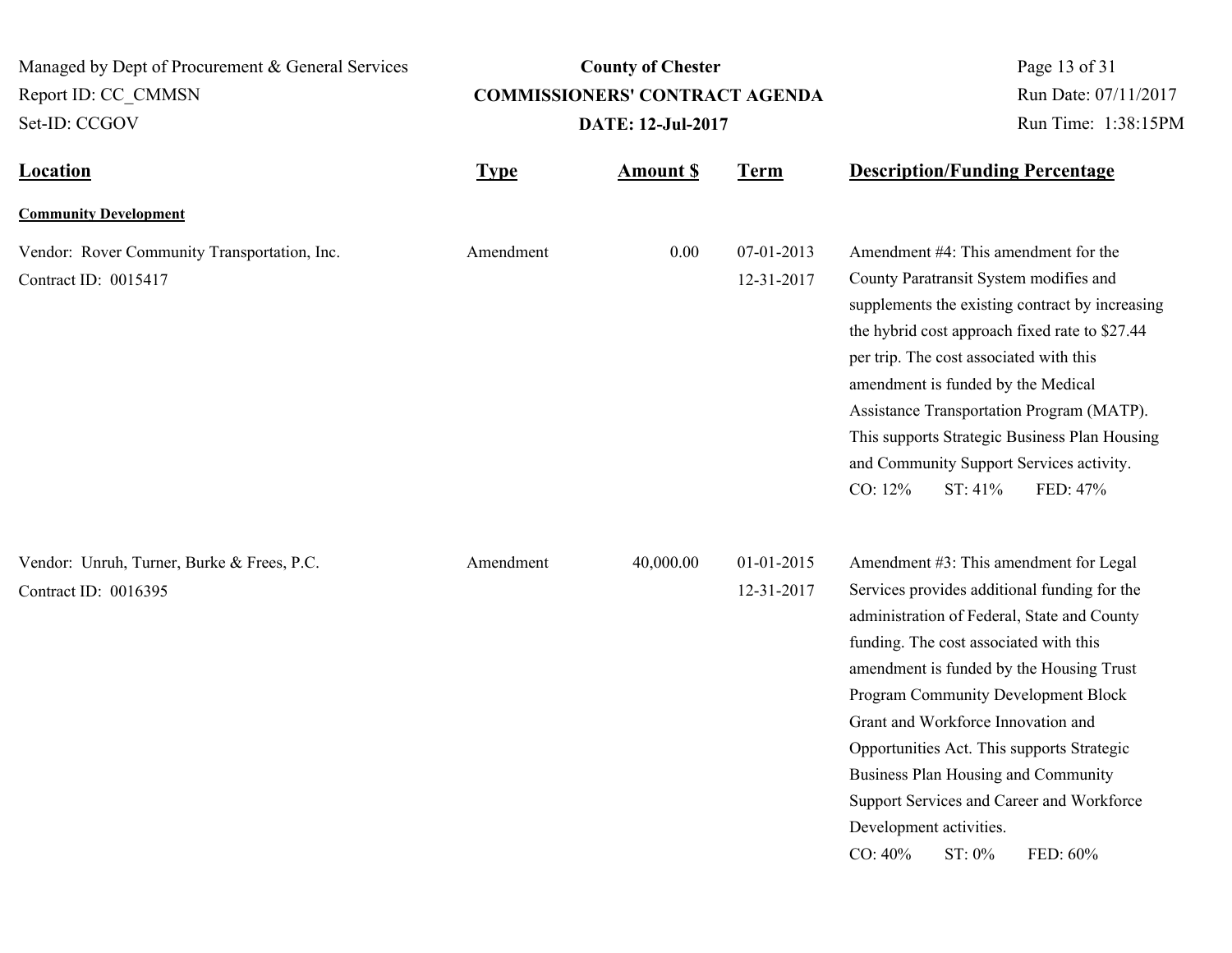| Managed by Dept of Procurement & General Services<br>Report ID: CC CMMSN<br>Set-ID: CCGOV |             | <b>County of Chester</b><br><b>COMMISSIONERS' CONTRACT AGENDA</b><br><b>DATE: 12-Jul-2017</b> | Page 13 of 31<br>Run Date: 07/11/2017<br>Run Time: 1:38:15PM |                                                                                                                                                                                                                                                                                                                                                                                                                                                                                                           |
|-------------------------------------------------------------------------------------------|-------------|-----------------------------------------------------------------------------------------------|--------------------------------------------------------------|-----------------------------------------------------------------------------------------------------------------------------------------------------------------------------------------------------------------------------------------------------------------------------------------------------------------------------------------------------------------------------------------------------------------------------------------------------------------------------------------------------------|
| <b>Location</b>                                                                           | <b>Type</b> | <b>Amount \$</b>                                                                              | <b>Term</b>                                                  | <b>Description/Funding Percentage</b>                                                                                                                                                                                                                                                                                                                                                                                                                                                                     |
| <b>Community Development</b>                                                              |             |                                                                                               |                                                              |                                                                                                                                                                                                                                                                                                                                                                                                                                                                                                           |
| Vendor: Rover Community Transportation, Inc.<br>Contract ID: 0015417                      | Amendment   | 0.00                                                                                          | 07-01-2013<br>12-31-2017                                     | Amendment #4: This amendment for the<br>County Paratransit System modifies and<br>supplements the existing contract by increasing<br>the hybrid cost approach fixed rate to \$27.44<br>per trip. The cost associated with this<br>amendment is funded by the Medical<br>Assistance Transportation Program (MATP).<br>This supports Strategic Business Plan Housing<br>and Community Support Services activity.<br>CO: 12%<br>FED: 47%<br>ST: 41%                                                          |
| Vendor: Unruh, Turner, Burke & Frees, P.C.<br>Contract ID: 0016395                        | Amendment   | 40,000.00                                                                                     | 01-01-2015<br>12-31-2017                                     | Amendment #3: This amendment for Legal<br>Services provides additional funding for the<br>administration of Federal, State and County<br>funding. The cost associated with this<br>amendment is funded by the Housing Trust<br>Program Community Development Block<br>Grant and Workforce Innovation and<br>Opportunities Act. This supports Strategic<br>Business Plan Housing and Community<br>Support Services and Career and Workforce<br>Development activities.<br>CO: 40%<br>$ST: 0\%$<br>FED: 60% |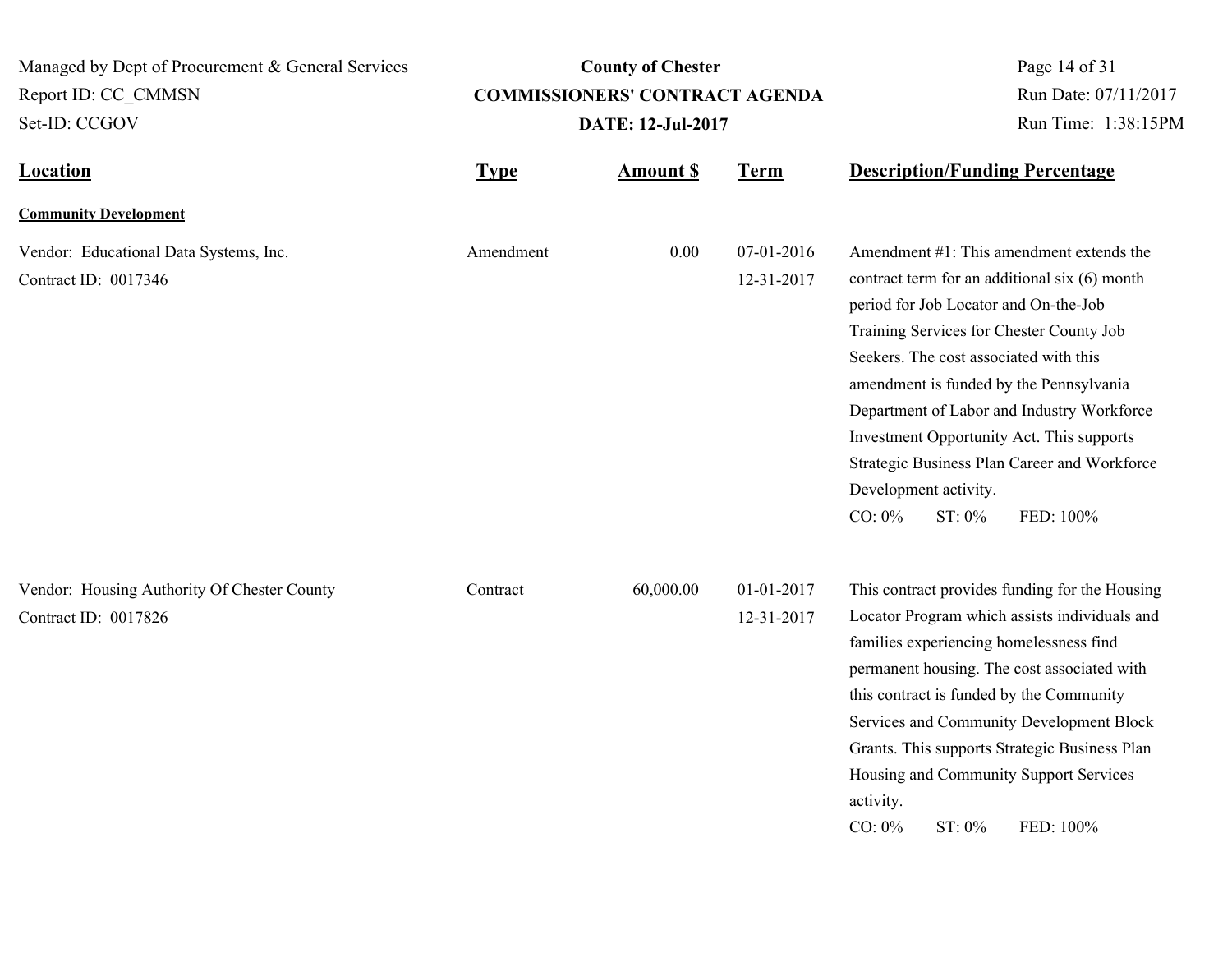**Location Type Type** *Amount \$* **Term Description/Funding Percentage County of Chester COMMISSIONERS' CONTRACT AGENDA** Managed by Dept of Procurement & General Services Set-ID: CCGOV Report ID: CC\_CMMSN Page 14 of 31 **Amount \$ DATE: 12-Jul-2017** Run Date: 07/11/2017 Run Time: 1:38:15PM **Community Development** Vendor: Educational Data Systems, Inc. Amendment 0.00 07-01-2016 Contract ID: 0017346 12-31-2017 Amendment #1: This amendment extends the contract term for an additional six (6) month period for Job Locator and On-the-Job Training Services for Chester County Job Seekers. The cost associated with this amendment is funded by the Pennsylvania Department of Labor and Industry Workforce Investment Opportunity Act. This supports Strategic Business Plan Career and Workforce Development activity. CO: 0% ST: 0% FED: 100% Amendment Vendor: Housing Authority Of Chester County **60,000.00** 01-01-2017 Contract ID: 0017826 12-31-2017 This contract provides funding for the Housing Locator Program which assists individuals and families experiencing homelessness find **Contract** 

> permanent housing. The cost associated with this contract is funded by the Community Services and Community Development Block Grants. This supports Strategic Business Plan Housing and Community Support Services

CO: 0% ST: 0% FED: 100%

activity.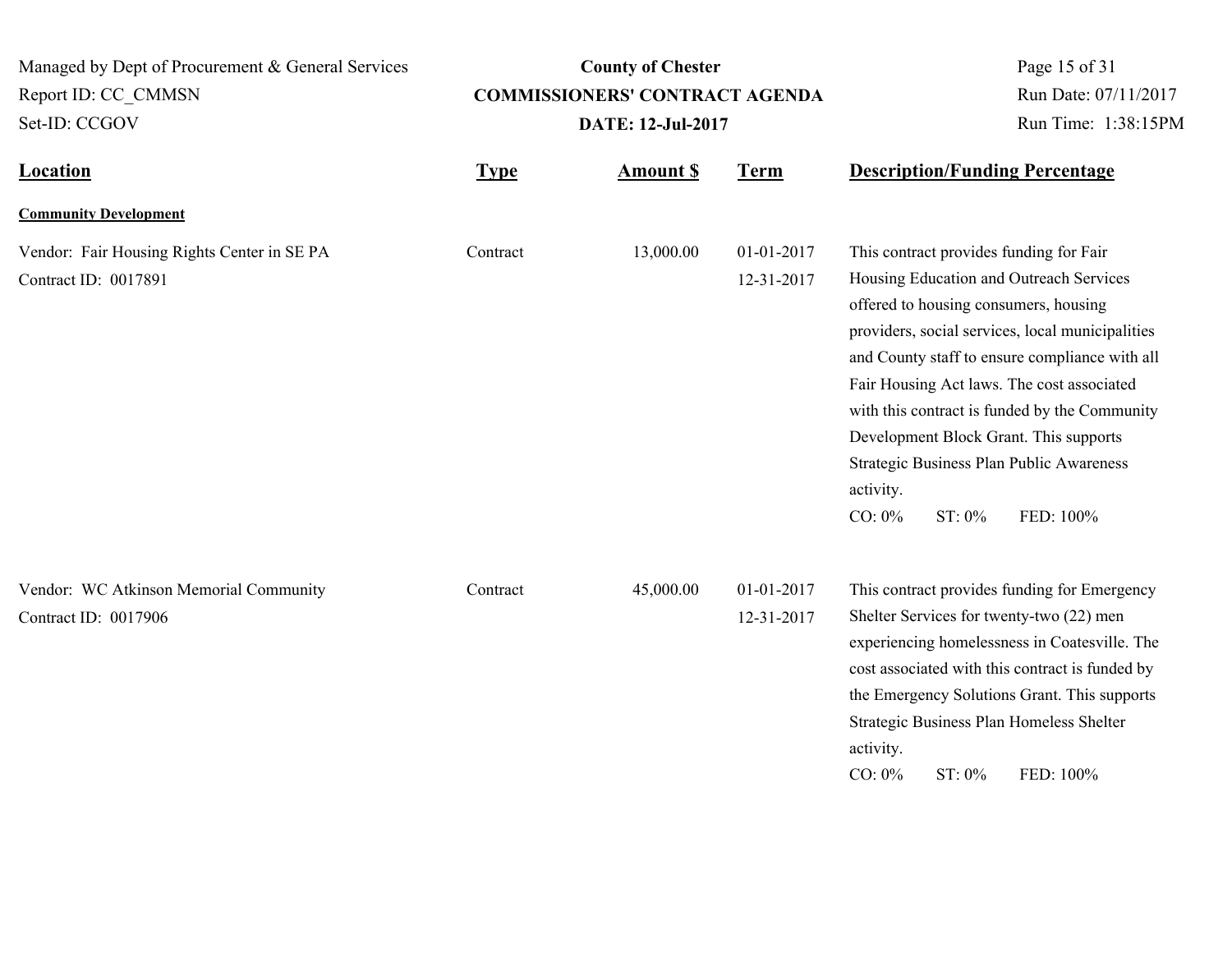| Managed by Dept of Procurement & General Services                   |             | <b>County of Chester</b>              | Page 15 of 31                               |                                                                                                                                                                                                                                                                                                                                                                                                                                                                         |
|---------------------------------------------------------------------|-------------|---------------------------------------|---------------------------------------------|-------------------------------------------------------------------------------------------------------------------------------------------------------------------------------------------------------------------------------------------------------------------------------------------------------------------------------------------------------------------------------------------------------------------------------------------------------------------------|
| Report ID: CC CMMSN                                                 |             | <b>COMMISSIONERS' CONTRACT AGENDA</b> | Run Date: 07/11/2017<br>Run Time: 1:38:15PM |                                                                                                                                                                                                                                                                                                                                                                                                                                                                         |
| Set-ID: CCGOV                                                       |             | <b>DATE: 12-Jul-2017</b>              |                                             |                                                                                                                                                                                                                                                                                                                                                                                                                                                                         |
| <b>Location</b>                                                     | <b>Type</b> | <b>Amount S</b>                       | <b>Term</b>                                 | <b>Description/Funding Percentage</b>                                                                                                                                                                                                                                                                                                                                                                                                                                   |
| <b>Community Development</b>                                        |             |                                       |                                             |                                                                                                                                                                                                                                                                                                                                                                                                                                                                         |
| Vendor: Fair Housing Rights Center in SE PA<br>Contract ID: 0017891 | Contract    | 13,000.00                             | 01-01-2017<br>12-31-2017                    | This contract provides funding for Fair<br>Housing Education and Outreach Services<br>offered to housing consumers, housing<br>providers, social services, local municipalities<br>and County staff to ensure compliance with all<br>Fair Housing Act laws. The cost associated<br>with this contract is funded by the Community<br>Development Block Grant. This supports<br>Strategic Business Plan Public Awareness<br>activity.<br>ST: 0%<br>$CO: 0\%$<br>FED: 100% |
| Vendor: WC Atkinson Memorial Community<br>Contract ID: 0017906      | Contract    | 45,000.00                             | 01-01-2017<br>12-31-2017                    | This contract provides funding for Emergency<br>Shelter Services for twenty-two (22) men<br>experiencing homelessness in Coatesville. The<br>cost associated with this contract is funded by<br>the Emergency Solutions Grant. This supports<br>Strategic Business Plan Homeless Shelter<br>activity.<br>ST: 0%<br>FED: 100%<br>$CO: 0\%$                                                                                                                               |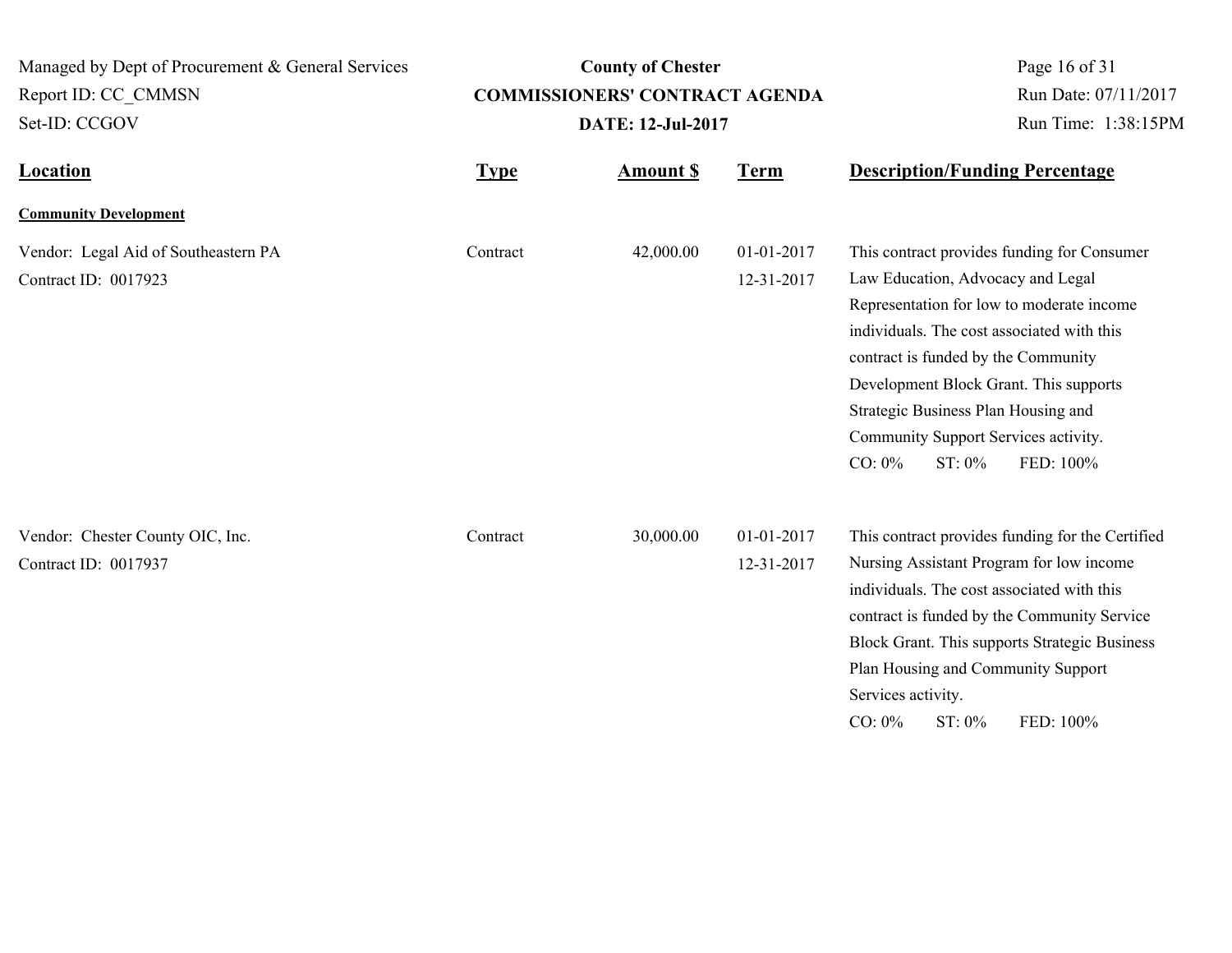**Location Type Type** *Amount \$* **Term Description/Funding Percentage County of Chester COMMISSIONERS' CONTRACT AGENDA** Managed by Dept of Procurement & General Services Set-ID: CCGOV Report ID: CC\_CMMSN Page 16 of 31 **Amount \$ DATE: 12-Jul-2017** Run Date: 07/11/2017 Run Time: 1:38:15PM **Community Development** Vendor: Legal Aid of Southeastern PA Contract 42,000.00 01-01-2017 Contract ID: 0017923 12-31-2017 This contract provides funding for Consumer Law Education, Advocacy and Legal Representation for low to moderate income individuals. The cost associated with this contract is funded by the Community Development Block Grant. This supports Strategic Business Plan Housing and Community Support Services activity. CO: 0% ST: 0% FED: 100% Contract Vendor: Chester County OIC, Inc. Contract Contract 30,000.00 01-01-2017 Contract ID: 0017937 12-31-2017 This contract provides funding for the Certified Nursing Assistant Program for low income individuals. The cost associated with this contract is funded by the Community Service Block Grant. This supports Strategic Business Plan Housing and Community Support Services activity. **Contract** 

CO: 0% ST: 0% FED: 100%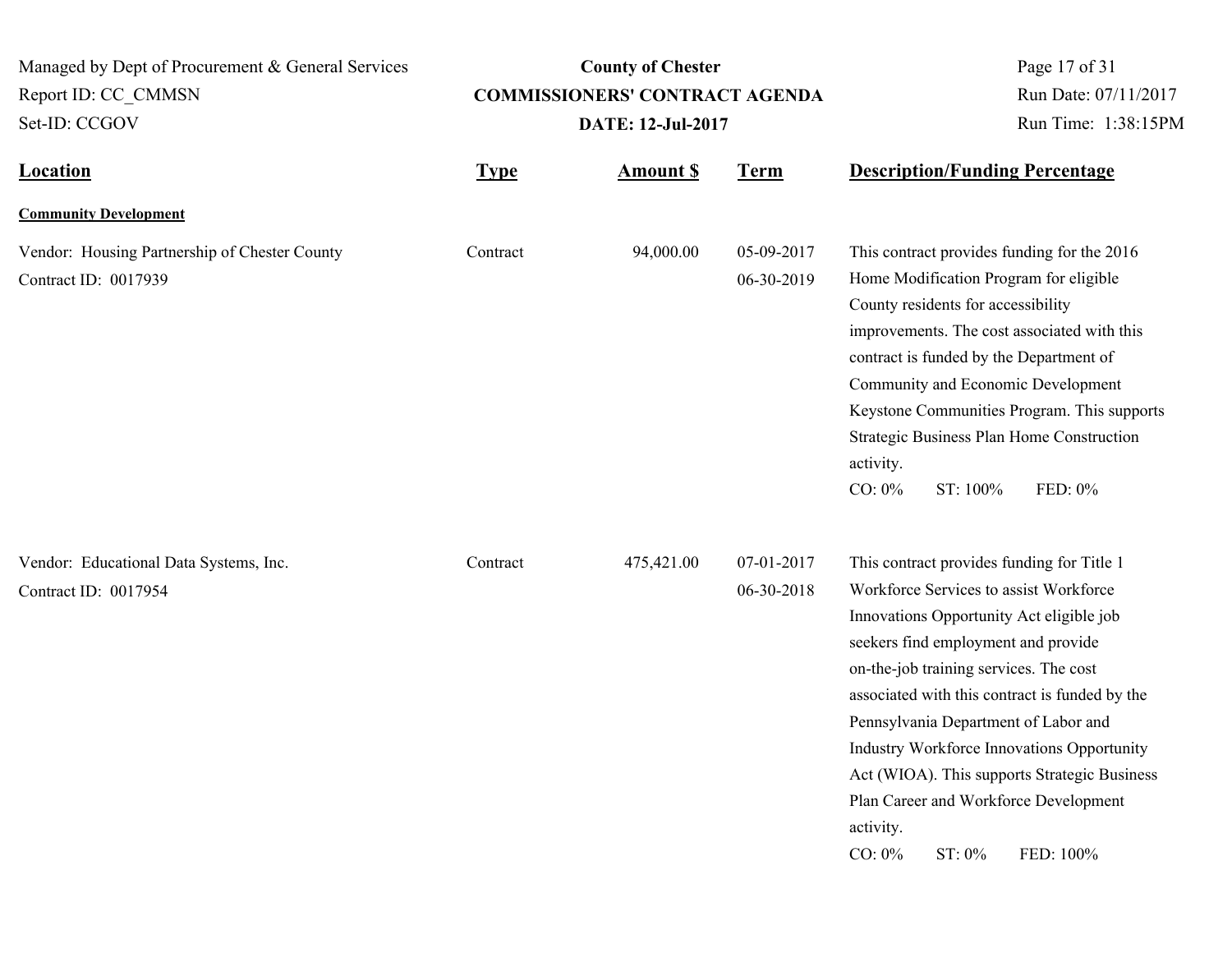| Managed by Dept of Procurement & General Services<br>Report ID: CC CMMSN<br>Set-ID: CCGOV |             | <b>County of Chester</b><br><b>COMMISSIONERS' CONTRACT AGENDA</b><br><b>DATE: 12-Jul-2017</b> | Page 17 of 31<br>Run Date: 07/11/2017<br>Run Time: 1:38:15PM |                                                                                                                                                                                                                                                                                                                                                                                                                                                                                                     |
|-------------------------------------------------------------------------------------------|-------------|-----------------------------------------------------------------------------------------------|--------------------------------------------------------------|-----------------------------------------------------------------------------------------------------------------------------------------------------------------------------------------------------------------------------------------------------------------------------------------------------------------------------------------------------------------------------------------------------------------------------------------------------------------------------------------------------|
| <b>Location</b>                                                                           | <b>Type</b> | <b>Amount \$</b>                                                                              | <b>Term</b>                                                  | <b>Description/Funding Percentage</b>                                                                                                                                                                                                                                                                                                                                                                                                                                                               |
| <b>Community Development</b>                                                              |             |                                                                                               |                                                              |                                                                                                                                                                                                                                                                                                                                                                                                                                                                                                     |
| Vendor: Housing Partnership of Chester County<br>Contract ID: 0017939                     | Contract    | 94,000.00                                                                                     | 05-09-2017<br>06-30-2019                                     | This contract provides funding for the 2016<br>Home Modification Program for eligible<br>County residents for accessibility<br>improvements. The cost associated with this<br>contract is funded by the Department of<br>Community and Economic Development<br>Keystone Communities Program. This supports<br>Strategic Business Plan Home Construction<br>activity.<br>CO: 0%<br>ST: 100%<br>FED: 0%                                                                                               |
| Vendor: Educational Data Systems, Inc.<br>Contract ID: 0017954                            | Contract    | 475,421.00                                                                                    | 07-01-2017<br>06-30-2018                                     | This contract provides funding for Title 1<br>Workforce Services to assist Workforce<br>Innovations Opportunity Act eligible job<br>seekers find employment and provide<br>on-the-job training services. The cost<br>associated with this contract is funded by the<br>Pennsylvania Department of Labor and<br>Industry Workforce Innovations Opportunity<br>Act (WIOA). This supports Strategic Business<br>Plan Career and Workforce Development<br>activity.<br>CO: 0%<br>$ST: 0\%$<br>FED: 100% |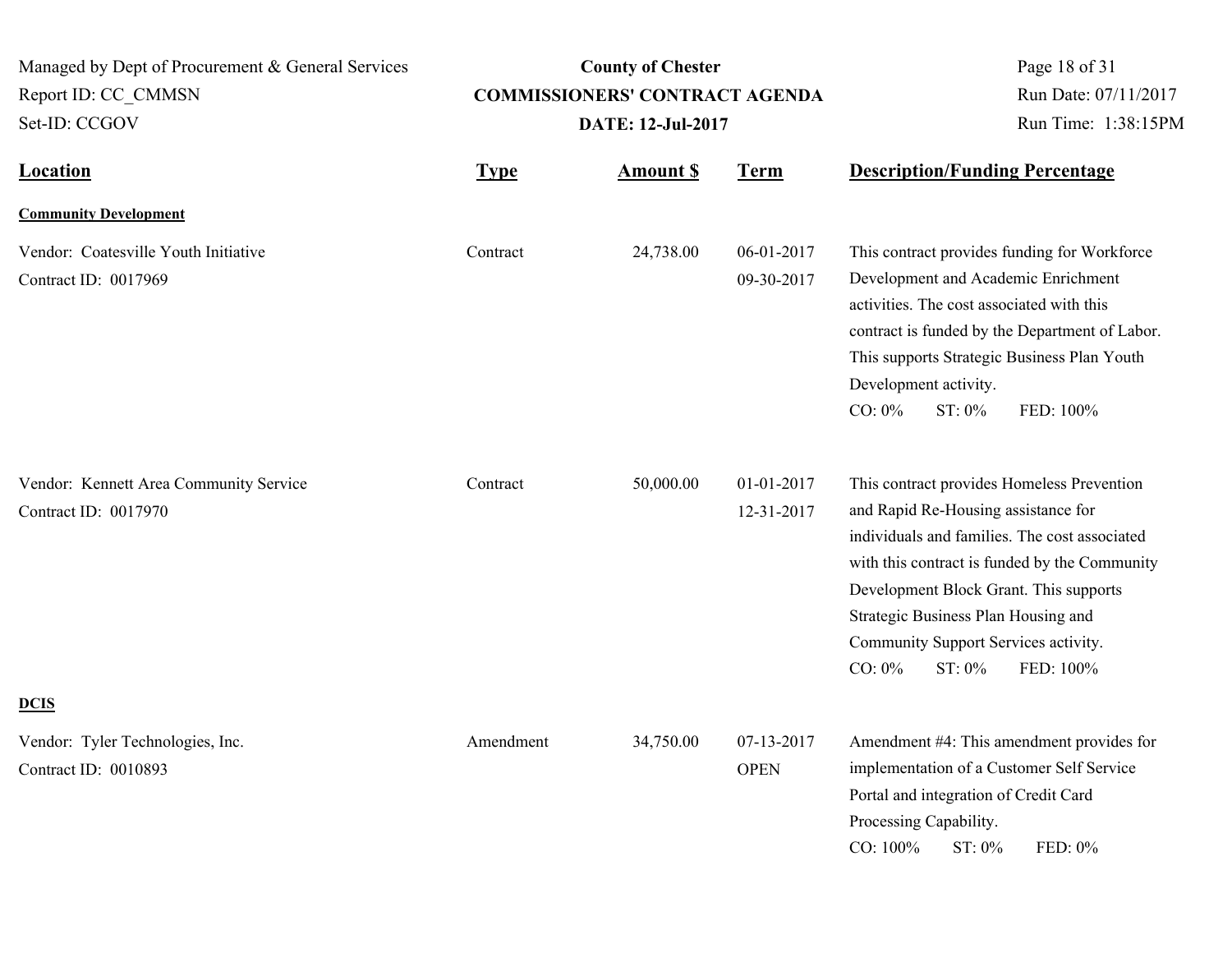| Managed by Dept of Procurement & General Services<br>Report ID: CC CMMSN<br>Set-ID: CCGOV | <b>County of Chester</b><br><b>COMMISSIONERS' CONTRACT AGENDA</b><br>DATE: 12-Jul-2017 |                 |                           | Page 18 of 31<br>Run Date: 07/11/2017<br>Run Time: 1:38:15PM                                                                                                                                                                                                                                                                                     |  |
|-------------------------------------------------------------------------------------------|----------------------------------------------------------------------------------------|-----------------|---------------------------|--------------------------------------------------------------------------------------------------------------------------------------------------------------------------------------------------------------------------------------------------------------------------------------------------------------------------------------------------|--|
| <b>Location</b>                                                                           | <b>Type</b>                                                                            | <b>Amount S</b> | <b>Term</b>               | <b>Description/Funding Percentage</b>                                                                                                                                                                                                                                                                                                            |  |
| <b>Community Development</b>                                                              |                                                                                        |                 |                           |                                                                                                                                                                                                                                                                                                                                                  |  |
| Vendor: Coatesville Youth Initiative<br>Contract ID: 0017969                              | Contract                                                                               | 24,738.00       | 06-01-2017<br>09-30-2017  | This contract provides funding for Workforce<br>Development and Academic Enrichment<br>activities. The cost associated with this<br>contract is funded by the Department of Labor.<br>This supports Strategic Business Plan Youth<br>Development activity.<br>$CO: 0\%$<br>ST: 0%<br>FED: 100%                                                   |  |
| Vendor: Kennett Area Community Service<br>Contract ID: 0017970                            | Contract                                                                               | 50,000.00       | 01-01-2017<br>12-31-2017  | This contract provides Homeless Prevention<br>and Rapid Re-Housing assistance for<br>individuals and families. The cost associated<br>with this contract is funded by the Community<br>Development Block Grant. This supports<br>Strategic Business Plan Housing and<br>Community Support Services activity.<br>$CO: 0\%$<br>ST: 0%<br>FED: 100% |  |
| <b>DCIS</b>                                                                               |                                                                                        |                 |                           |                                                                                                                                                                                                                                                                                                                                                  |  |
| Vendor: Tyler Technologies, Inc.<br>Contract ID: 0010893                                  | Amendment                                                                              | 34,750.00       | 07-13-2017<br><b>OPEN</b> | Amendment #4: This amendment provides for<br>implementation of a Customer Self Service<br>Portal and integration of Credit Card<br>Processing Capability.<br>CO: 100%<br>ST: 0%<br>FED: 0%                                                                                                                                                       |  |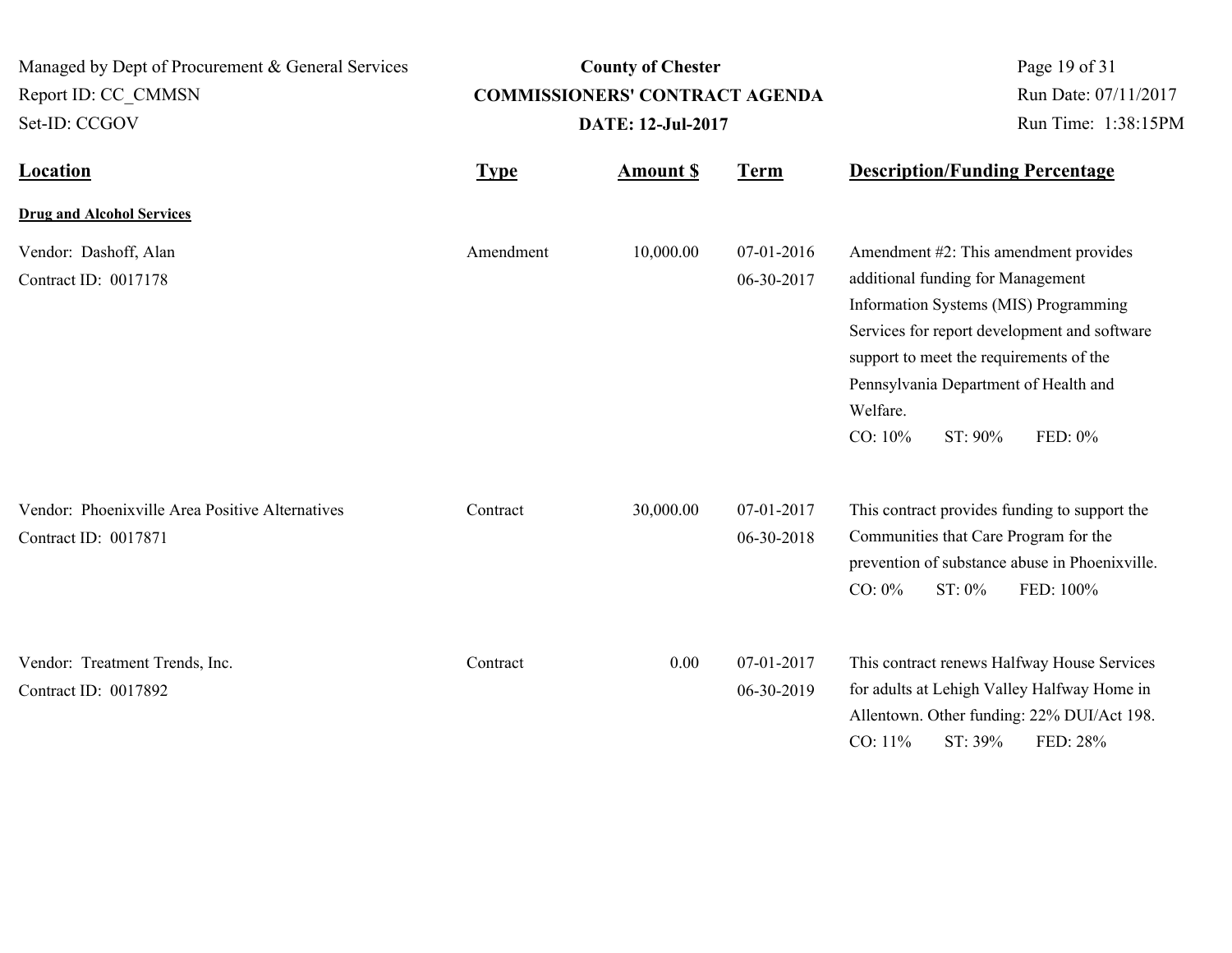| Managed by Dept of Procurement & General Services<br>Report ID: CC CMMSN<br>Set-ID: CCGOV | <b>County of Chester</b><br><b>COMMISSIONERS' CONTRACT AGENDA</b><br><b>DATE: 12-Jul-2017</b> |                 |                          | Page 19 of 31<br>Run Date: 07/11/2017<br>Run Time: 1:38:15PM                                                                                                                                                                                                                                         |
|-------------------------------------------------------------------------------------------|-----------------------------------------------------------------------------------------------|-----------------|--------------------------|------------------------------------------------------------------------------------------------------------------------------------------------------------------------------------------------------------------------------------------------------------------------------------------------------|
| <b>Location</b>                                                                           | <b>Type</b>                                                                                   | <b>Amount S</b> | <b>Term</b>              | <b>Description/Funding Percentage</b>                                                                                                                                                                                                                                                                |
| <b>Drug and Alcohol Services</b>                                                          |                                                                                               |                 |                          |                                                                                                                                                                                                                                                                                                      |
| Vendor: Dashoff, Alan<br>Contract ID: 0017178                                             | Amendment                                                                                     | 10,000.00       | 07-01-2016<br>06-30-2017 | Amendment #2: This amendment provides<br>additional funding for Management<br>Information Systems (MIS) Programming<br>Services for report development and software<br>support to meet the requirements of the<br>Pennsylvania Department of Health and<br>Welfare.<br>CO: 10%<br>ST: 90%<br>FED: 0% |
| Vendor: Phoenixville Area Positive Alternatives<br>Contract ID: 0017871                   | Contract                                                                                      | 30,000.00       | 07-01-2017<br>06-30-2018 | This contract provides funding to support the<br>Communities that Care Program for the<br>prevention of substance abuse in Phoenixville.<br>ST: 0%<br>$CO: 0\%$<br>FED: 100%                                                                                                                         |
| Vendor: Treatment Trends, Inc.<br>Contract ID: 0017892                                    | Contract                                                                                      | 0.00            | 07-01-2017<br>06-30-2019 | This contract renews Halfway House Services<br>for adults at Lehigh Valley Halfway Home in<br>Allentown. Other funding: 22% DUI/Act 198.<br>CO: 11%<br>ST: 39%<br>FED: 28%                                                                                                                           |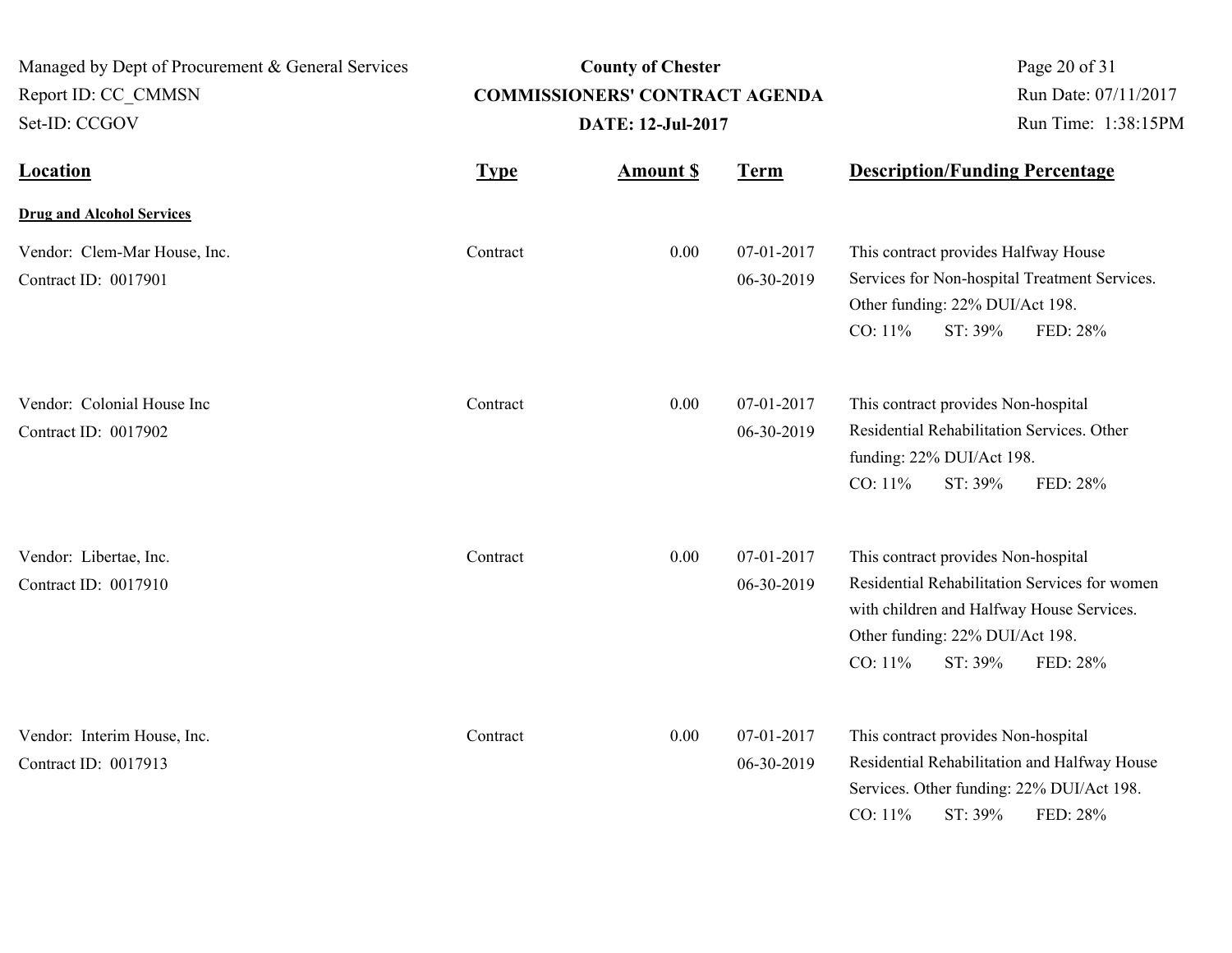| Managed by Dept of Procurement & General Services<br>Report ID: CC CMMSN<br>Set-ID: CCGOV |             | <b>County of Chester</b><br><b>COMMISSIONERS' CONTRACT AGENDA</b><br><b>DATE: 12-Jul-2017</b> | Page 20 of 31<br>Run Date: 07/11/2017<br>Run Time: 1:38:15PM |                                                                                                                                                                                                        |
|-------------------------------------------------------------------------------------------|-------------|-----------------------------------------------------------------------------------------------|--------------------------------------------------------------|--------------------------------------------------------------------------------------------------------------------------------------------------------------------------------------------------------|
| <b>Location</b>                                                                           | <b>Type</b> | <b>Amount S</b>                                                                               | <b>Term</b>                                                  | <b>Description/Funding Percentage</b>                                                                                                                                                                  |
| <b>Drug and Alcohol Services</b>                                                          |             |                                                                                               |                                                              |                                                                                                                                                                                                        |
| Vendor: Clem-Mar House, Inc.<br>Contract ID: 0017901                                      | Contract    | 0.00                                                                                          | 07-01-2017<br>06-30-2019                                     | This contract provides Halfway House<br>Services for Non-hospital Treatment Services.<br>Other funding: 22% DUI/Act 198.<br>CO: 11%<br>ST: 39%<br>FED: 28%                                             |
| Vendor: Colonial House Inc<br>Contract ID: 0017902                                        | Contract    | 0.00                                                                                          | 07-01-2017<br>06-30-2019                                     | This contract provides Non-hospital<br>Residential Rehabilitation Services. Other<br>funding: 22% DUI/Act 198.<br>CO: 11%<br>ST: 39%<br>FED: 28%                                                       |
| Vendor: Libertae, Inc.<br>Contract ID: 0017910                                            | Contract    | 0.00                                                                                          | 07-01-2017<br>06-30-2019                                     | This contract provides Non-hospital<br>Residential Rehabilitation Services for women<br>with children and Halfway House Services.<br>Other funding: 22% DUI/Act 198.<br>CO: 11%<br>ST: 39%<br>FED: 28% |
| Vendor: Interim House, Inc.<br>Contract ID: 0017913                                       | Contract    | 0.00                                                                                          | 07-01-2017<br>06-30-2019                                     | This contract provides Non-hospital<br>Residential Rehabilitation and Halfway House<br>Services. Other funding: 22% DUI/Act 198.<br>ST: 39%<br>CO: 11%<br>FED: 28%                                     |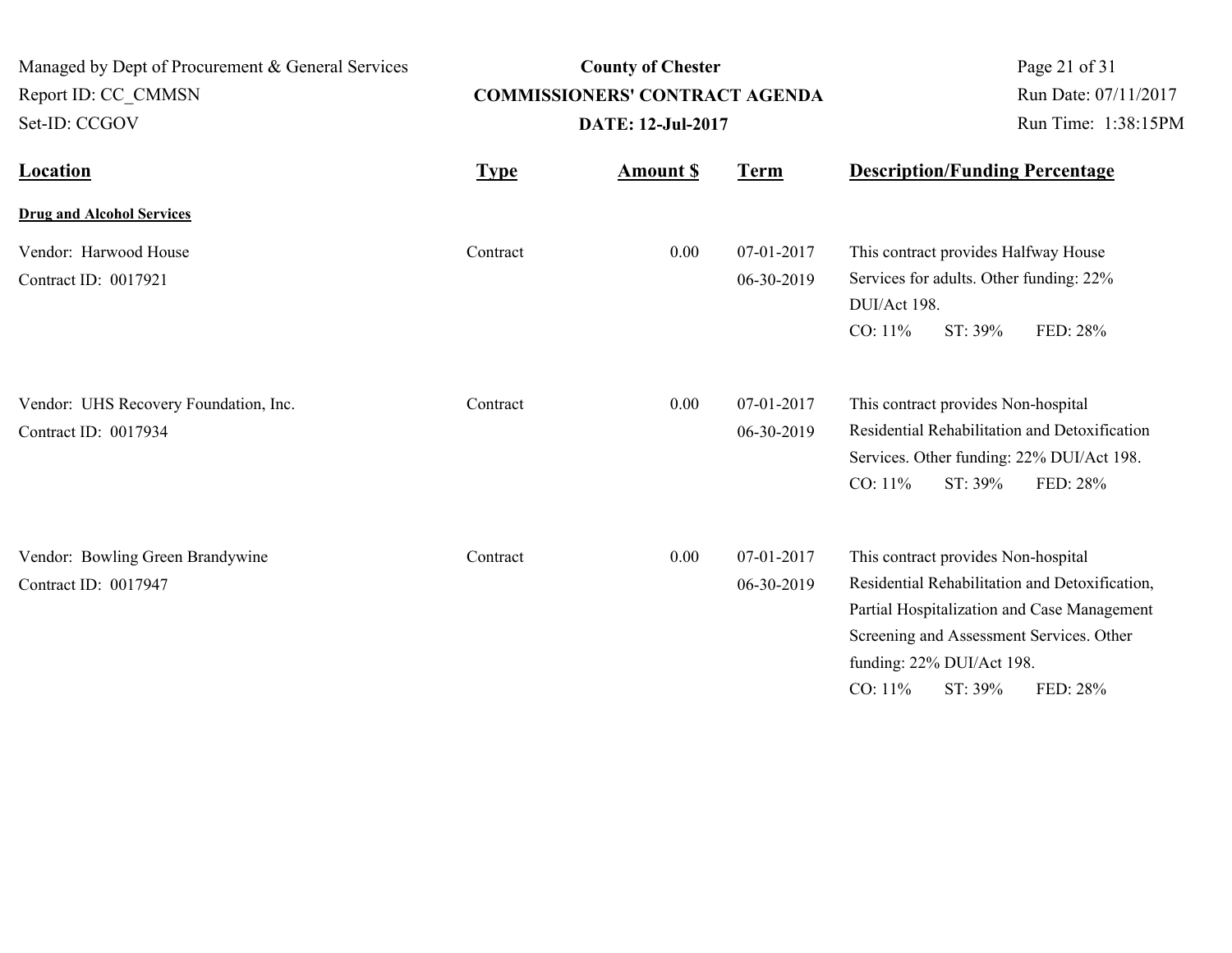| Managed by Dept of Procurement & General Services<br>Report ID: CC_CMMSN |                   | <b>County of Chester</b><br><b>COMMISSIONERS' CONTRACT AGENDA</b> | Page 21 of 31<br>Run Date: 07/11/2017 |                                                                                                                                                                                                                                                 |
|--------------------------------------------------------------------------|-------------------|-------------------------------------------------------------------|---------------------------------------|-------------------------------------------------------------------------------------------------------------------------------------------------------------------------------------------------------------------------------------------------|
| Set-ID: CCGOV                                                            | DATE: 12-Jul-2017 |                                                                   |                                       | Run Time: 1:38:15PM                                                                                                                                                                                                                             |
| <b>Location</b>                                                          | <b>Type</b>       | <b>Amount S</b>                                                   | <b>Term</b>                           | <b>Description/Funding Percentage</b>                                                                                                                                                                                                           |
| <b>Drug and Alcohol Services</b>                                         |                   |                                                                   |                                       |                                                                                                                                                                                                                                                 |
| Vendor: Harwood House<br>Contract ID: 0017921                            | Contract          | 0.00                                                              | 07-01-2017<br>06-30-2019              | This contract provides Halfway House<br>Services for adults. Other funding: 22%<br>DUI/Act 198.<br>CO: 11%<br>ST: 39%<br>FED: 28%                                                                                                               |
| Vendor: UHS Recovery Foundation, Inc.<br>Contract ID: 0017934            | Contract          | 0.00                                                              | 07-01-2017<br>06-30-2019              | This contract provides Non-hospital<br>Residential Rehabilitation and Detoxification<br>Services. Other funding: 22% DUI/Act 198.<br>CO: 11%<br>ST: 39%<br>FED: 28%                                                                             |
| Vendor: Bowling Green Brandywine<br>Contract ID: 0017947                 | Contract          | 0.00                                                              | 07-01-2017<br>06-30-2019              | This contract provides Non-hospital<br>Residential Rehabilitation and Detoxification,<br>Partial Hospitalization and Case Management<br>Screening and Assessment Services. Other<br>funding: 22% DUI/Act 198.<br>CO: 11%<br>ST: 39%<br>FED: 28% |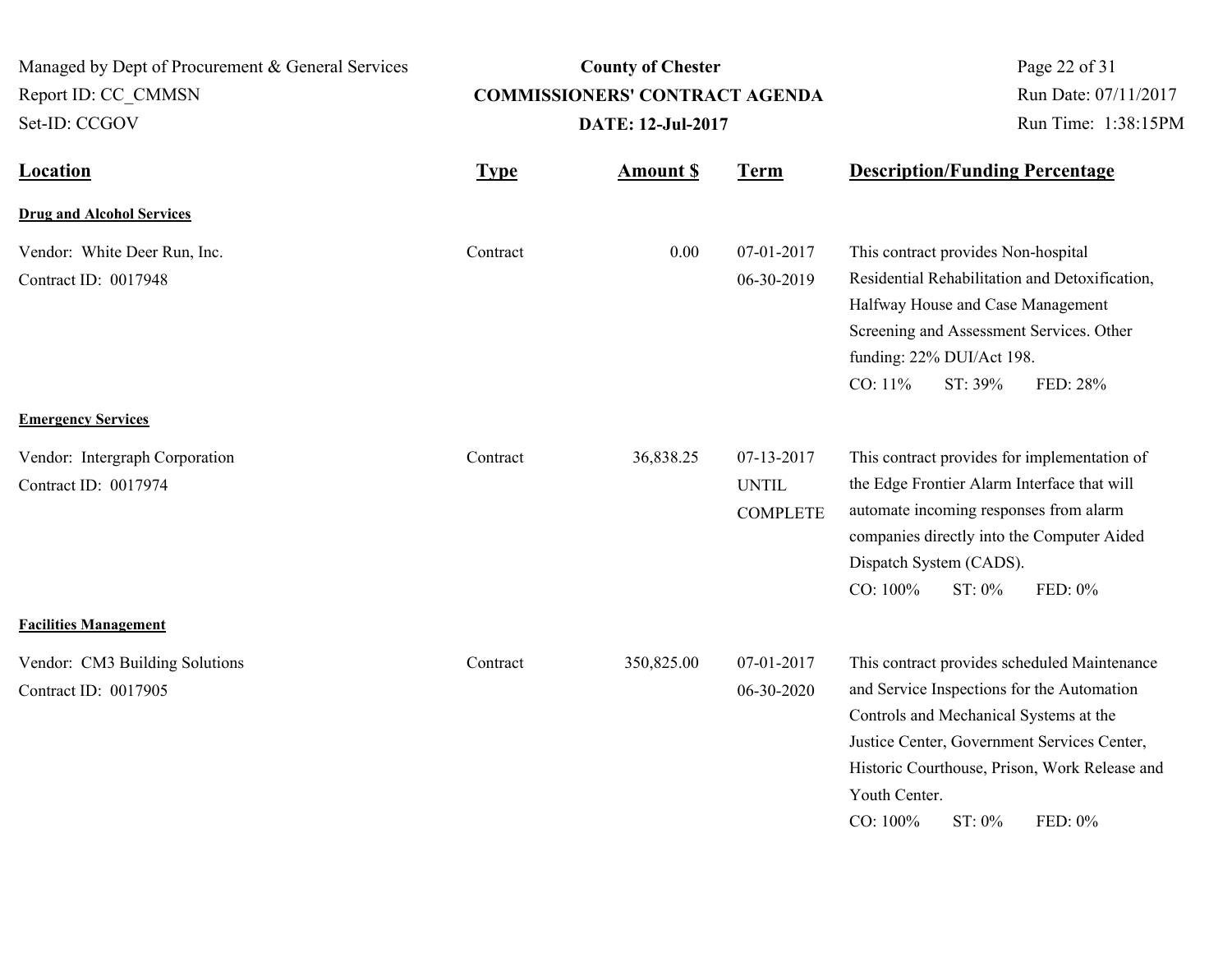| Managed by Dept of Procurement & General Services<br>Report ID: CC_CMMSN<br>Set-ID: CCGOV | <b>County of Chester</b><br><b>COMMISSIONERS' CONTRACT AGENDA</b><br><b>DATE: 12-Jul-2017</b> |                 |                                               | Page 22 of 31<br>Run Date: 07/11/2017<br>Run Time: 1:38:15PM                                                                                                                                                                                                                           |
|-------------------------------------------------------------------------------------------|-----------------------------------------------------------------------------------------------|-----------------|-----------------------------------------------|----------------------------------------------------------------------------------------------------------------------------------------------------------------------------------------------------------------------------------------------------------------------------------------|
| Location                                                                                  | <b>Type</b>                                                                                   | <b>Amount S</b> | <b>Term</b>                                   | <b>Description/Funding Percentage</b>                                                                                                                                                                                                                                                  |
| <b>Drug and Alcohol Services</b>                                                          |                                                                                               |                 |                                               |                                                                                                                                                                                                                                                                                        |
| Vendor: White Deer Run, Inc.<br>Contract ID: 0017948                                      | Contract                                                                                      | 0.00            | 07-01-2017<br>06-30-2019                      | This contract provides Non-hospital<br>Residential Rehabilitation and Detoxification,<br>Halfway House and Case Management<br>Screening and Assessment Services. Other<br>funding: 22% DUI/Act 198.<br>CO: 11%<br>ST: 39%<br>FED: 28%                                                  |
| <b>Emergency Services</b>                                                                 |                                                                                               |                 |                                               |                                                                                                                                                                                                                                                                                        |
| Vendor: Intergraph Corporation<br>Contract ID: 0017974                                    | Contract                                                                                      | 36,838.25       | 07-13-2017<br><b>UNTIL</b><br><b>COMPLETE</b> | This contract provides for implementation of<br>the Edge Frontier Alarm Interface that will<br>automate incoming responses from alarm<br>companies directly into the Computer Aided<br>Dispatch System (CADS).<br>CO: 100%<br>ST: 0%<br>FED: 0%                                        |
| <b>Facilities Management</b>                                                              |                                                                                               |                 |                                               |                                                                                                                                                                                                                                                                                        |
| Vendor: CM3 Building Solutions<br>Contract ID: 0017905                                    | Contract                                                                                      | 350,825.00      | 07-01-2017<br>06-30-2020                      | This contract provides scheduled Maintenance<br>and Service Inspections for the Automation<br>Controls and Mechanical Systems at the<br>Justice Center, Government Services Center,<br>Historic Courthouse, Prison, Work Release and<br>Youth Center.<br>CO: 100%<br>ST: 0%<br>FED: 0% |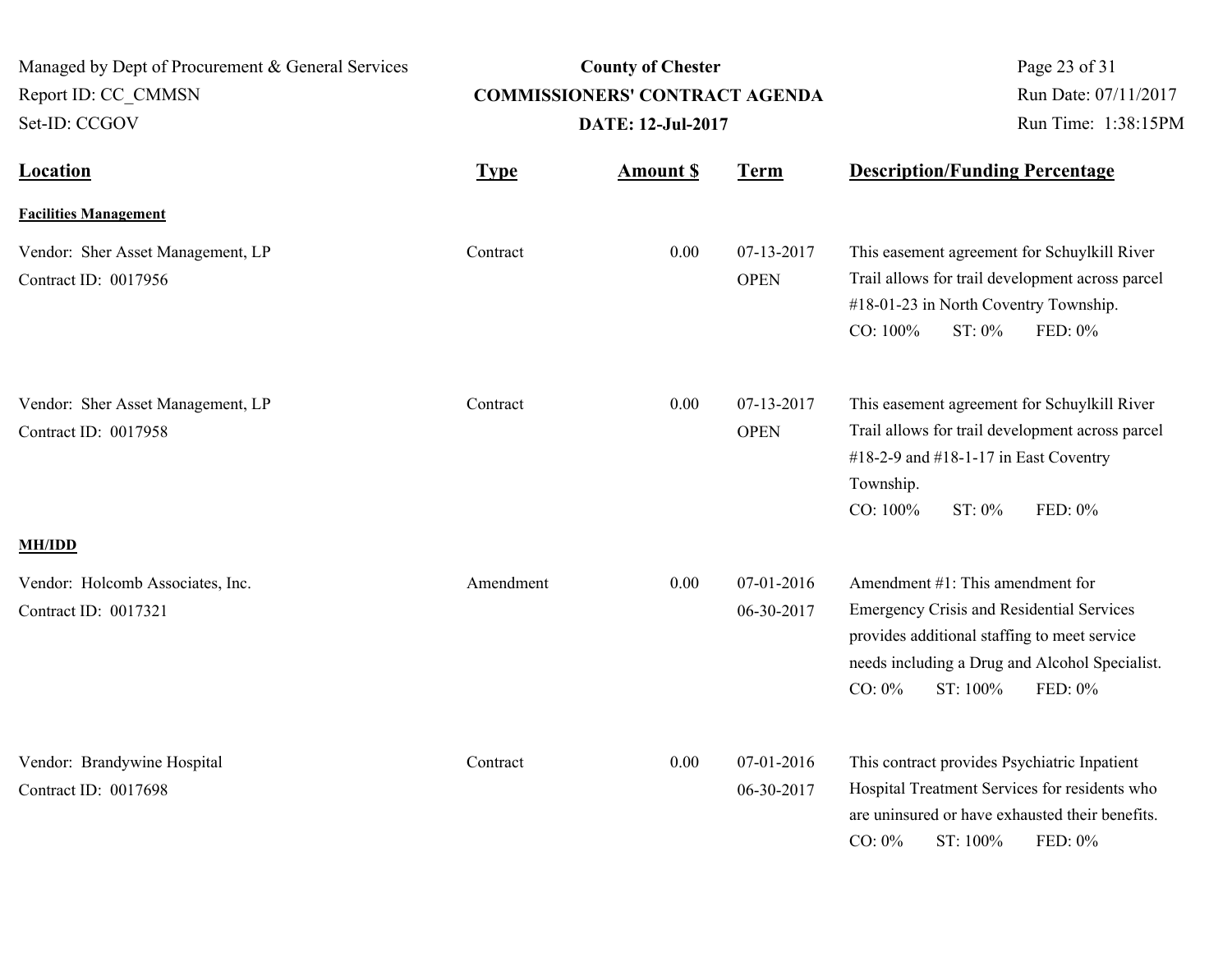| Managed by Dept of Procurement & General Services<br>Report ID: CC CMMSN<br>Set-ID: CCGOV | <b>County of Chester</b><br><b>COMMISSIONERS' CONTRACT AGENDA</b><br><b>DATE: 12-Jul-2017</b> |                 |                           | Page 23 of 31<br>Run Date: 07/11/2017<br>Run Time: 1:38:15PM                                                                                                                                                                  |  |
|-------------------------------------------------------------------------------------------|-----------------------------------------------------------------------------------------------|-----------------|---------------------------|-------------------------------------------------------------------------------------------------------------------------------------------------------------------------------------------------------------------------------|--|
| <b>Location</b>                                                                           | <b>Type</b>                                                                                   | <b>Amount S</b> | <b>Term</b>               | <b>Description/Funding Percentage</b>                                                                                                                                                                                         |  |
| <b>Facilities Management</b>                                                              |                                                                                               |                 |                           |                                                                                                                                                                                                                               |  |
| Vendor: Sher Asset Management, LP<br>Contract ID: 0017956                                 | Contract                                                                                      | 0.00            | 07-13-2017<br><b>OPEN</b> | This easement agreement for Schuylkill River<br>Trail allows for trail development across parcel<br>#18-01-23 in North Coventry Township.<br>CO: 100%<br>ST: 0%<br>FED: 0%                                                    |  |
| Vendor: Sher Asset Management, LP<br>Contract ID: 0017958                                 | Contract                                                                                      | 0.00            | 07-13-2017<br><b>OPEN</b> | This easement agreement for Schuylkill River<br>Trail allows for trail development across parcel<br>#18-2-9 and #18-1-17 in East Coventry<br>Township.<br>CO: 100%<br>ST: 0%<br>FED: 0%                                       |  |
| <b>MH/IDD</b>                                                                             |                                                                                               |                 |                           |                                                                                                                                                                                                                               |  |
| Vendor: Holcomb Associates, Inc.<br>Contract ID: 0017321                                  | Amendment                                                                                     | 0.00            | 07-01-2016<br>06-30-2017  | Amendment $#1$ : This amendment for<br><b>Emergency Crisis and Residential Services</b><br>provides additional staffing to meet service<br>needs including a Drug and Alcohol Specialist.<br>$CO: 0\%$<br>ST: 100%<br>FED: 0% |  |
| Vendor: Brandywine Hospital<br>Contract ID: 0017698                                       | Contract                                                                                      | 0.00            | 07-01-2016<br>06-30-2017  | This contract provides Psychiatric Inpatient<br>Hospital Treatment Services for residents who<br>are uninsured or have exhausted their benefits.<br>$CO: 0\%$<br>ST: 100%<br>FED: 0%                                          |  |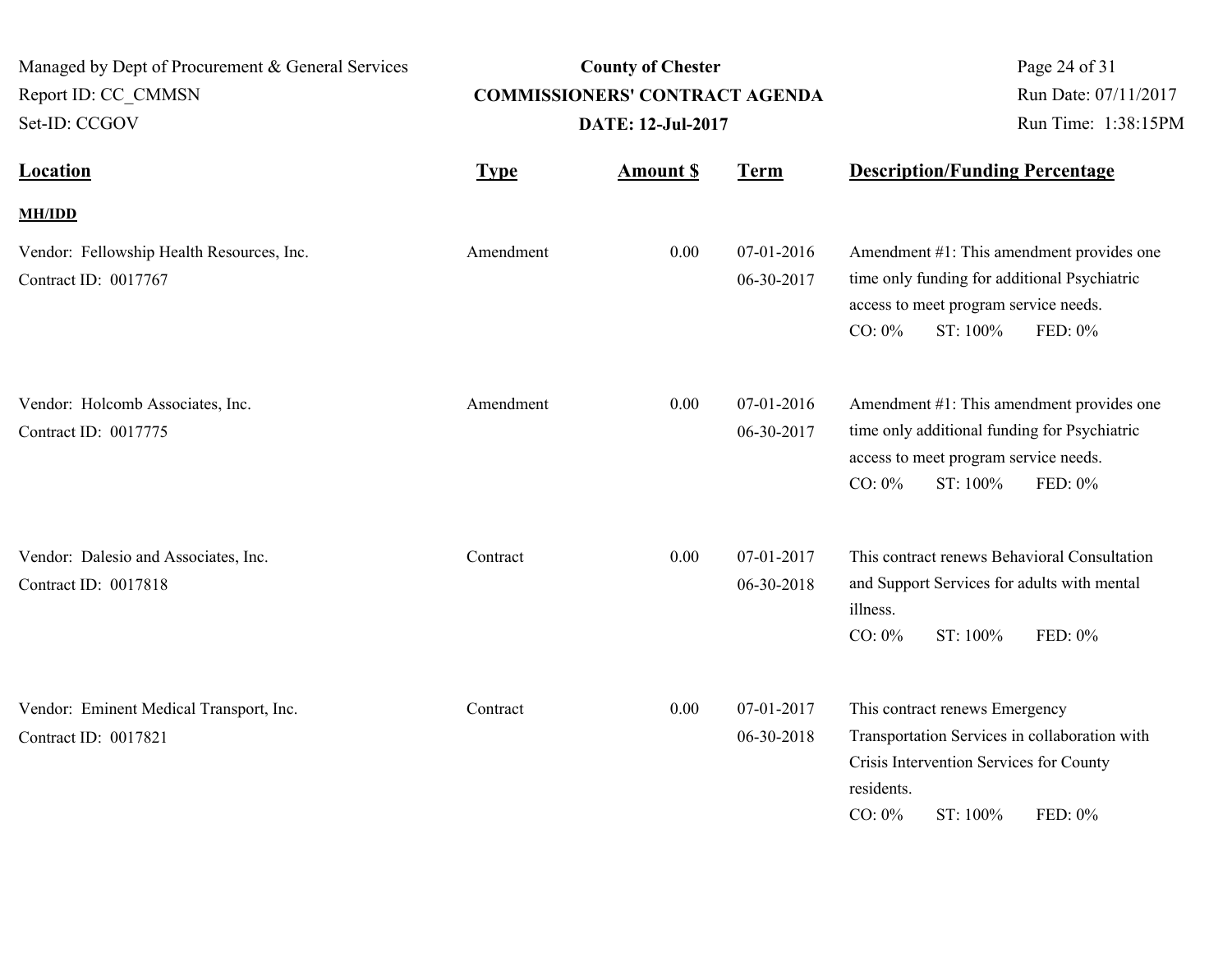| Managed by Dept of Procurement & General Services<br>Report ID: CC CMMSN<br>Set-ID: CCGOV |             | <b>County of Chester</b><br><b>COMMISSIONERS' CONTRACT AGENDA</b><br><b>DATE: 12-Jul-2017</b> | Page 24 of 31<br>Run Date: 07/11/2017<br>Run Time: 1:38:15PM |                                                                                                                                                                              |
|-------------------------------------------------------------------------------------------|-------------|-----------------------------------------------------------------------------------------------|--------------------------------------------------------------|------------------------------------------------------------------------------------------------------------------------------------------------------------------------------|
| <b>Location</b>                                                                           | <b>Type</b> | <b>Amount \$</b>                                                                              | <b>Term</b>                                                  | <b>Description/Funding Percentage</b>                                                                                                                                        |
| <b>MH/IDD</b>                                                                             |             |                                                                                               |                                                              |                                                                                                                                                                              |
| Vendor: Fellowship Health Resources, Inc.<br>Contract ID: 0017767                         | Amendment   | 0.00                                                                                          | 07-01-2016<br>06-30-2017                                     | Amendment #1: This amendment provides one<br>time only funding for additional Psychiatric<br>access to meet program service needs.<br>$CO: 0\%$<br>ST: 100%<br>FED: 0%       |
| Vendor: Holcomb Associates, Inc.<br>Contract ID: 0017775                                  | Amendment   | 0.00                                                                                          | 07-01-2016<br>06-30-2017                                     | Amendment #1: This amendment provides one<br>time only additional funding for Psychiatric<br>access to meet program service needs.<br>$CO: 0\%$<br>ST: 100%<br>FED: 0%       |
| Vendor: Dalesio and Associates, Inc.<br>Contract ID: 0017818                              | Contract    | 0.00                                                                                          | 07-01-2017<br>06-30-2018                                     | This contract renews Behavioral Consultation<br>and Support Services for adults with mental<br>illness.<br>ST: 100%<br>FED: 0%<br>$CO: 0\%$                                  |
| Vendor: Eminent Medical Transport, Inc.<br>Contract ID: 0017821                           | Contract    | 0.00                                                                                          | 07-01-2017<br>06-30-2018                                     | This contract renews Emergency<br>Transportation Services in collaboration with<br>Crisis Intervention Services for County<br>residents.<br>$CO: 0\%$<br>ST: 100%<br>FED: 0% |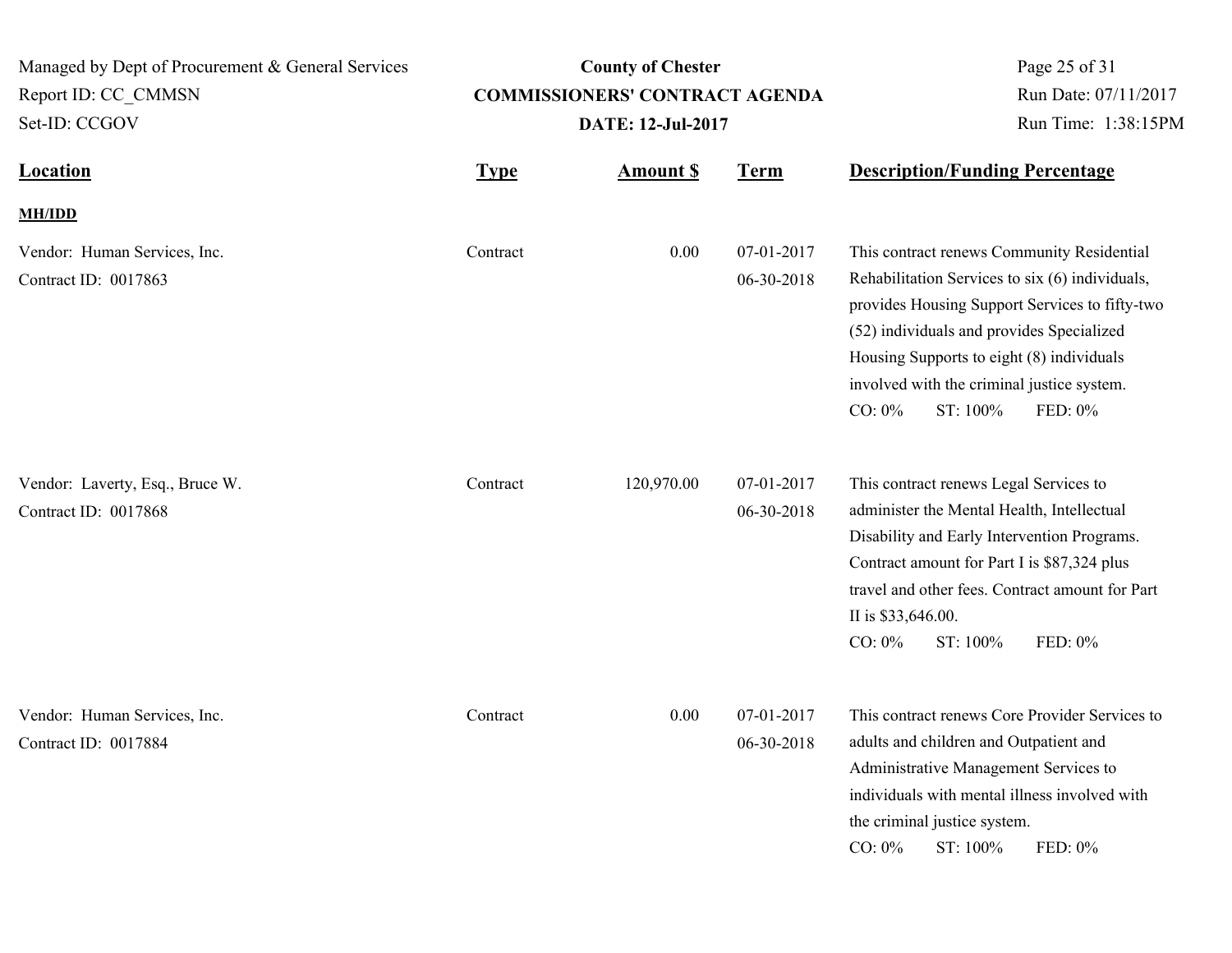| Managed by Dept of Procurement & General Services<br>Report ID: CC CMMSN<br>Set-ID: CCGOV |             | <b>County of Chester</b><br><b>COMMISSIONERS' CONTRACT AGENDA</b><br>DATE: 12-Jul-2017 | Page 25 of 31<br>Run Date: 07/11/2017<br>Run Time: 1:38:15PM |                                                                                                                                                                                                                                                                                                                             |
|-------------------------------------------------------------------------------------------|-------------|----------------------------------------------------------------------------------------|--------------------------------------------------------------|-----------------------------------------------------------------------------------------------------------------------------------------------------------------------------------------------------------------------------------------------------------------------------------------------------------------------------|
| <b>Location</b>                                                                           | <b>Type</b> | <b>Amount \$</b>                                                                       | <b>Term</b>                                                  | <b>Description/Funding Percentage</b>                                                                                                                                                                                                                                                                                       |
| <b>MH/IDD</b>                                                                             |             |                                                                                        |                                                              |                                                                                                                                                                                                                                                                                                                             |
| Vendor: Human Services, Inc.<br>Contract ID: 0017863                                      | Contract    | 0.00                                                                                   | 07-01-2017<br>06-30-2018                                     | This contract renews Community Residential<br>Rehabilitation Services to six (6) individuals,<br>provides Housing Support Services to fifty-two<br>(52) individuals and provides Specialized<br>Housing Supports to eight (8) individuals<br>involved with the criminal justice system.<br>$CO: 0\%$<br>ST: 100%<br>FED: 0% |
| Vendor: Laverty, Esq., Bruce W.<br>Contract ID: 0017868                                   | Contract    | 120,970.00                                                                             | 07-01-2017<br>06-30-2018                                     | This contract renews Legal Services to<br>administer the Mental Health, Intellectual<br>Disability and Early Intervention Programs.<br>Contract amount for Part I is \$87,324 plus<br>travel and other fees. Contract amount for Part<br>II is \$33,646.00.<br>CO: 0%<br>ST: 100%<br>FED: 0%                                |
| Vendor: Human Services, Inc.<br>Contract ID: 0017884                                      | Contract    | 0.00                                                                                   | 07-01-2017<br>06-30-2018                                     | This contract renews Core Provider Services to<br>adults and children and Outpatient and<br>Administrative Management Services to<br>individuals with mental illness involved with<br>the criminal justice system.<br>CO: 0%<br>ST: 100%<br>FED: 0%                                                                         |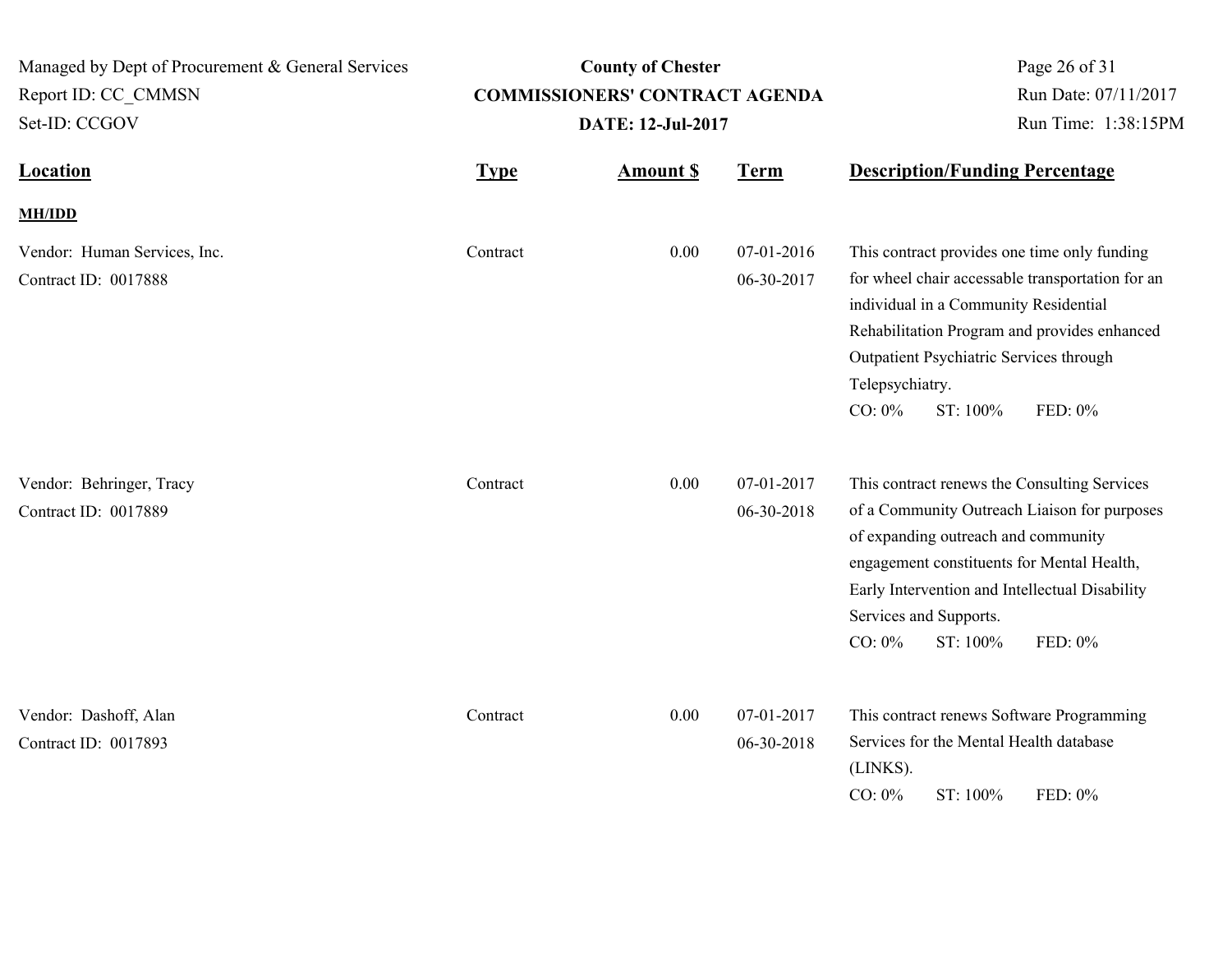| Managed by Dept of Procurement & General Services<br>Report ID: CC CMMSN<br>Set-ID: CCGOV |             | <b>County of Chester</b><br><b>COMMISSIONERS' CONTRACT AGENDA</b><br><b>DATE: 12-Jul-2017</b> | Page 26 of 31<br>Run Date: 07/11/2017<br>Run Time: 1:38:15PM |                                                                                                                                                                                                                                                                                                   |
|-------------------------------------------------------------------------------------------|-------------|-----------------------------------------------------------------------------------------------|--------------------------------------------------------------|---------------------------------------------------------------------------------------------------------------------------------------------------------------------------------------------------------------------------------------------------------------------------------------------------|
| <b>Location</b>                                                                           | <b>Type</b> | <b>Amount \$</b>                                                                              | <b>Term</b>                                                  | <b>Description/Funding Percentage</b>                                                                                                                                                                                                                                                             |
| <b>MH/IDD</b>                                                                             |             |                                                                                               |                                                              |                                                                                                                                                                                                                                                                                                   |
| Vendor: Human Services, Inc.<br>Contract ID: 0017888                                      | Contract    | 0.00                                                                                          | 07-01-2016<br>06-30-2017                                     | This contract provides one time only funding<br>for wheel chair accessable transportation for an<br>individual in a Community Residential<br>Rehabilitation Program and provides enhanced<br>Outpatient Psychiatric Services through<br>Telepsychiatry.<br>$CO: 0\%$<br>ST: 100%<br>FED: 0%       |
| Vendor: Behringer, Tracy<br>Contract ID: 0017889                                          | Contract    | 0.00                                                                                          | 07-01-2017<br>06-30-2018                                     | This contract renews the Consulting Services<br>of a Community Outreach Liaison for purposes<br>of expanding outreach and community<br>engagement constituents for Mental Health,<br>Early Intervention and Intellectual Disability<br>Services and Supports.<br>$CO: 0\%$<br>ST: 100%<br>FED: 0% |
| Vendor: Dashoff, Alan<br>Contract ID: 0017893                                             | Contract    | 0.00                                                                                          | 07-01-2017<br>06-30-2018                                     | This contract renews Software Programming<br>Services for the Mental Health database<br>(LINKS).<br>$CO: 0\%$<br>ST: 100%<br>FED: 0%                                                                                                                                                              |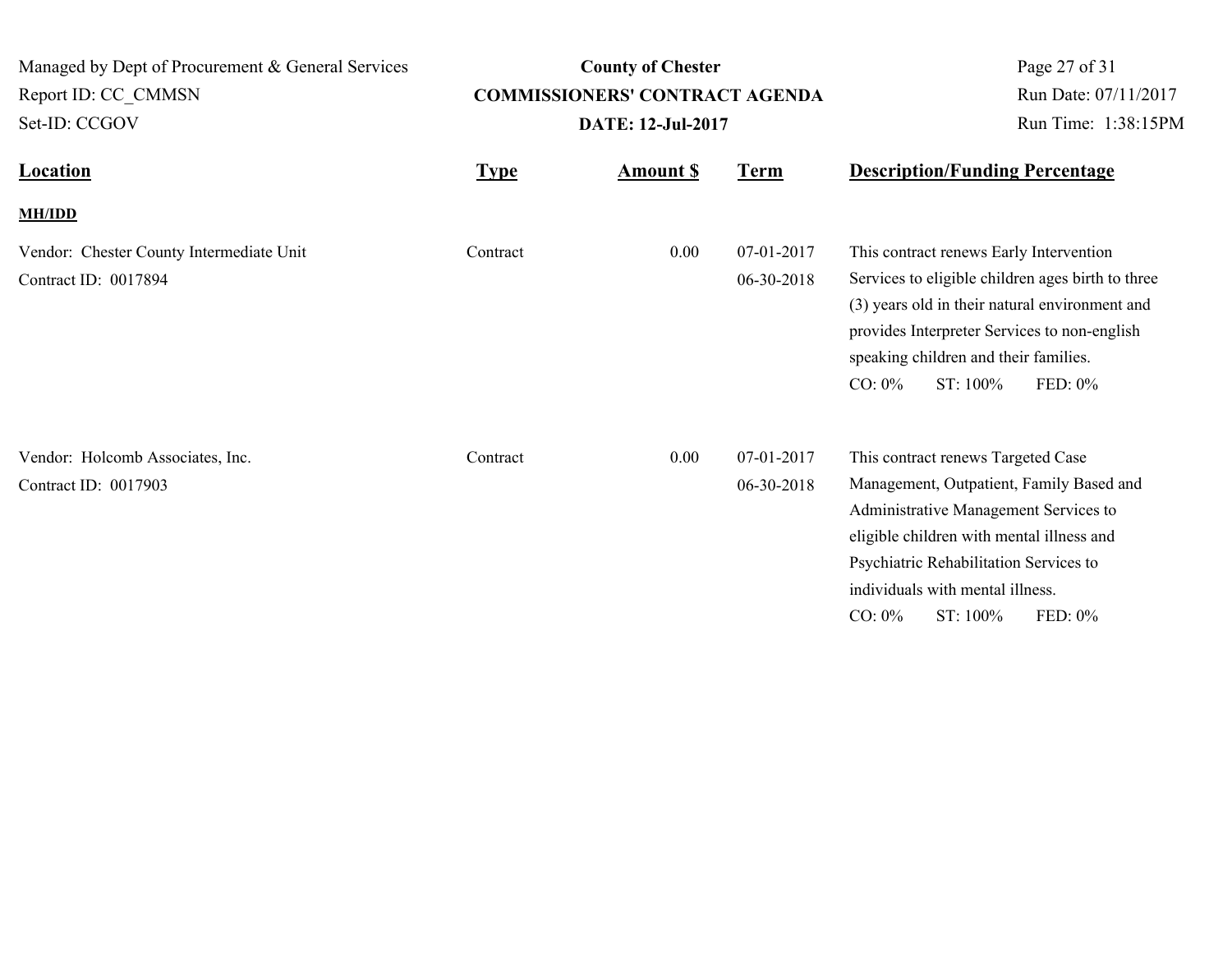| Managed by Dept of Procurement & General Services                |                                       | <b>County of Chester</b>       |                          | Page 27 of 31                                                                                                                                                                                                                                                                          |  |
|------------------------------------------------------------------|---------------------------------------|--------------------------------|--------------------------|----------------------------------------------------------------------------------------------------------------------------------------------------------------------------------------------------------------------------------------------------------------------------------------|--|
| Report ID: CC_CMMSN                                              | <b>COMMISSIONERS' CONTRACT AGENDA</b> |                                |                          | Run Date: 07/11/2017                                                                                                                                                                                                                                                                   |  |
| Set-ID: CCGOV                                                    |                                       | DATE: 12-Jul-2017              |                          | Run Time: 1:38:15PM                                                                                                                                                                                                                                                                    |  |
| <b>Location</b>                                                  | <b>Type</b>                           | <b>Term</b><br><b>Amount S</b> |                          | <b>Description/Funding Percentage</b>                                                                                                                                                                                                                                                  |  |
| <b>MH/IDD</b>                                                    |                                       |                                |                          |                                                                                                                                                                                                                                                                                        |  |
| Vendor: Chester County Intermediate Unit<br>Contract ID: 0017894 | Contract                              | 0.00                           | 07-01-2017<br>06-30-2018 | This contract renews Early Intervention<br>Services to eligible children ages birth to three<br>(3) years old in their natural environment and<br>provides Interpreter Services to non-english<br>speaking children and their families.<br>CO: 0%<br>ST: 100%<br>FED: 0%               |  |
| Vendor: Holcomb Associates, Inc.<br>Contract ID: 0017903         | Contract                              | 0.00                           | 07-01-2017<br>06-30-2018 | This contract renews Targeted Case<br>Management, Outpatient, Family Based and<br>Administrative Management Services to<br>eligible children with mental illness and<br>Psychiatric Rehabilitation Services to<br>individuals with mental illness.<br>$CO: 0\%$<br>ST: 100%<br>FED: 0% |  |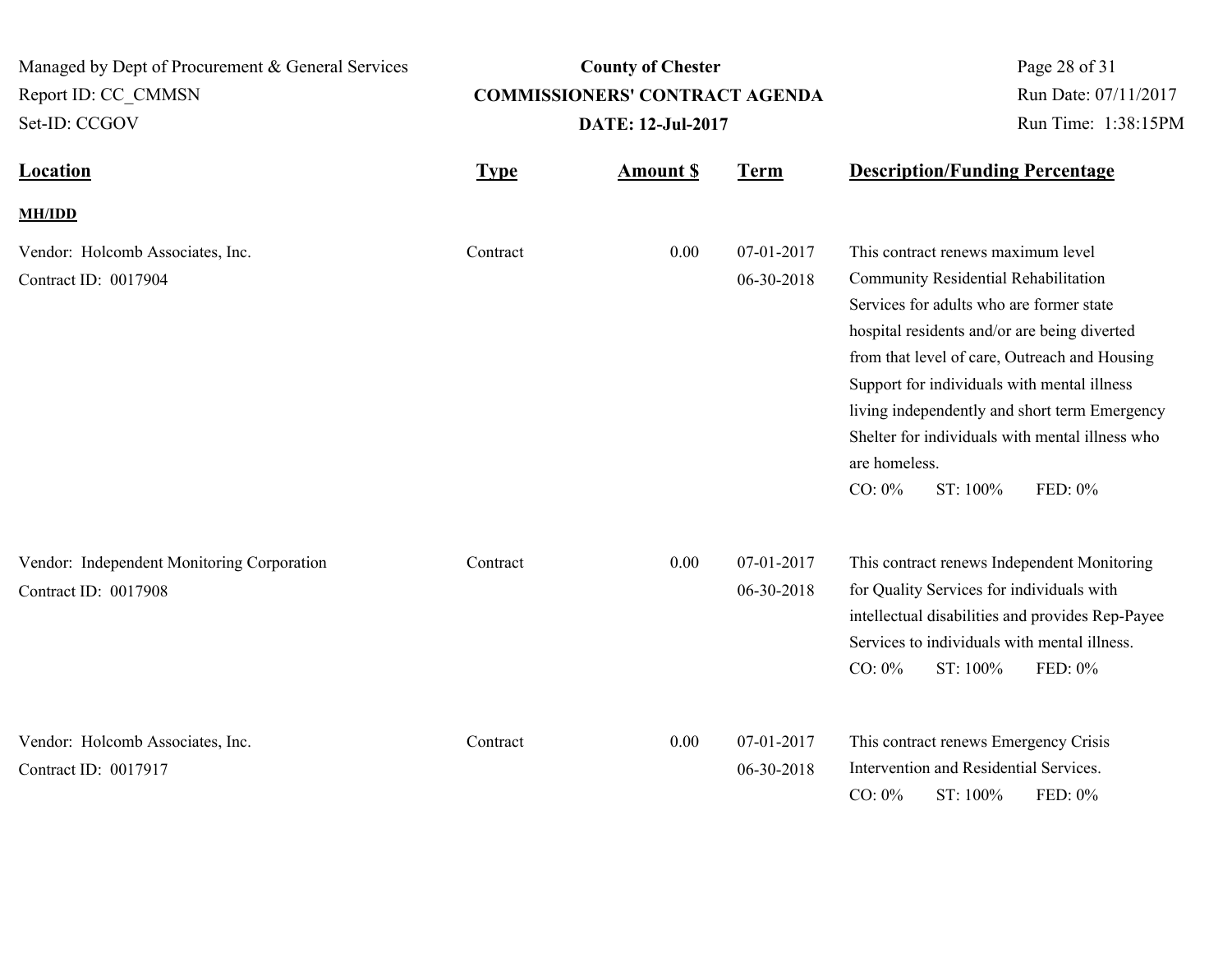| Managed by Dept of Procurement & General Services<br>Report ID: CC CMMSN |             | <b>County of Chester</b><br><b>COMMISSIONERS' CONTRACT AGENDA</b> | Page 28 of 31<br>Run Date: 07/11/2017 |                                                                                                                                                                                                                                                                                                                                                                                                                                 |
|--------------------------------------------------------------------------|-------------|-------------------------------------------------------------------|---------------------------------------|---------------------------------------------------------------------------------------------------------------------------------------------------------------------------------------------------------------------------------------------------------------------------------------------------------------------------------------------------------------------------------------------------------------------------------|
| Set-ID: CCGOV                                                            |             | <b>DATE: 12-Jul-2017</b>                                          | Run Time: 1:38:15PM                   |                                                                                                                                                                                                                                                                                                                                                                                                                                 |
| <b>Location</b>                                                          | <b>Type</b> | <b>Amount \$</b>                                                  | <b>Term</b>                           | <b>Description/Funding Percentage</b>                                                                                                                                                                                                                                                                                                                                                                                           |
| <b>MH/IDD</b>                                                            |             |                                                                   |                                       |                                                                                                                                                                                                                                                                                                                                                                                                                                 |
| Vendor: Holcomb Associates, Inc.<br>Contract ID: 0017904                 | Contract    | 0.00                                                              | 07-01-2017<br>06-30-2018              | This contract renews maximum level<br>Community Residential Rehabilitation<br>Services for adults who are former state<br>hospital residents and/or are being diverted<br>from that level of care, Outreach and Housing<br>Support for individuals with mental illness<br>living independently and short term Emergency<br>Shelter for individuals with mental illness who<br>are homeless.<br>$CO: 0\%$<br>ST: 100%<br>FED: 0% |
| Vendor: Independent Monitoring Corporation<br>Contract ID: 0017908       | Contract    | 0.00                                                              | 07-01-2017<br>06-30-2018              | This contract renews Independent Monitoring<br>for Quality Services for individuals with<br>intellectual disabilities and provides Rep-Payee<br>Services to individuals with mental illness.<br>$CO: 0\%$<br>ST: 100%<br>FED: 0%                                                                                                                                                                                                |
| Vendor: Holcomb Associates, Inc.<br>Contract ID: 0017917                 | Contract    | 0.00                                                              | 07-01-2017<br>06-30-2018              | This contract renews Emergency Crisis<br>Intervention and Residential Services.<br>$CO: 0\%$<br>ST: 100%<br>FED: 0%                                                                                                                                                                                                                                                                                                             |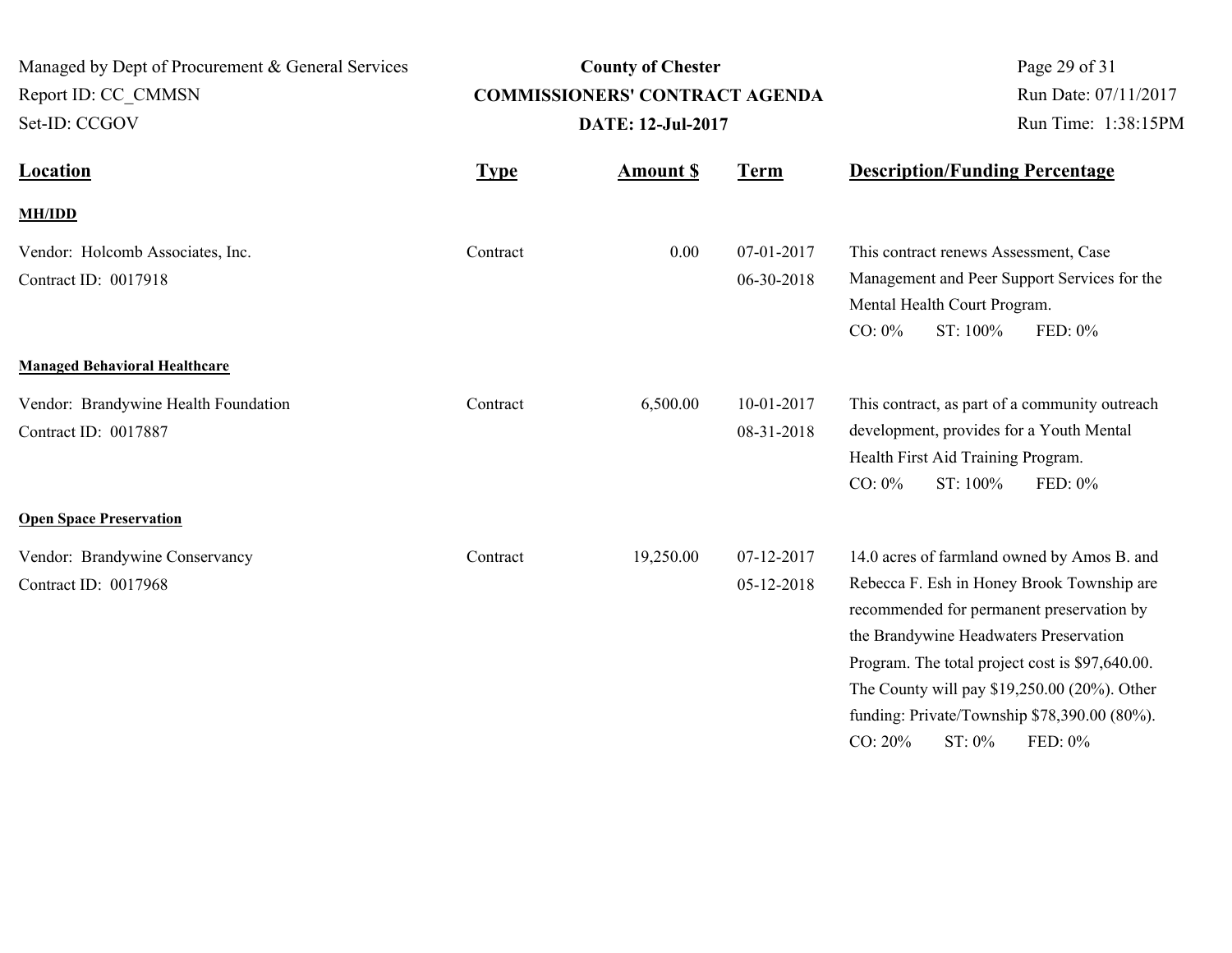| Managed by Dept of Procurement & General Services<br>Report ID: CC CMMSN<br>Set-ID: CCGOV |             | <b>County of Chester</b><br><b>COMMISSIONERS' CONTRACT AGENDA</b><br><b>DATE: 12-Jul-2017</b> | Page 29 of 31<br>Run Date: 07/11/2017<br>Run Time: 1:38:15PM |                                                                                                                                                                                                                                                                                                                                                                        |
|-------------------------------------------------------------------------------------------|-------------|-----------------------------------------------------------------------------------------------|--------------------------------------------------------------|------------------------------------------------------------------------------------------------------------------------------------------------------------------------------------------------------------------------------------------------------------------------------------------------------------------------------------------------------------------------|
| <b>Location</b>                                                                           | <b>Type</b> | <b>Amount \$</b>                                                                              | <b>Term</b>                                                  | <b>Description/Funding Percentage</b>                                                                                                                                                                                                                                                                                                                                  |
| <b>MH/IDD</b>                                                                             |             |                                                                                               |                                                              |                                                                                                                                                                                                                                                                                                                                                                        |
| Vendor: Holcomb Associates, Inc.<br>Contract ID: 0017918                                  | Contract    | 0.00                                                                                          | 07-01-2017<br>06-30-2018                                     | This contract renews Assessment, Case<br>Management and Peer Support Services for the<br>Mental Health Court Program.<br>$CO: 0\%$<br>ST: 100%<br>FED: 0%                                                                                                                                                                                                              |
| <b>Managed Behavioral Healthcare</b>                                                      |             |                                                                                               |                                                              |                                                                                                                                                                                                                                                                                                                                                                        |
| Vendor: Brandywine Health Foundation<br>Contract ID: 0017887                              | Contract    | 6,500.00                                                                                      | 10-01-2017<br>08-31-2018                                     | This contract, as part of a community outreach<br>development, provides for a Youth Mental<br>Health First Aid Training Program.<br>ST: 100%<br>$CO: 0\%$<br>FED: 0%                                                                                                                                                                                                   |
| <b>Open Space Preservation</b>                                                            |             |                                                                                               |                                                              |                                                                                                                                                                                                                                                                                                                                                                        |
| Vendor: Brandywine Conservancy<br>Contract ID: 0017968                                    | Contract    | 19,250.00                                                                                     | 07-12-2017<br>05-12-2018                                     | 14.0 acres of farmland owned by Amos B. and<br>Rebecca F. Esh in Honey Brook Township are<br>recommended for permanent preservation by<br>the Brandywine Headwaters Preservation<br>Program. The total project cost is \$97,640.00.<br>The County will pay \$19,250.00 (20%). Other<br>funding: Private/Township \$78,390.00 (80%).<br>CO: 20%<br>$ST: 0\%$<br>FED: 0% |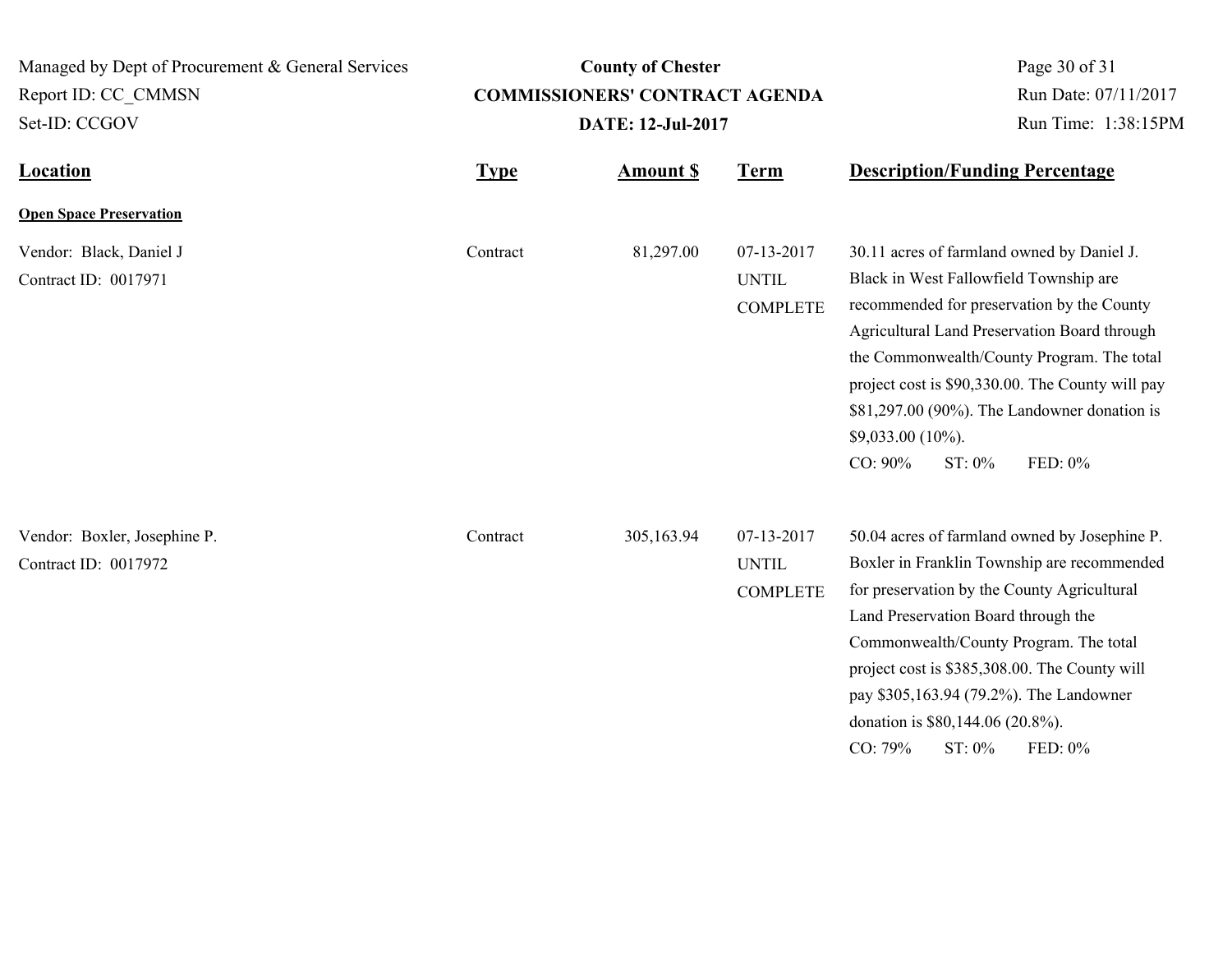Managed by Dept of Procurement & General Services Set-ID: CCGOV Report ID: CC\_CMMSN

# **County of Chester COMMISSIONERS' CONTRACT AGENDA DATE: 12-Jul-2017**

Page 30 of 31 Run Date: 07/11/2017 Run Time: 1:38:15PM

| <b>Location</b>                                      | <b>Type</b> | <b>Amount S</b> | <b>Term</b>                                   | <b>Description/Funding Percentage</b>                                                                                                                                                                                                                                                                                                                                                              |
|------------------------------------------------------|-------------|-----------------|-----------------------------------------------|----------------------------------------------------------------------------------------------------------------------------------------------------------------------------------------------------------------------------------------------------------------------------------------------------------------------------------------------------------------------------------------------------|
| <b>Open Space Preservation</b>                       |             |                 |                                               |                                                                                                                                                                                                                                                                                                                                                                                                    |
| Vendor: Black, Daniel J<br>Contract ID: 0017971      | Contract    | 81,297.00       | 07-13-2017<br><b>UNTIL</b><br><b>COMPLETE</b> | 30.11 acres of farmland owned by Daniel J.<br>Black in West Fallowfield Township are<br>recommended for preservation by the County<br>Agricultural Land Preservation Board through<br>the Commonwealth/County Program. The total<br>project cost is \$90,330.00. The County will pay<br>\$81,297.00 (90%). The Landowner donation is<br>$$9,033.00 (10\%).$<br>CO: 90%<br>ST: 0%<br>FED: 0%        |
| Vendor: Boxler, Josephine P.<br>Contract ID: 0017972 | Contract    | 305,163.94      | 07-13-2017<br><b>UNTIL</b><br><b>COMPLETE</b> | 50.04 acres of farmland owned by Josephine P.<br>Boxler in Franklin Township are recommended<br>for preservation by the County Agricultural<br>Land Preservation Board through the<br>Commonwealth/County Program. The total<br>project cost is \$385,308.00. The County will<br>pay \$305,163.94 (79.2%). The Landowner<br>donation is \$80,144.06 (20.8%).<br>$CO: 79\%$<br>$ST: 0\%$<br>FED: 0% |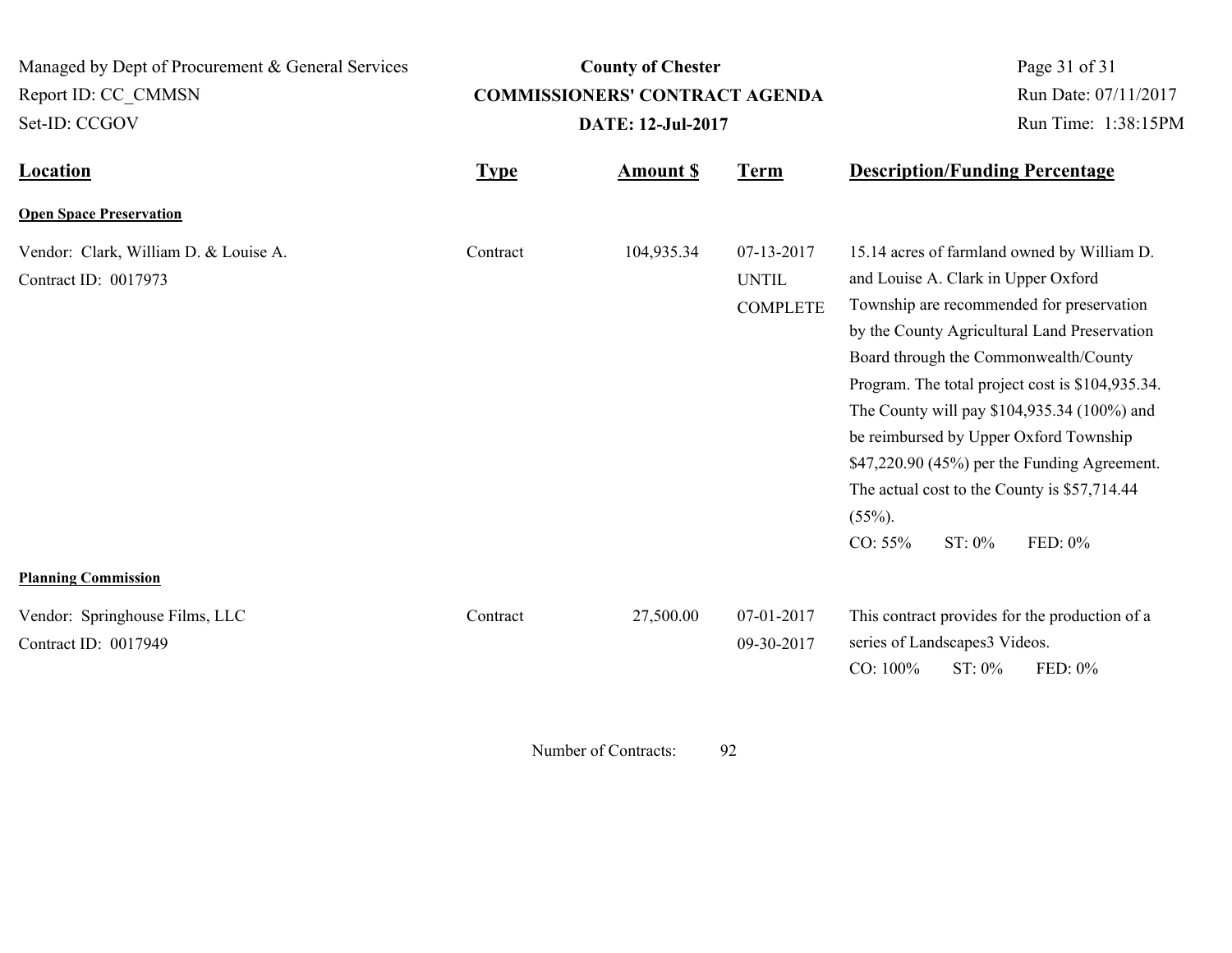| Managed by Dept of Procurement & General Services                                           |             | <b>County of Chester</b>              | Page 31 of 31<br>Run Date: 07/11/2017         |                                                                                                                                                                                                                                                                                                                                                                                                                                                                                                                        |
|---------------------------------------------------------------------------------------------|-------------|---------------------------------------|-----------------------------------------------|------------------------------------------------------------------------------------------------------------------------------------------------------------------------------------------------------------------------------------------------------------------------------------------------------------------------------------------------------------------------------------------------------------------------------------------------------------------------------------------------------------------------|
| Report ID: CC CMMSN                                                                         |             | <b>COMMISSIONERS' CONTRACT AGENDA</b> |                                               |                                                                                                                                                                                                                                                                                                                                                                                                                                                                                                                        |
| Set-ID: CCGOV                                                                               |             | <b>DATE: 12-Jul-2017</b>              | Run Time: 1:38:15PM                           |                                                                                                                                                                                                                                                                                                                                                                                                                                                                                                                        |
| <b>Location</b>                                                                             | <b>Type</b> | <b>Amount S</b>                       | <b>Term</b>                                   | <b>Description/Funding Percentage</b>                                                                                                                                                                                                                                                                                                                                                                                                                                                                                  |
| <b>Open Space Preservation</b>                                                              |             |                                       |                                               |                                                                                                                                                                                                                                                                                                                                                                                                                                                                                                                        |
| Vendor: Clark, William D. & Louise A.<br>Contract ID: 0017973<br><b>Planning Commission</b> | Contract    | 104,935.34                            | 07-13-2017<br><b>UNTIL</b><br><b>COMPLETE</b> | 15.14 acres of farmland owned by William D.<br>and Louise A. Clark in Upper Oxford<br>Township are recommended for preservation<br>by the County Agricultural Land Preservation<br>Board through the Commonwealth/County<br>Program. The total project cost is \$104,935.34.<br>The County will pay \$104,935.34 (100%) and<br>be reimbursed by Upper Oxford Township<br>\$47,220.90 (45%) per the Funding Agreement.<br>The actual cost to the County is \$57,714.44<br>$(55\%)$ .<br>FED: 0%<br>CO: 55%<br>$ST: 0\%$ |
| Vendor: Springhouse Films, LLC<br>Contract ID: 0017949                                      | Contract    | 27,500.00                             | 07-01-2017<br>09-30-2017                      | This contract provides for the production of a<br>series of Landscapes3 Videos.<br>CO: 100%<br>ST: 0%<br>FED: 0%                                                                                                                                                                                                                                                                                                                                                                                                       |

Number of Contracts: 92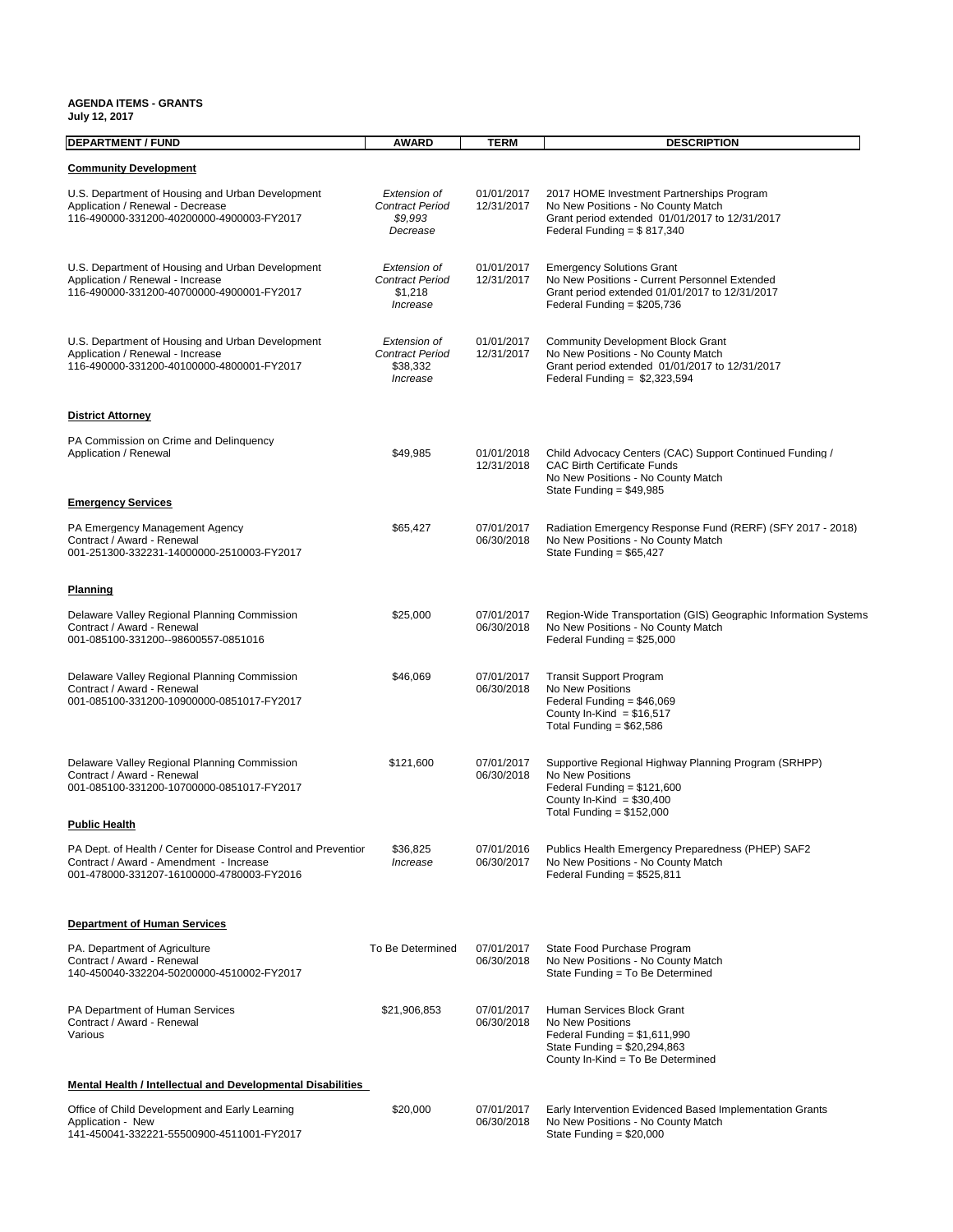#### **AGENDA ITEMS - GRANTS**

| <b>DEPARTMENT / FUND</b>                                                                                                                               | <b>AWARD</b>                                                   | <b>TERM</b>              | <b>DESCRIPTION</b>                                                                                                                                                   |
|--------------------------------------------------------------------------------------------------------------------------------------------------------|----------------------------------------------------------------|--------------------------|----------------------------------------------------------------------------------------------------------------------------------------------------------------------|
| <b>Community Development</b>                                                                                                                           |                                                                |                          |                                                                                                                                                                      |
| U.S. Department of Housing and Urban Development<br>Application / Renewal - Decrease<br>116-490000-331200-40200000-4900003-FY2017                      | Extension of<br><b>Contract Period</b><br>\$9,993<br>Decrease  | 01/01/2017<br>12/31/2017 | 2017 HOME Investment Partnerships Program<br>No New Positions - No County Match<br>Grant period extended 01/01/2017 to 12/31/2017<br>Federal Funding = $$817,340$    |
| U.S. Department of Housing and Urban Development<br>Application / Renewal - Increase<br>116-490000-331200-40700000-4900001-FY2017                      | Extension of<br><b>Contract Period</b><br>\$1,218<br>Increase  | 01/01/2017<br>12/31/2017 | <b>Emergency Solutions Grant</b><br>No New Positions - Current Personnel Extended<br>Grant period extended 01/01/2017 to 12/31/2017<br>Federal Funding = $$205,736$  |
| U.S. Department of Housing and Urban Development<br>Application / Renewal - Increase<br>116-490000-331200-40100000-4800001-FY2017                      | Extension of<br><b>Contract Period</b><br>\$38,332<br>Increase | 01/01/2017<br>12/31/2017 | <b>Community Development Block Grant</b><br>No New Positions - No County Match<br>Grant period extended 01/01/2017 to 12/31/2017<br>Federal Funding = $$2,323,594$   |
| <b>District Attorney</b>                                                                                                                               |                                                                |                          |                                                                                                                                                                      |
| PA Commission on Crime and Delinguency<br>Application / Renewal                                                                                        | \$49,985                                                       | 01/01/2018<br>12/31/2018 | Child Advocacy Centers (CAC) Support Continued Funding /<br><b>CAC Birth Certificate Funds</b><br>No New Positions - No County Match<br>State Funding = $$49,985$    |
| <b>Emergency Services</b>                                                                                                                              |                                                                |                          |                                                                                                                                                                      |
| PA Emergency Management Agency<br>Contract / Award - Renewal<br>001-251300-332231-14000000-2510003-FY2017                                              | \$65,427                                                       | 07/01/2017<br>06/30/2018 | Radiation Emergency Response Fund (RERF) (SFY 2017 - 2018)<br>No New Positions - No County Match<br>State Funding = $$65,427$                                        |
| <b>Planning</b>                                                                                                                                        |                                                                |                          |                                                                                                                                                                      |
| Delaware Valley Regional Planning Commission<br>Contract / Award - Renewal<br>001-085100-331200--98600557-0851016                                      | \$25,000                                                       | 07/01/2017<br>06/30/2018 | Region-Wide Transportation (GIS) Geographic Information Systems<br>No New Positions - No County Match<br>Federal Funding = $$25,000$                                 |
| Delaware Valley Regional Planning Commission<br>Contract / Award - Renewal<br>001-085100-331200-10900000-0851017-FY2017                                | \$46,069                                                       | 07/01/2017<br>06/30/2018 | <b>Transit Support Program</b><br>No New Positions<br>Federal Funding = $$46,069$<br>County In-Kind = $$16,517$<br>Total Funding = $$62,586$                         |
| Delaware Valley Regional Planning Commission<br>Contract / Award - Renewal<br>001-085100-331200-10700000-0851017-FY2017                                | \$121,600                                                      | 07/01/2017<br>06/30/2018 | Supportive Regional Highway Planning Program (SRHPP)<br>No New Positions<br>Federal Funding = $$121,600$<br>County In-Kind = $$30,400$<br>Total Funding = $$152,000$ |
| <b>Public Health</b>                                                                                                                                   |                                                                |                          |                                                                                                                                                                      |
| PA Dept. of Health / Center for Disease Control and Preventior<br>Contract / Award - Amendment - Increase<br>001-478000-331207-16100000-4780003-FY2016 | \$36,825<br>Increase                                           | 07/01/2016<br>06/30/2017 | Publics Health Emergency Preparedness (PHEP) SAF2<br>No New Positions - No County Match<br>Federal Funding = \$525,811                                               |
| <b>Department of Human Services</b>                                                                                                                    |                                                                |                          |                                                                                                                                                                      |
| PA. Department of Agriculture<br>Contract / Award - Renewal<br>140-450040-332204-50200000-4510002-FY2017                                               | To Be Determined                                               | 07/01/2017<br>06/30/2018 | State Food Purchase Program<br>No New Positions - No County Match<br>State Funding = To Be Determined                                                                |
| PA Department of Human Services<br>Contract / Award - Renewal<br>Various                                                                               | \$21,906,853                                                   | 07/01/2017<br>06/30/2018 | Human Services Block Grant<br>No New Positions<br>Federal Funding = $$1,611,990$<br>State Funding = \$20,294,863<br>County In-Kind = To Be Determined                |
| Mental Health / Intellectual and Developmental Disabilities                                                                                            |                                                                |                          |                                                                                                                                                                      |
| Office of Child Development and Early Learning<br>Application - New<br>141-450041-332221-55500900-4511001-FY2017                                       | \$20,000                                                       | 07/01/2017<br>06/30/2018 | Early Intervention Evidenced Based Implementation Grants<br>No New Positions - No County Match<br>State Funding = $$20,000$                                          |

**July 12, 2017**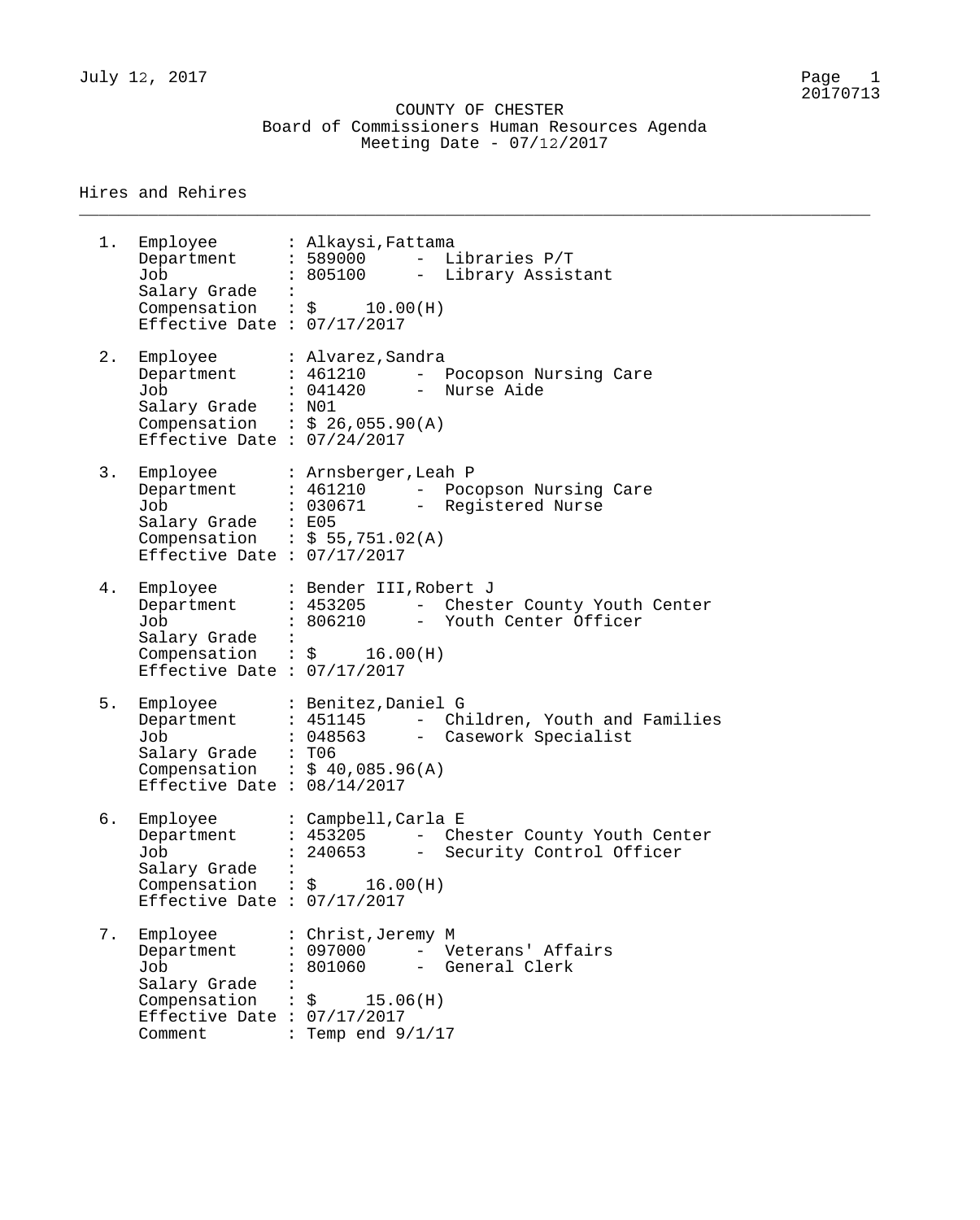July 12, 2017 Page 1

\_\_\_\_\_\_\_\_\_\_\_\_\_\_\_\_\_\_\_\_\_\_\_\_\_\_\_\_\_\_\_\_\_\_\_\_\_\_\_\_\_\_\_\_\_\_\_\_\_\_\_\_\_\_\_\_\_\_\_\_\_\_\_\_\_\_\_\_\_\_\_\_\_\_\_\_\_\_\_\_

### Hires and Rehires

1. Employee : Alkaysi,Fattama Department : 589000 - Libraries P/T Job : 805100 - Library Assistant Salary Grade : Compensation :  $\zeta$  10.00(H) Effective Date : 07/17/2017 2. Employee : Alvarez, Sandra Department : 461210 - Pocopson Nursing Care Job : 041420 - Nurse Aide Salary Grade : N01 Compensation :  $$26,055.90(A)$ Effective Date : 07/24/2017 3. Employee : Arnsberger,Leah P Department : 461210 - Pocopson Nursing Care Job : 030671 - Registered Nurse Salary Grade : E05 Compensation :  $$55,751.02(A)$ Effective Date : 07/17/2017 4. Employee : Bender III,Robert J Department : 453205 - Chester County Youth Center Job : 806210 - Youth Center Officer Salary Grade :  $compensation$  :  $\$$  16.00(H) Effective Date : 07/17/2017 5. Employee : Benitez,Daniel G Department : 451145 - Children, Youth and Families Job : 048563 - Casework Specialist Salary Grade : T06 Compensation :  $$ 40,085.96(A)$ Effective Date : 08/14/2017 6. Employee : Campbell,Carla E Department : 453205 - Chester County Youth Center Job : 240653 - Security Control Officer Salary Grade :  $COMP$   $:$   $\sharp$   $16.00(H)$ Effective Date : 07/17/2017 7. Employee : Christ,Jeremy M Department : 097000 - Veterans' Affairs Job : 801060 - General Clerk Salary Grade : Compensation :  $\zeta$  15.06(H) Effective Date : 07/17/2017 Comment : Temp end  $9/1/17$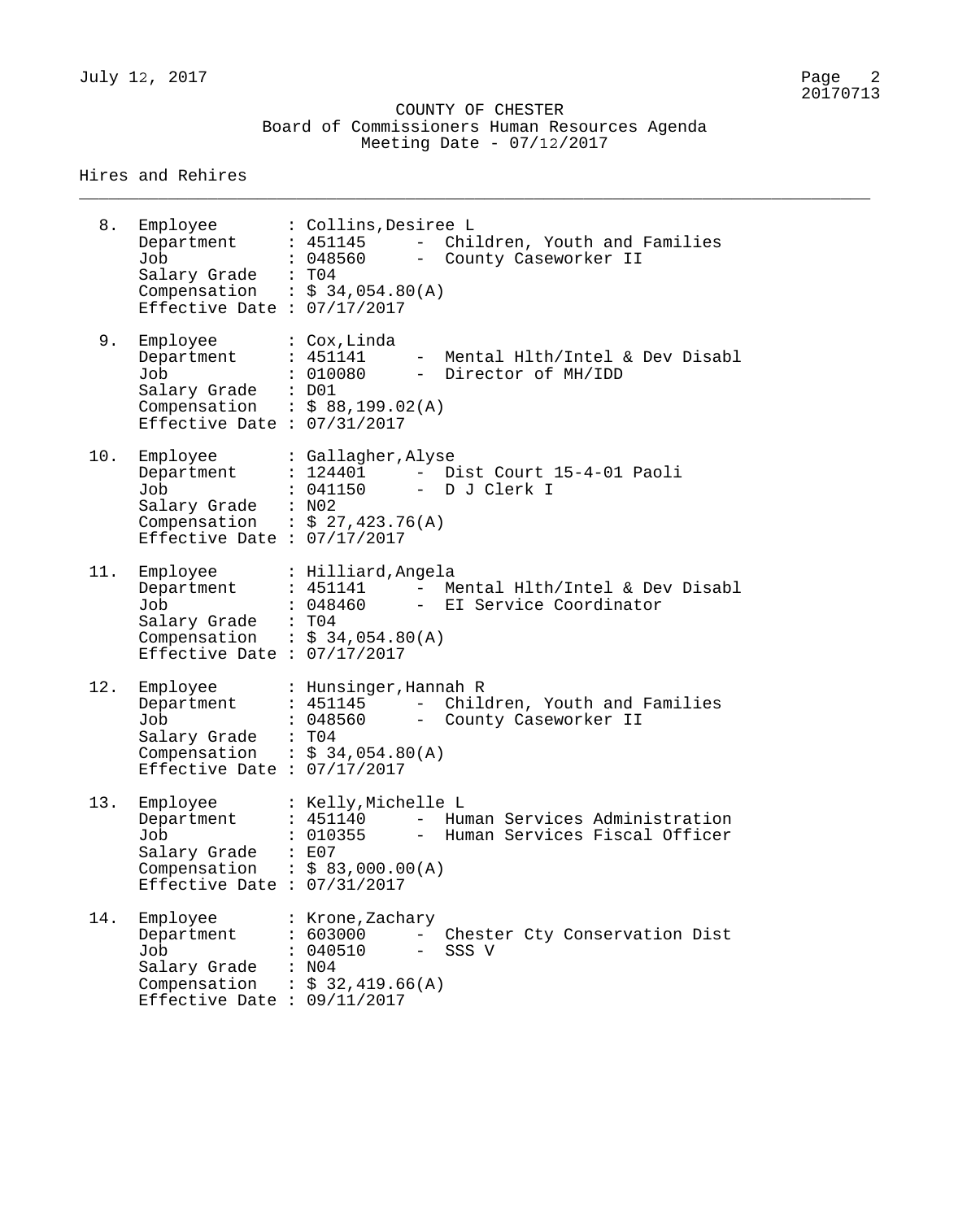|  |                             | COUNTY OF CHESTER |                                               |  |
|--|-----------------------------|-------------------|-----------------------------------------------|--|
|  |                             |                   | Board of Commissioners Human Resources Agenda |  |
|  | Meeting Date - $07/12/2017$ |                   |                                               |  |

\_\_\_\_\_\_\_\_\_\_\_\_\_\_\_\_\_\_\_\_\_\_\_\_\_\_\_\_\_\_\_\_\_\_\_\_\_\_\_\_\_\_\_\_\_\_\_\_\_\_\_\_\_\_\_\_\_\_\_\_\_\_\_\_\_\_\_\_\_\_\_\_\_\_\_\_\_\_\_\_

Hires and Rehires

| 8.  | Employee<br>Department<br>Job<br>Salary Grade : T04<br>Effective Date : $07/17/2017$           | : Collins, Desiree L<br>- Children, Youth and Families<br>: 451145<br>: 048560<br>- County Caseworker II<br>Compensation : $$34,054.80(A)$                       |
|-----|------------------------------------------------------------------------------------------------|------------------------------------------------------------------------------------------------------------------------------------------------------------------|
| 9.  | Employee<br>Department<br>Job<br>Salary Grade : D01<br>Effective Date : $07/31/2017$           | : Cox, Linda<br>Mental Hlth/Intel & Dev Disabl<br>: 451141<br>: 010080<br>- Director of MH/IDD<br>Compensation : $$88,199.02(A)$                                 |
| 10. | Employee<br>Department<br>Job<br>Salary Grade : N02<br>Effective Date : $07/17/2017$           | : Gallagher, Alyse<br>Dist Court 15-4-01 Paoli<br>: 124401<br>$\sim$ $-$<br>: 041150 - D J Clerk I<br>Compensation : $$27,423.76(A)$                             |
| 11. | Employee<br>Department<br>Job<br>Salary Grade : T04<br>Effective Date : $07/17/2017$           | : Hilliard, Angela<br>: 451141 - Mental Hlth/Intel & Dev Disabl<br>: 048460 - EI Service Coordinator<br>Compensation : $$34,054.80(A)$                           |
| 12. | Employee<br>Department<br>Job<br>Salary Grade<br>Effective Date : $07/17/2017$                 | : Hunsinger, Hannah R<br>- Children, Youth and Families<br>: 451145<br>: 048560 - County Caseworker II<br>$\therefore$ TO4<br>Compensation : $$34,054.80(A)$     |
| 13. | Employee<br>Department<br>Job<br>Salary Grade<br>Effective Date : $07/31/2017$                 | : Kelly, Michelle L<br>: 451140<br>Human Services Administration<br>$-$<br>: 010355<br>Human Services Fiscal Officer<br>: E07<br>Compensation : $$ 83,000.00(A)$ |
| 14. | Employee<br>Department<br>Job<br>Salary Grade<br>Compensation<br>Effective Date : $09/11/2017$ | : Krone, Zachary<br>: 603000<br>Chester Cty Conservation Dist<br>: 040510<br>SSS V<br>: N04<br>$\therefore$ \$ 32,419.66(A)                                      |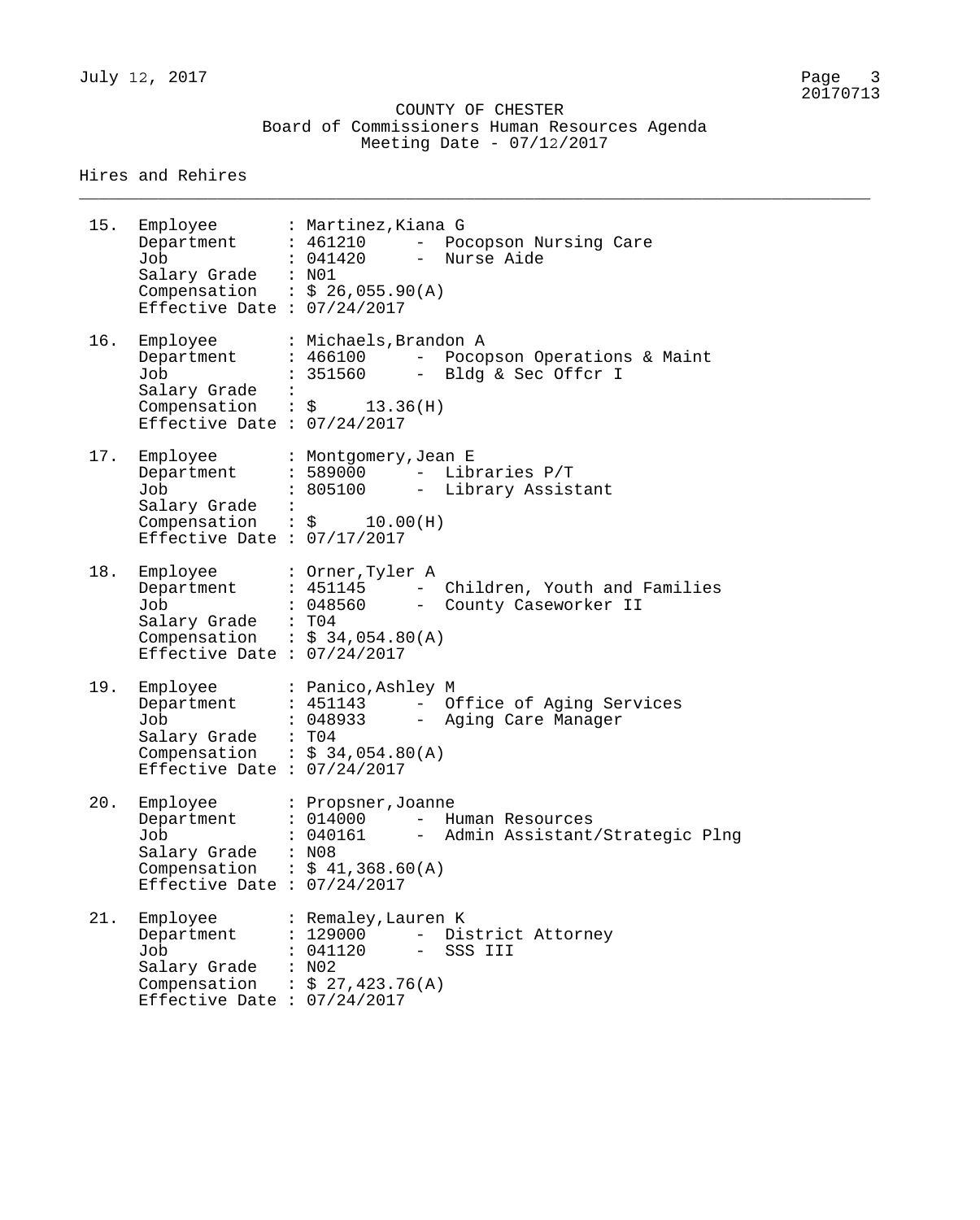|  | COUNTY OF CHESTER                             |  |  |
|--|-----------------------------------------------|--|--|
|  | Board of Commissioners Human Resources Agenda |  |  |
|  | Meeting Date - $07/12/2017$                   |  |  |

\_\_\_\_\_\_\_\_\_\_\_\_\_\_\_\_\_\_\_\_\_\_\_\_\_\_\_\_\_\_\_\_\_\_\_\_\_\_\_\_\_\_\_\_\_\_\_\_\_\_\_\_\_\_\_\_\_\_\_\_\_\_\_\_\_\_\_\_\_\_\_\_\_\_\_\_\_\_\_\_

Hires and Rehires

| 15. | Employee : Martinez, Kiana G<br>Department<br>Job<br>Salary Grade : N01<br>Compensation : $\frac{5.26}{9}$ , 055.90(A)<br>Effective Date : 07/24/2017 | : 461210<br>: 041420                                                                                                              | - Pocopson Nursing Care<br>- Nurse Aide                                 |
|-----|-------------------------------------------------------------------------------------------------------------------------------------------------------|-----------------------------------------------------------------------------------------------------------------------------------|-------------------------------------------------------------------------|
| 16. | Employee<br>Department<br>Job<br>Salary Grade<br>Compensation : $\frac{1}{2}$ 13.36(H)<br>Effective Date : $07/24/2017$                               | : Michaels, Brandon A                                                                                                             | : 466100 - Pocopson Operations & Maint<br>: 351560 - Bldg & Sec Offcr I |
| 17. | Employee<br>Department<br>Job<br>Salary Grade<br>Compensation : $\frac{1}{2}$ 10.00(H)<br>Effective Date : $07/17/2017$                               | : Montgomery, Jean E<br>: 589000                                                                                                  | - Libraries P/T<br>: 805100 - Library Assistant                         |
| 18. | Employee<br>Department<br>Job<br>Salary Grade : T04<br>Compensation : $$34,054.80(A)$<br>Effective Date : $07/24/2017$                                | : Orner, Tyler A<br>: 451145                                                                                                      | - Children, Youth and Families<br>: 048560 - County Caseworker II       |
| 19. | Employee<br>Department<br>Job<br>Salary Grade : T04<br>Compensation : $$34,054.80(A)$<br>Effective Date : $07/24/2017$                                | : Panico, Ashley M<br>: 451143                                                                                                    | - Office of Aging Services<br>: 048933 - Aging Care Manager             |
| 20. | Employee<br>Department<br>Job<br>Salary Grade<br>Compensation : $$41,368.60(A)$<br>Effective Date : $07/24/2017$                                      | : Propsner, Joanne<br>: 014000<br>$ \,$<br>: 040161<br>: N08                                                                      | Human Resources<br>Admin Assistant/Strategic Plng                       |
| 21. | Employee<br>Department<br>Job<br>Salary Grade<br>Compensation<br>Effective Date : $07/24/2017$                                                        | : Remaley, Lauren K<br>: 129000<br>$\frac{1}{2}$ and $\frac{1}{2}$<br>: 041120<br>$\qquad \qquad -$<br>: N02<br>: $$27,423.76(A)$ | District Attorney<br>SSS III                                            |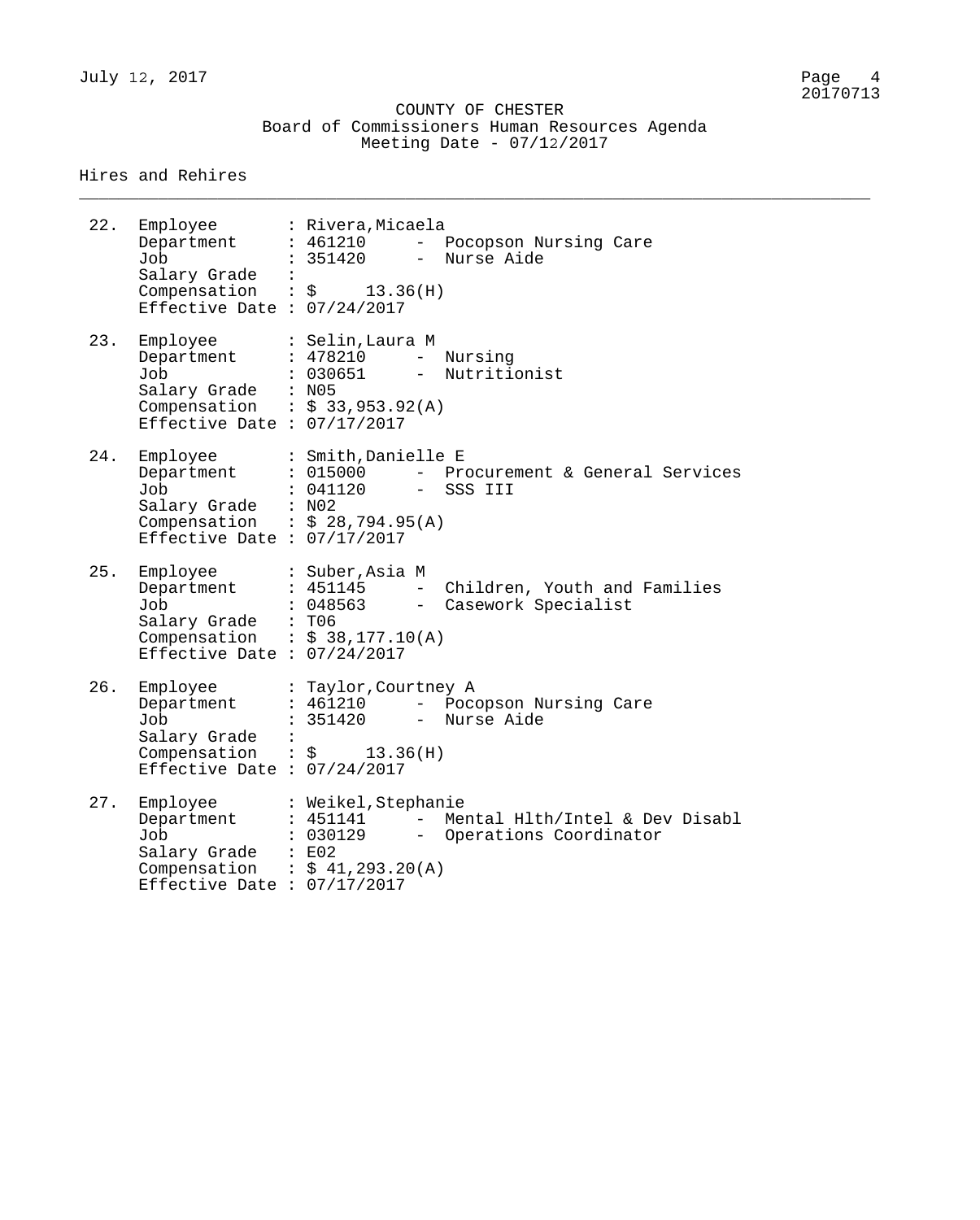\_\_\_\_\_\_\_\_\_\_\_\_\_\_\_\_\_\_\_\_\_\_\_\_\_\_\_\_\_\_\_\_\_\_\_\_\_\_\_\_\_\_\_\_\_\_\_\_\_\_\_\_\_\_\_\_\_\_\_\_\_\_\_\_\_\_\_\_\_\_\_\_\_\_\_\_\_\_\_\_

#### Hires and Rehires

| 22. | Employee<br>Department<br>Job<br>Salary Grade<br>Compensation : \$<br>Effective Date : $07/24/2017$ | : Rivera,Micaela<br>: 461210<br>$\equiv$<br>Pocopson Nursing Care<br>Nurse Aide<br>: 351420<br>$\equiv$<br>$\ddot{\phantom{1}}$<br>13.36(H)        |
|-----|-----------------------------------------------------------------------------------------------------|----------------------------------------------------------------------------------------------------------------------------------------------------|
| 23. | Employee<br>Department<br>Job<br>Salary Grade : N05<br>Effective Date : $07/17/2017$                | : Selin,Laura M<br>: 478210<br>$ \,$<br>Nursing<br>: 030651<br>$\frac{1}{2}$<br>Nutritionist<br>Compensation : $$33,953.92(A)$                     |
| 24. | Employee<br>Department<br>Job<br>Salary Grade : N02<br>Effective Date : $07/17/2017$                | : Smith, Danielle E<br>: 015000<br>- Procurement & General Services<br>: 041120<br>- SSS III<br>Compensation : $$28,794.95(A)$                     |
| 25. | Employee<br>Department<br>Job<br>Salary Grade : T06<br>Effective Date : $07/24/2017$                | : Suber,Asia M<br>$\equiv$ .<br>: 451145<br>Children, Youth and Families<br>: 048563<br>- Casework Specialist<br>Compensation : $$38,177.10(A)$    |
| 26. | Employee<br>Department<br>Job<br>Salary Grade<br>Effective Date : $07/24/2017$                      | : Taylor, Courtney A<br>: 461210<br>- Pocopson Nursing Care<br>: 351420<br>- Nurse Aide<br>$\ddot{\cdot}$<br>Compensation : $\frac{1}{2}$ 13.36(H) |
| 27. | Employee<br>Department<br>Job<br>Salary Grade : E02<br>Effective Date : 07/17/2017                  | : Weikel, Stephanie<br>$: 451141 -$<br>Mental Hlth/Intel & Dev Disabl<br>: 030129 - Operations Coordinator<br>Compensation : $$41,293.20(A)$       |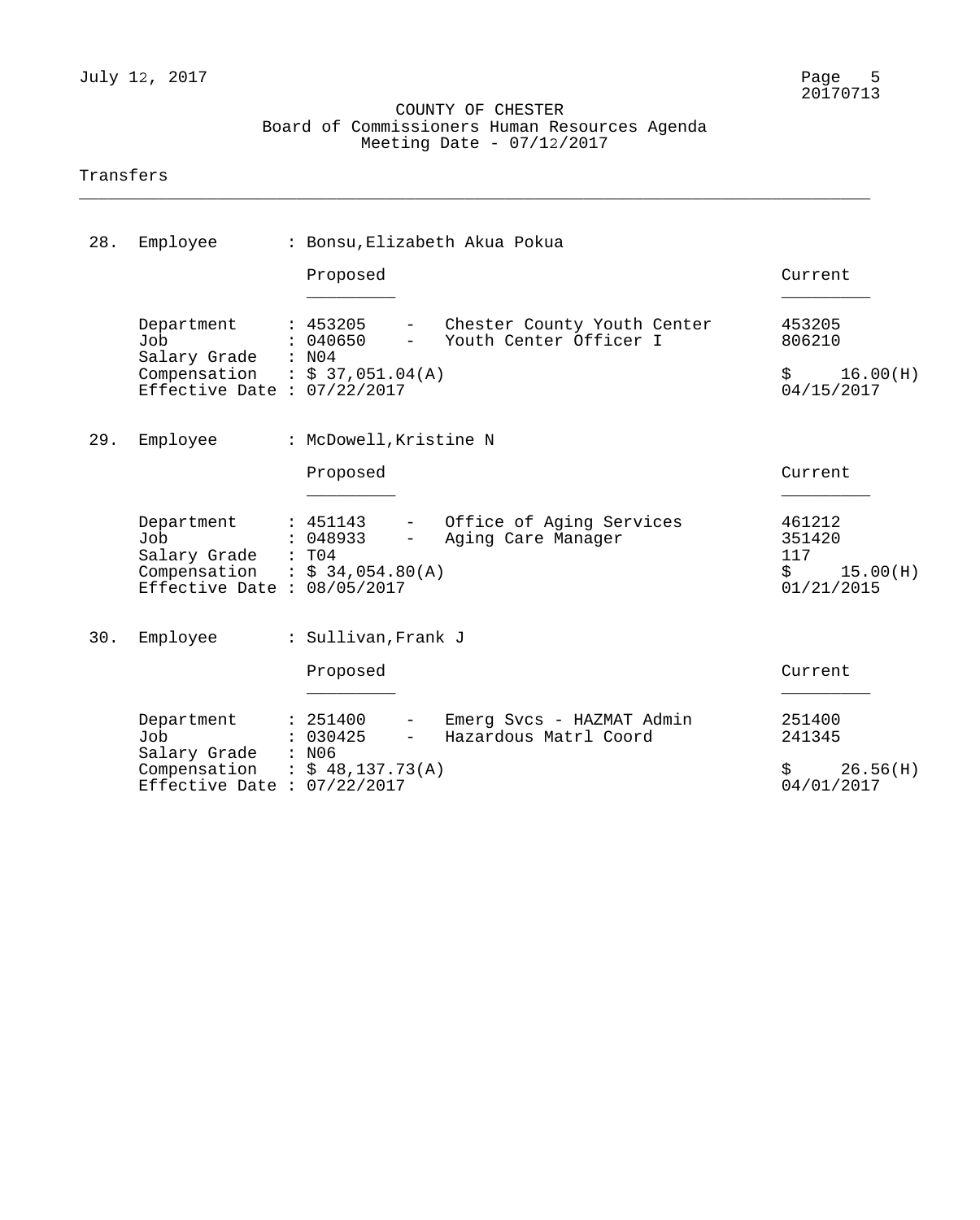### COUNTY OF CHESTER Board of Commissioners Human Resources Agenda Meeting Date - 07/12/2017

\_\_\_\_\_\_\_\_\_\_\_\_\_\_\_\_\_\_\_\_\_\_\_\_\_\_\_\_\_\_\_\_\_\_\_\_\_\_\_\_\_\_\_\_\_\_\_\_\_\_\_\_\_\_\_\_\_\_\_\_\_\_\_\_\_\_\_\_\_\_\_\_\_\_\_\_\_\_\_\_

### Transfers

| 28. | Employee                                                                                                   | : Bonsu, Elizabeth Akua Pokua                                                                                                          |                                                                 |  |
|-----|------------------------------------------------------------------------------------------------------------|----------------------------------------------------------------------------------------------------------------------------------------|-----------------------------------------------------------------|--|
|     |                                                                                                            | Proposed                                                                                                                               | Current                                                         |  |
|     | Department<br>Job<br>Salary Grade : N04<br>Compensation : $$37,051.04(A)$<br>Effective Date : $07/22/2017$ | : 453205<br>- Chester County Youth Center<br>Youth Center Officer I<br>: 040650<br>$\frac{1}{2}$ and $\frac{1}{2}$ . The $\frac{1}{2}$ | 453205<br>806210<br>$\uparrow$<br>16.00(H)<br>04/15/2017        |  |
| 29. | Employee                                                                                                   | : McDowell, Kristine N<br>Proposed                                                                                                     | Current                                                         |  |
|     | Department<br>Job<br>Salary Grade : T04<br>Compensation : $$34,054.80(A)$<br>Effective Date : $08/05/2017$ | - Office of Aging Services<br>: 451143<br>: 048933<br>Aging Care Manager<br>$\frac{1}{2}$ and $\frac{1}{2}$                            | 461212<br>351420<br>117<br>$\ddot{S}$<br>15.00(H)<br>01/21/2015 |  |
| 30. | Employee                                                                                                   | : Sullivan, Frank J<br>Proposed                                                                                                        | Current                                                         |  |
|     | Department<br>Job<br>Salary Grade<br>Compensation<br>Effective Date : $07/22/2017$                         | Emerg Svcs - HAZMAT Admin<br>: 251400<br>: 030425<br>Hazardous Matrl Coord<br>: N06<br>: \$48,137.73(A)                                | \$<br>251400<br>241345<br>26.56(H)<br>04/01/2017                |  |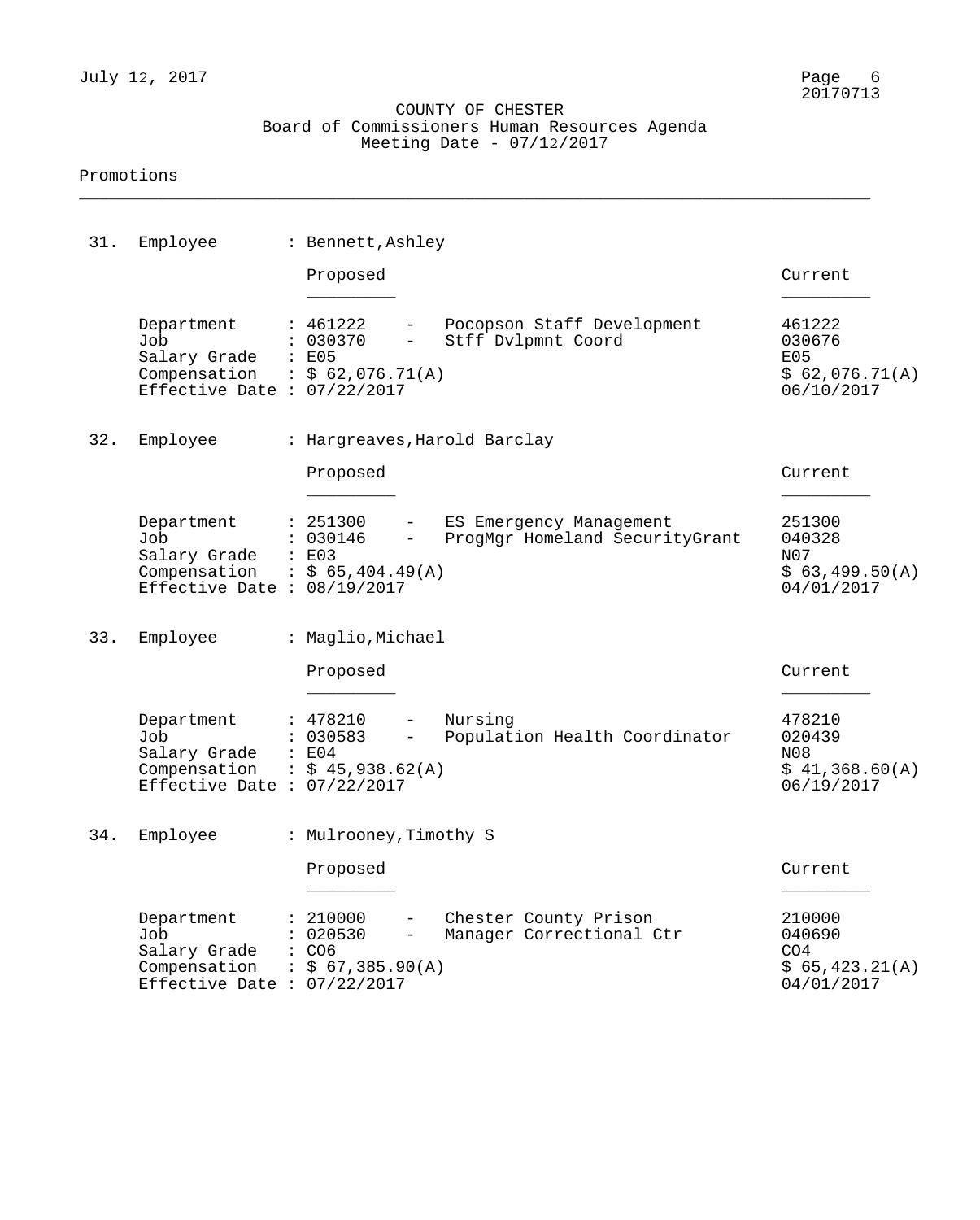### COUNTY OF CHESTER Board of Commissioners Human Resources Agenda Meeting Date - 07/12/2017

\_\_\_\_\_\_\_\_\_\_\_\_\_\_\_\_\_\_\_\_\_\_\_\_\_\_\_\_\_\_\_\_\_\_\_\_\_\_\_\_\_\_\_\_\_\_\_\_\_\_\_\_\_\_\_\_\_\_\_\_\_\_\_\_\_\_\_\_\_\_\_\_\_\_\_\_\_\_\_\_

#### Promotions

| 31. | Employee                                                                                             | : Bennett, Ashley                                                                                                               |                                                                     |
|-----|------------------------------------------------------------------------------------------------------|---------------------------------------------------------------------------------------------------------------------------------|---------------------------------------------------------------------|
|     |                                                                                                      | Proposed                                                                                                                        | Current                                                             |
|     | Department<br>Job<br>Salary Grade<br>Compensation : $$62,076.71(A)$<br>Effective Date : $07/22/2017$ | : 461222<br>Pocopson Staff Development<br>: 030370<br>Stff Dvlpmnt Coord<br>$-$<br>: E05                                        | 461222<br>030676<br>E05<br>\$62,076.71(A)<br>06/10/2017             |
| 32. | Employee                                                                                             | : Hargreaves, Harold Barclay                                                                                                    |                                                                     |
|     |                                                                                                      | Proposed                                                                                                                        | Current                                                             |
|     | Department<br>Job<br>Salary Grade<br>Compensation<br>Effective Date : $08/19/2017$                   | : 251300<br>ES Emergency Management<br>$-$<br>: 030146<br>ProgMgr Homeland SecurityGrant<br>$ -$<br>: E03<br>: $$65,404.49(A)$  | 251300<br>040328<br>N07<br>\$63,499.50(A)<br>04/01/2017             |
| 33. | Employee                                                                                             | : Maglio, Michael                                                                                                               |                                                                     |
|     |                                                                                                      | Proposed                                                                                                                        | Current                                                             |
|     | Department<br>Job<br>Salary Grade<br>Compensation<br>Effective Date : $07/22/2017$                   | : 478210<br>Nursing<br>$\qquad \qquad -$<br>: 030583<br>Population Health Coordinator<br>$-$<br>: E04<br>$\div$ \$ 45,938.62(A) | 478210<br>020439<br>N08<br>\$41,368.60(A)<br>06/19/2017             |
|     | 34. Employee                                                                                         | : Mulrooney, Timothy S                                                                                                          |                                                                     |
|     |                                                                                                      | Proposed                                                                                                                        | Current                                                             |
|     | Department<br>Job<br>Salary Grade<br>Compensation<br>Effective Date : $07/22/2017$                   | 210000<br>Chester County Prison<br>020530<br>Manager Correctional Ctr<br>CO <sub>6</sub><br>: \$67,385.90(A)                    | 210000<br>040690<br>CO <sub>4</sub><br>\$65,423.21(A)<br>04/01/2017 |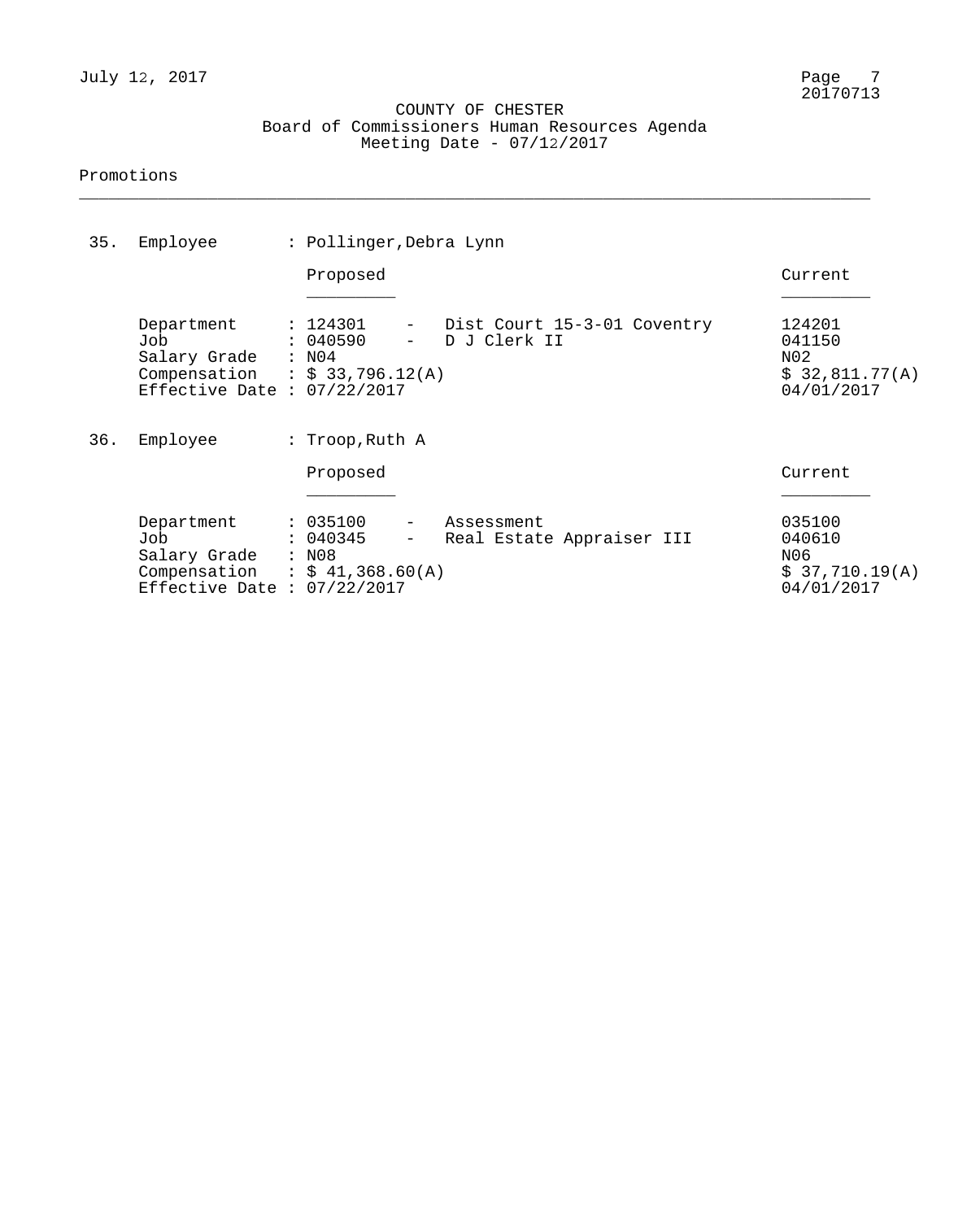### COUNTY OF CHESTER Board of Commissioners Human Resources Agenda Meeting Date - 07/12/2017

\_\_\_\_\_\_\_\_\_\_\_\_\_\_\_\_\_\_\_\_\_\_\_\_\_\_\_\_\_\_\_\_\_\_\_\_\_\_\_\_\_\_\_\_\_\_\_\_\_\_\_\_\_\_\_\_\_\_\_\_\_\_\_\_\_\_\_\_\_\_\_\_\_\_\_\_\_\_\_\_

### Promotions

| 35. | Employee                                                                                                   | : Pollinger, Debra Lynn |                                                                                 |                                                         |  |  |  |
|-----|------------------------------------------------------------------------------------------------------------|-------------------------|---------------------------------------------------------------------------------|---------------------------------------------------------|--|--|--|
|     |                                                                                                            |                         | Proposed                                                                        | Current                                                 |  |  |  |
|     | Department<br>Job<br>Salary Grade : N04<br>Compensation : $$33,796.12(A)$<br>Effective Date : $07/22/2017$ |                         | : 124301<br>Dist Court 15-3-01 Coventry<br>$ \,$<br>: 040590<br>D J Clerk II    | 124201<br>041150<br>N02<br>\$32,811.77(A)<br>04/01/2017 |  |  |  |
| 36. | Employee                                                                                                   |                         | : Troop, Ruth A                                                                 |                                                         |  |  |  |
|     |                                                                                                            |                         | Proposed                                                                        | Current                                                 |  |  |  |
|     | Department<br>Job<br>Salary Grade<br>Compensation : $$41,368.60(A)$<br>Effective Date : $07/22/2017$       |                         | : 035100<br>Assessment<br>: 040345<br>Real Estate Appraiser III<br>$-$<br>: N08 | 035100<br>040610<br>N06<br>\$37,710.19(A)<br>04/01/2017 |  |  |  |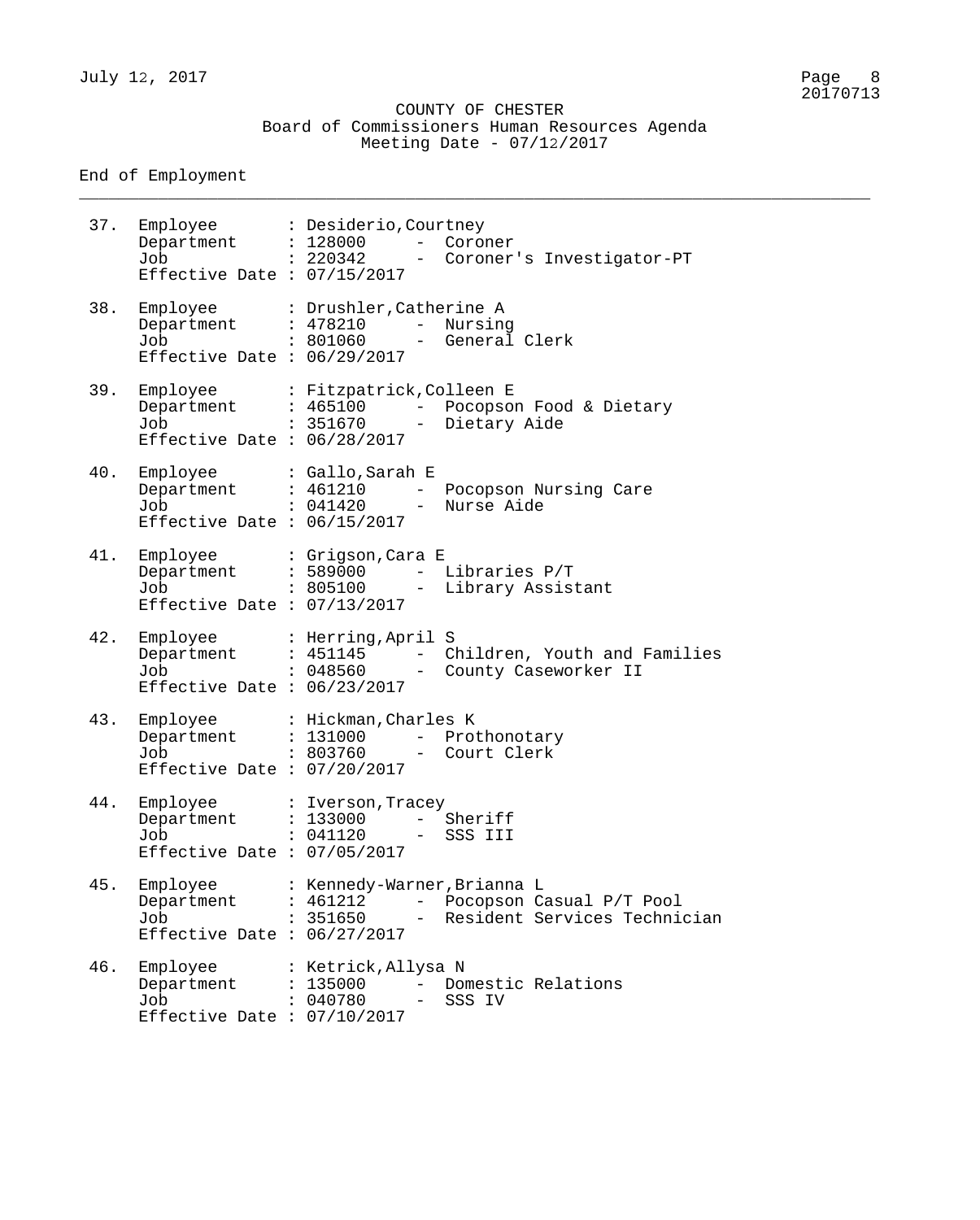\_\_\_\_\_\_\_\_\_\_\_\_\_\_\_\_\_\_\_\_\_\_\_\_\_\_\_\_\_\_\_\_\_\_\_\_\_\_\_\_\_\_\_\_\_\_\_\_\_\_\_\_\_\_\_\_\_\_\_\_\_\_\_\_\_\_\_\_\_\_\_\_\_\_\_\_\_\_\_\_

End of Employment

37. Employee : Desiderio,Courtney Department : 128000 - Coroner Job : 220342 - Coroner's Investigator-PT Effective Date : 07/15/2017 38. Employee : Drushler,Catherine A Department : 478210 - Nursing Job : 801060 - General Clerk Effective Date : 06/29/2017 39. Employee : Fitzpatrick,Colleen E Department : 465100 - Pocopson Food & Dietary Job : 351670 - Dietary Aide Effective Date : 06/28/2017 40. Employee : Gallo,Sarah E Department : 461210 - Pocopson Nursing Care Job : 041420 - Nurse Aide Effective Date : 06/15/2017 41. Employee : Grigson,Cara E Department : 589000 - Libraries P/T Job : 805100 - Library Assistant Effective Date : 07/13/2017 42. Employee : Herring,April S Department : 451145 - Children, Youth and Families Job : 048560 - County Caseworker II Effective Date : 06/23/2017 43. Employee : Hickman,Charles K Department : 131000 - Prothonotary Job : 803760 - Court Clerk Effective Date : 07/20/2017 44. Employee : Iverson,Tracey Department : 133000 - Sheriff Job : 041120 - SSS III Effective Date : 07/05/2017 45. Employee : Kennedy-Warner,Brianna L Department : 461212 - Pocopson Casual P/T Pool Job : 351650 - Resident Services Technician Effective Date : 06/27/2017 46. Employee : Ketrick, Allysa N Department : 135000 - Domestic Relations Job : 040780 - SSS IV Effective Date : 07/10/2017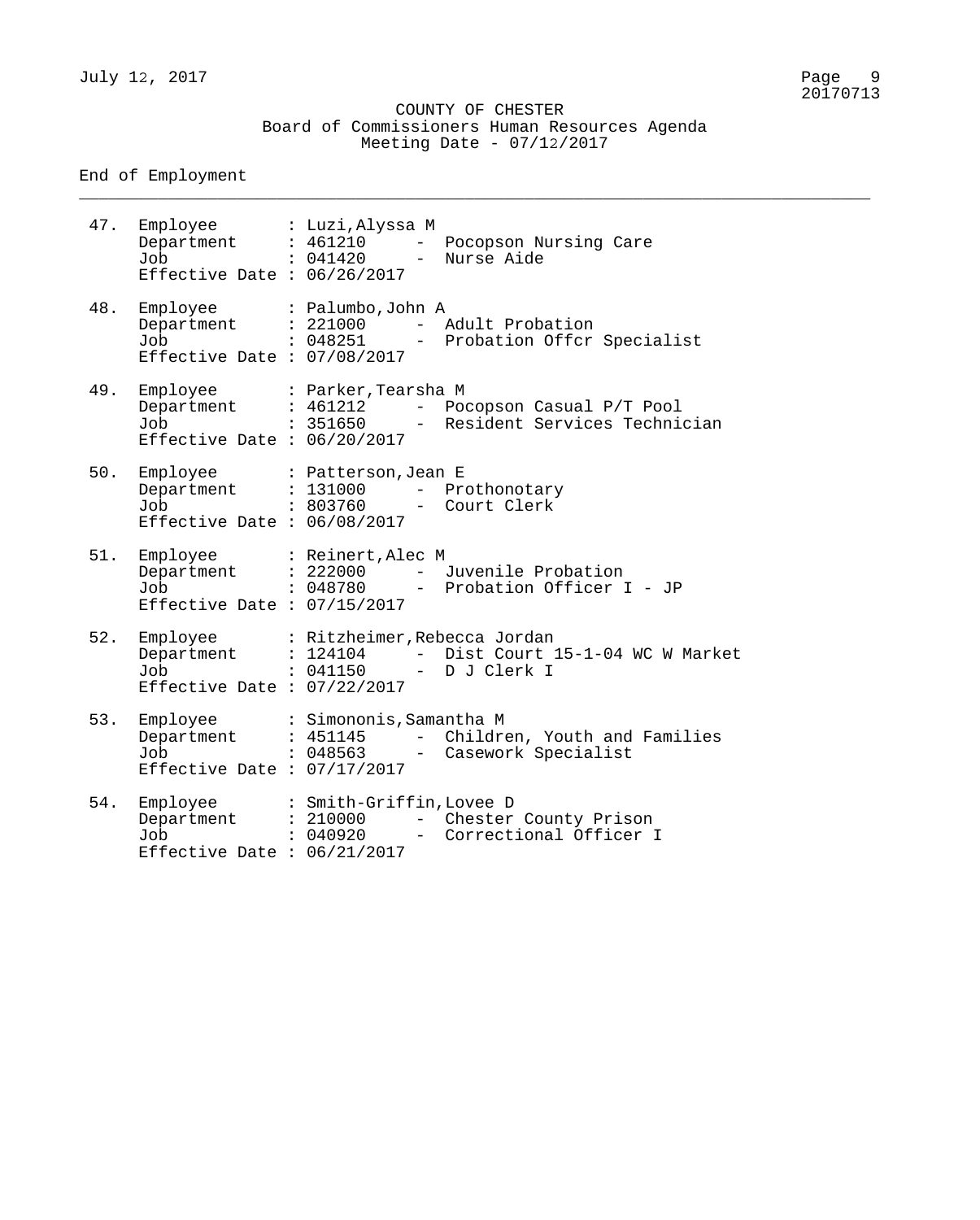\_\_\_\_\_\_\_\_\_\_\_\_\_\_\_\_\_\_\_\_\_\_\_\_\_\_\_\_\_\_\_\_\_\_\_\_\_\_\_\_\_\_\_\_\_\_\_\_\_\_\_\_\_\_\_\_\_\_\_\_\_\_\_\_\_\_\_\_\_\_\_\_\_\_\_\_\_\_\_\_

## End of Employment

| 47. | Employee : Luzi, Alyssa M<br>Department : 461210 -<br>Job<br>Effective Date : $06/26/2017$                                        | : 041420 - Nurse Aide    | Pocopson Nursing Care                                                                     |
|-----|-----------------------------------------------------------------------------------------------------------------------------------|--------------------------|-------------------------------------------------------------------------------------------|
| 48. | Employee : Palumbo, John A<br>Department : 221000<br>Job<br>Effective Date : $07/08/2017$                                         | : 048251                 | - Adult Probation<br>- Probation Offcr Specialist                                         |
| 49. | Employee : Parker, Tearsha M<br>Job<br>Effective Date : $06/20/2017$                                                              |                          | Department : 461212 - Pocopson Casual P/T Pool<br>: 351650 - Resident Services Technician |
| 50. | Employee : Patterson, Jean E<br>Department : 131000 - Prothonotary<br>Job : 803760 - Court Clerk<br>Effective Date : $06/08/2017$ |                          |                                                                                           |
| 51. | Employee : Reinert, Alec M<br>Job<br>Effective Date : $07/15/2017$                                                                |                          | Department : 222000 - Juvenile Probation<br>: 048780 - Probation Officer I - JP           |
| 52. | Employee : Ritzheimer, Rebecca Jordan<br>Department : 124104<br>Job<br>Effective Date : $07/22/2017$                              | : 041150                 | - Dist Court 15-1-04 WC W Market<br>- D J Clerk I                                         |
| 53. | Employee<br>Job<br>Effective Date : $07/17/2017$                                                                                  | : Simononis, Samantha M  | Department : 451145 - Children, Youth and Families<br>: 048563 - Casework Specialist      |
| 54. | Employee<br>Job<br>Effective Date : $06/21/2017$                                                                                  | : Smith-Griffin, Lovee D | Department : 210000 - Chester County Prison<br>: 040920 - Correctional Officer I          |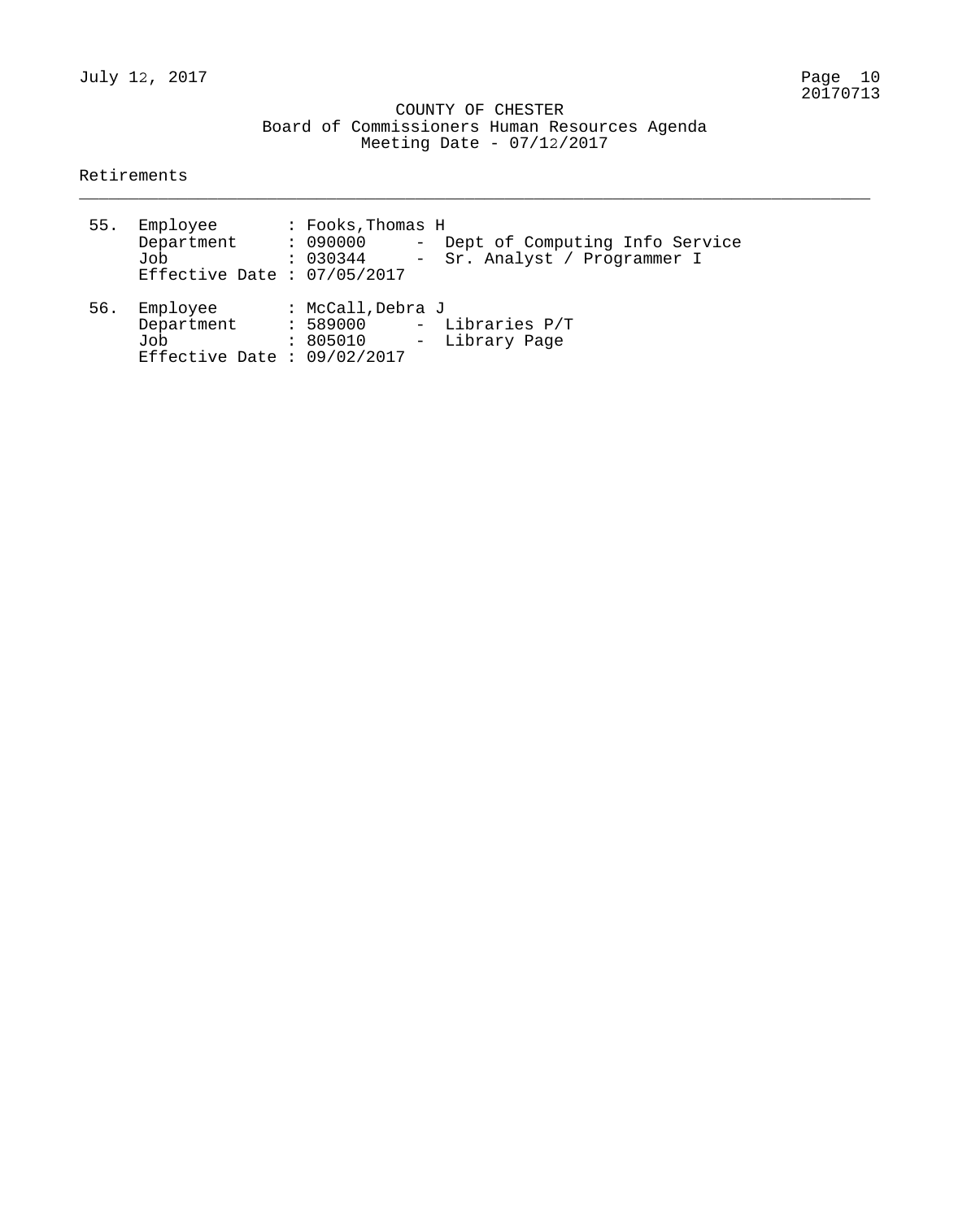COUNTY OF CHESTER Board of Commissioners Human Resources Agenda Meeting Date - 07/12/2017

\_\_\_\_\_\_\_\_\_\_\_\_\_\_\_\_\_\_\_\_\_\_\_\_\_\_\_\_\_\_\_\_\_\_\_\_\_\_\_\_\_\_\_\_\_\_\_\_\_\_\_\_\_\_\_\_\_\_\_\_\_\_\_\_\_\_\_\_\_\_\_\_\_\_\_\_\_\_\_\_

Retirements

| 55. | Employee<br>Department : 090000<br>Job<br>Effective Date : $07/05/2017$ | : Fooks, Thomas H<br>- Dept of Computing Info Service<br>: 030344<br>- Sr. Analyst / Programmer I |  |
|-----|-------------------------------------------------------------------------|---------------------------------------------------------------------------------------------------|--|
| 56. | Employee<br>Department<br>Job<br>Effective Date : $09/02/2017$          | : McCall, Debra J<br>- Libraries P/T<br>: 589000<br>- Library Page<br>: 805010                    |  |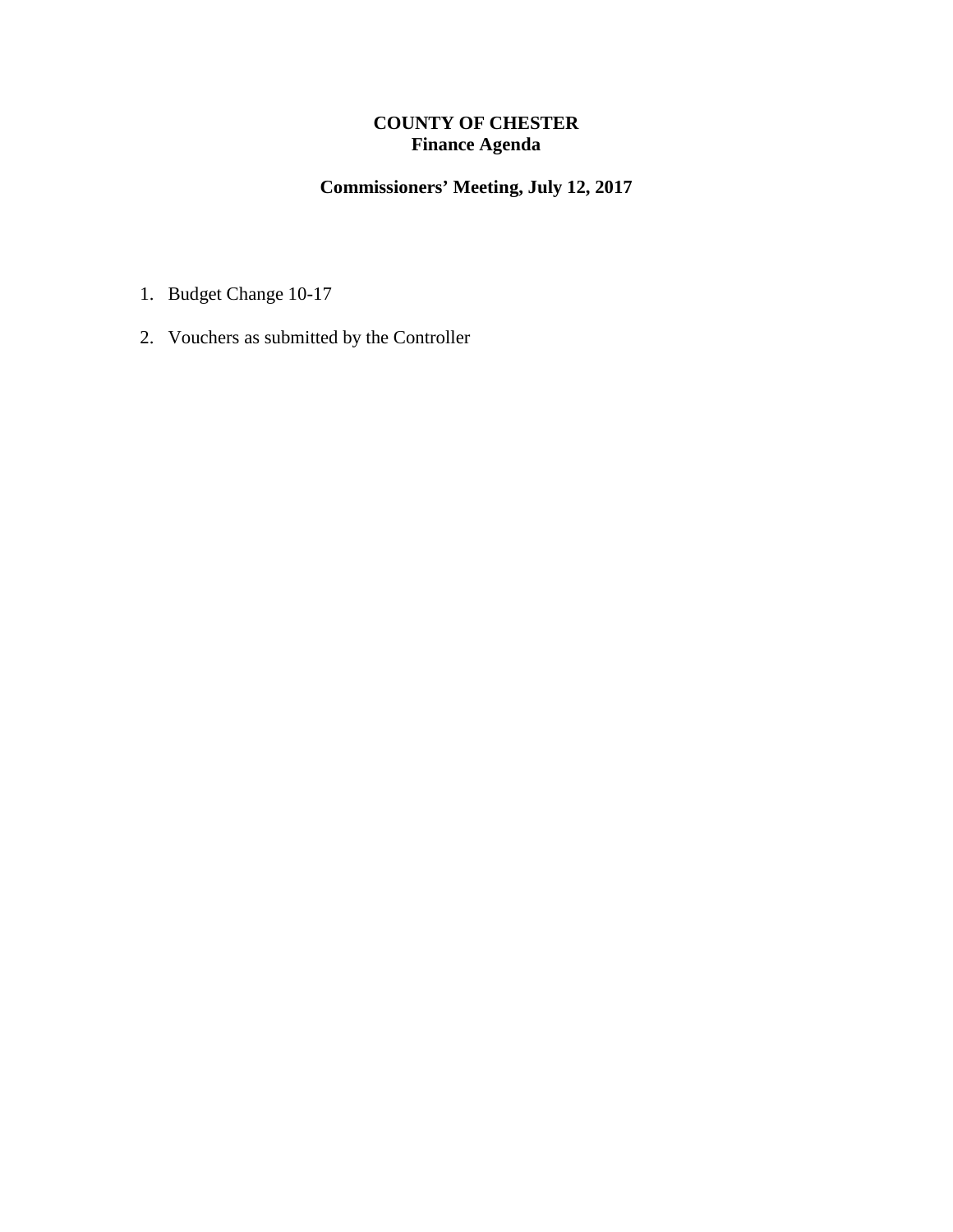# **COUNTY OF CHESTER Finance Agenda**

# **Commissioners' Meeting, July 12, 2017**

- 1. Budget Change 10-17
- 2. Vouchers as submitted by the Controller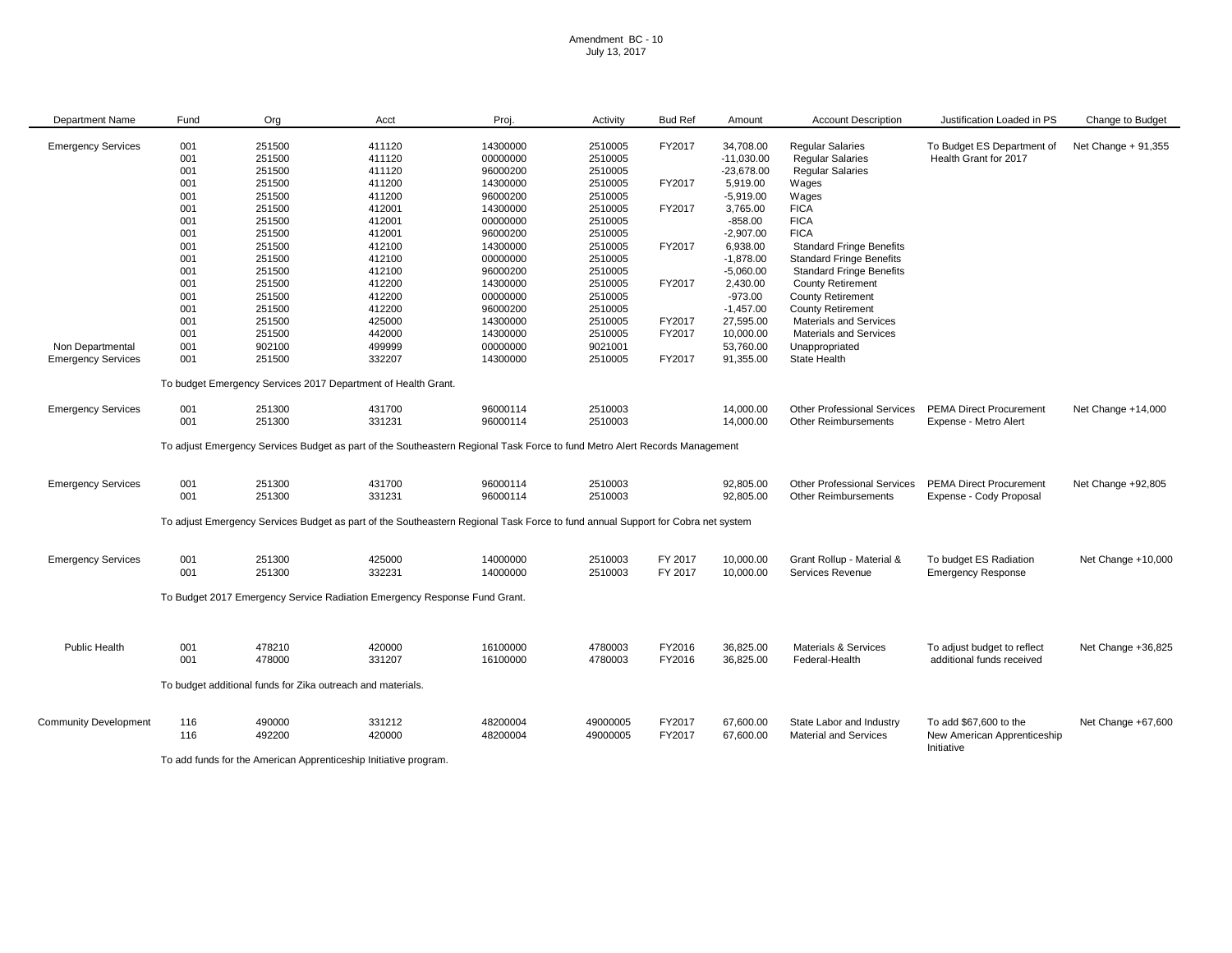#### Amendment BC - 10 July 13, 2017

| Department Name              | Fund | Org                                                         | Acct                                                                      | Proj.                                                                                                                           | Activity           | <b>Bud Ref</b> | Amount       | <b>Account Description</b>                                        | Justification Loaded in PS                | Change to Budget     |
|------------------------------|------|-------------------------------------------------------------|---------------------------------------------------------------------------|---------------------------------------------------------------------------------------------------------------------------------|--------------------|----------------|--------------|-------------------------------------------------------------------|-------------------------------------------|----------------------|
|                              |      |                                                             |                                                                           |                                                                                                                                 |                    |                |              |                                                                   |                                           |                      |
| <b>Emergency Services</b>    | 001  | 251500                                                      | 411120                                                                    | 14300000                                                                                                                        | 2510005            | FY2017         | 34,708.00    | <b>Regular Salaries</b>                                           | To Budget ES Department of                | Net Change $+91,355$ |
|                              | 001  | 251500                                                      | 411120                                                                    | 00000000                                                                                                                        | 2510005            |                | $-11,030.00$ | <b>Regular Salaries</b>                                           | Health Grant for 2017                     |                      |
|                              | 001  | 251500                                                      | 411120                                                                    | 96000200                                                                                                                        | 2510005            |                | $-23,678.00$ | <b>Regular Salaries</b>                                           |                                           |                      |
|                              | 001  | 251500                                                      | 411200                                                                    | 14300000                                                                                                                        | 2510005            | FY2017         | 5,919.00     | Wages                                                             |                                           |                      |
|                              | 001  | 251500                                                      | 411200                                                                    | 96000200                                                                                                                        | 2510005            |                | $-5,919.00$  | Wages                                                             |                                           |                      |
|                              | 001  | 251500                                                      | 412001                                                                    | 14300000                                                                                                                        | 2510005            | FY2017         | 3,765.00     | <b>FICA</b>                                                       |                                           |                      |
|                              | 001  | 251500                                                      | 412001                                                                    | 00000000                                                                                                                        | 2510005            |                | $-858.00$    | <b>FICA</b>                                                       |                                           |                      |
|                              | 001  | 251500                                                      | 412001                                                                    | 96000200                                                                                                                        | 2510005            |                | $-2,907.00$  | <b>FICA</b>                                                       |                                           |                      |
|                              | 001  | 251500                                                      | 412100                                                                    | 14300000                                                                                                                        | 2510005            | FY2017         | 6,938.00     | <b>Standard Fringe Benefits</b>                                   |                                           |                      |
|                              | 001  | 251500                                                      | 412100                                                                    | 00000000                                                                                                                        | 2510005            |                | $-1,878.00$  | <b>Standard Fringe Benefits</b>                                   |                                           |                      |
|                              | 001  | 251500                                                      | 412100                                                                    | 96000200                                                                                                                        | 2510005            |                | $-5,060.00$  | <b>Standard Fringe Benefits</b>                                   |                                           |                      |
|                              | 001  | 251500                                                      | 412200                                                                    | 14300000                                                                                                                        | 2510005            | FY2017         | 2,430.00     | <b>County Retirement</b>                                          |                                           |                      |
|                              | 001  | 251500                                                      | 412200                                                                    | 00000000                                                                                                                        | 2510005            |                | $-973.00$    | <b>County Retirement</b>                                          |                                           |                      |
|                              | 001  | 251500                                                      | 412200                                                                    | 96000200                                                                                                                        | 2510005            |                | $-1,457.00$  | <b>County Retirement</b>                                          |                                           |                      |
|                              | 001  | 251500                                                      | 425000                                                                    | 14300000                                                                                                                        | 2510005            | FY2017         | 27,595.00    | <b>Materials and Services</b>                                     |                                           |                      |
|                              | 001  | 251500                                                      | 442000                                                                    | 14300000                                                                                                                        | 2510005            | FY2017         | 10,000.00    | <b>Materials and Services</b>                                     |                                           |                      |
| Non Departmental             | 001  | 902100                                                      | 499999                                                                    | 00000000                                                                                                                        | 9021001            |                | 53,760.00    | Unappropriated                                                    |                                           |                      |
| <b>Emergency Services</b>    | 001  | 251500                                                      | 332207                                                                    | 14300000                                                                                                                        | 2510005            | FY2017         | 91,355.00    | State Health                                                      |                                           |                      |
|                              |      |                                                             | To budget Emergency Services 2017 Department of Health Grant.             |                                                                                                                                 |                    |                |              |                                                                   |                                           |                      |
|                              |      |                                                             |                                                                           |                                                                                                                                 |                    |                |              |                                                                   |                                           |                      |
| <b>Emergency Services</b>    | 001  | 251300<br>251300                                            | 431700                                                                    | 96000114                                                                                                                        | 2510003<br>2510003 |                | 14,000.00    | <b>Other Professional Services</b><br><b>Other Reimbursements</b> | <b>PEMA Direct Procurement</b>            | Net Change +14,000   |
|                              | 001  |                                                             | 331231                                                                    | 96000114                                                                                                                        |                    |                | 14,000.00    |                                                                   | Expense - Metro Alert                     |                      |
|                              |      |                                                             |                                                                           | To adjust Emergency Services Budget as part of the Southeastern Regional Task Force to fund Metro Alert Records Management      |                    |                |              |                                                                   |                                           |                      |
| <b>Emergency Services</b>    | 001  | 251300                                                      | 431700                                                                    | 96000114                                                                                                                        | 2510003            |                | 92,805.00    | <b>Other Professional Services</b>                                | <b>PEMA Direct Procurement</b>            | Net Change +92,805   |
|                              | 001  | 251300                                                      | 331231                                                                    | 96000114                                                                                                                        | 2510003            |                | 92,805.00    | <b>Other Reimbursements</b>                                       | Expense - Cody Proposal                   |                      |
|                              |      |                                                             |                                                                           |                                                                                                                                 |                    |                |              |                                                                   |                                           |                      |
|                              |      |                                                             |                                                                           | To adjust Emergency Services Budget as part of the Southeastern Regional Task Force to fund annual Support for Cobra net system |                    |                |              |                                                                   |                                           |                      |
|                              |      |                                                             |                                                                           |                                                                                                                                 |                    |                |              |                                                                   |                                           |                      |
| <b>Emergency Services</b>    | 001  | 251300                                                      | 425000                                                                    | 14000000                                                                                                                        | 2510003            | FY 2017        | 10,000.00    | Grant Rollup - Material &                                         | To budget ES Radiation                    | Net Change +10,000   |
|                              | 001  | 251300                                                      | 332231                                                                    | 14000000                                                                                                                        | 2510003            | FY 2017        | 10,000.00    | Services Revenue                                                  | <b>Emergency Response</b>                 |                      |
|                              |      |                                                             | To Budget 2017 Emergency Service Radiation Emergency Response Fund Grant. |                                                                                                                                 |                    |                |              |                                                                   |                                           |                      |
|                              |      |                                                             |                                                                           |                                                                                                                                 |                    |                |              |                                                                   |                                           |                      |
|                              |      |                                                             |                                                                           |                                                                                                                                 |                    |                |              |                                                                   |                                           |                      |
| Public Health                | 001  | 478210                                                      | 420000                                                                    | 16100000                                                                                                                        | 4780003            | FY2016         | 36,825.00    | <b>Materials &amp; Services</b>                                   | To adjust budget to reflect               | Net Change +36,825   |
|                              | 001  | 478000                                                      | 331207                                                                    | 16100000                                                                                                                        | 4780003            | FY2016         | 36,825.00    | Federal-Health                                                    | additional funds received                 |                      |
|                              |      | To budget additional funds for Zika outreach and materials. |                                                                           |                                                                                                                                 |                    |                |              |                                                                   |                                           |                      |
|                              |      |                                                             |                                                                           |                                                                                                                                 |                    |                |              |                                                                   |                                           |                      |
| <b>Community Development</b> | 116  | 490000                                                      | 331212                                                                    | 48200004                                                                                                                        | 49000005           | FY2017         | 67,600.00    | State Labor and Industry                                          | To add \$67,600 to the                    | Net Change +67,600   |
|                              | 116  | 492200                                                      | 420000                                                                    | 48200004                                                                                                                        | 49000005           | FY2017         | 67,600.00    | <b>Material and Services</b>                                      | New American Apprenticeship<br>Initiative |                      |

To add funds for the American Apprenticeship Initiative program.